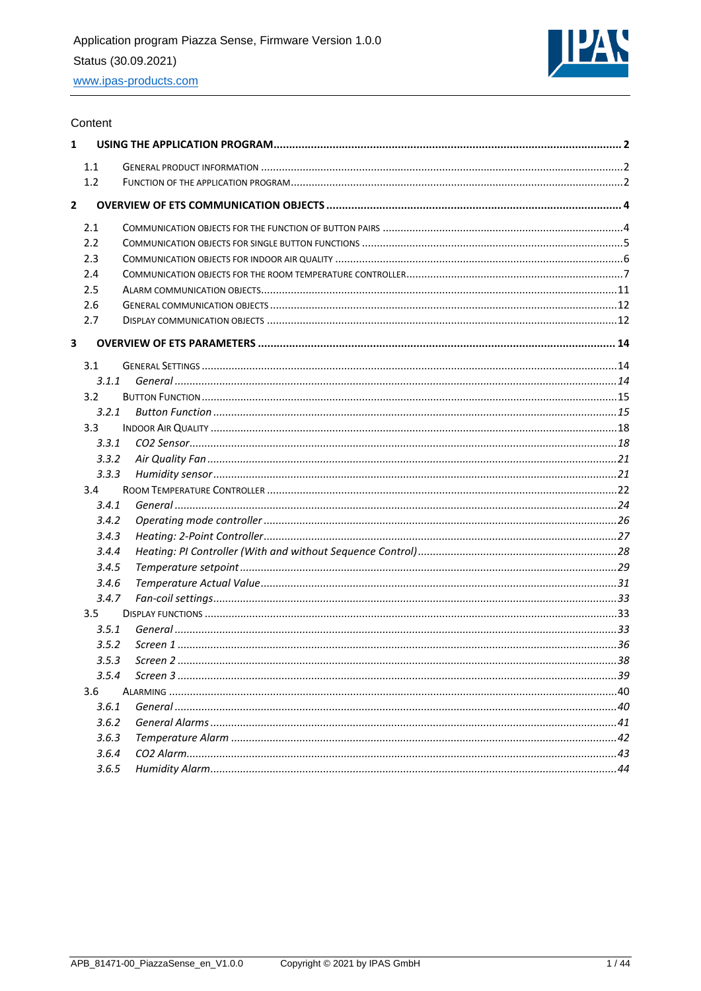

#### Content

| $\mathbf{1}$   |                  |  |
|----------------|------------------|--|
|                | 1.1              |  |
|                | 1.2              |  |
| $\overline{2}$ |                  |  |
|                | 2.1              |  |
|                | 2.2              |  |
|                | 2.3              |  |
|                | 2.4              |  |
|                | 2.5              |  |
|                | 2.6              |  |
|                | 2.7              |  |
| 3              |                  |  |
|                | 3.1              |  |
|                | 3.1.1            |  |
|                | 3.2              |  |
|                | 3.2.1            |  |
|                | 3.3 <sub>1</sub> |  |
|                | 3.3.1            |  |
|                | 3.3.2            |  |
|                | 3.3.3            |  |
|                | 3.4              |  |
|                | 3.4.1            |  |
|                | 3.4.2            |  |
|                | 3.4.3            |  |
|                | 3.4.4            |  |
|                | 3.4.5            |  |
|                | 3.4.6            |  |
|                | 3.4.7            |  |
|                | 3.5              |  |
|                | 3.5.1            |  |
|                | 3.5.2            |  |
|                | 3.5.3            |  |
|                | 3.5.4            |  |
|                | 3.6              |  |
|                | 3.6.1            |  |
|                | 3.6.2            |  |
|                | 3.6.3            |  |
|                | 3.6.4            |  |
|                | 3.6.5            |  |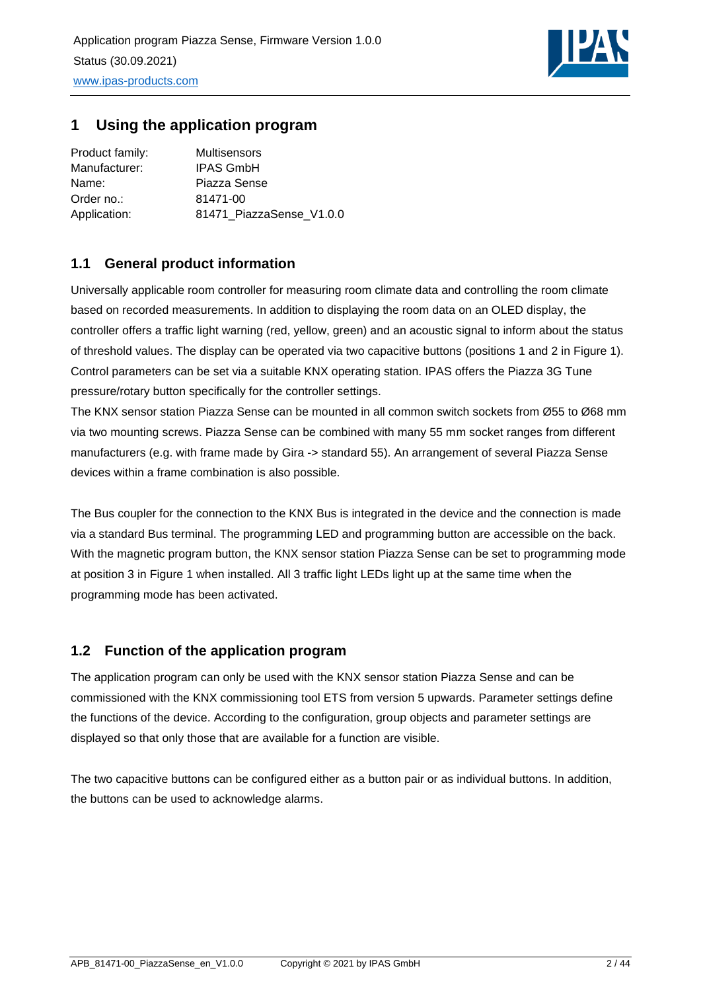

## <span id="page-1-0"></span>**1 Using the application program**

| Product family: | <b>Multisensors</b>      |
|-----------------|--------------------------|
| Manufacturer:   | <b>IPAS GmbH</b>         |
| Name:           | Piazza Sense             |
| Order no.:      | 81471-00                 |
| Application:    | 81471_PiazzaSense_V1.0.0 |

## <span id="page-1-1"></span>**1.1 General product information**

Universally applicable room controller for measuring room climate data and controlling the room climate based on recorded measurements. In addition to displaying the room data on an OLED display, the controller offers a traffic light warning (red, yellow, green) and an acoustic signal to inform about the status of threshold values. The display can be operated via two capacitive buttons (positions 1 and 2 in Figure 1). Control parameters can be set via a suitable KNX operating station. IPAS offers the Piazza 3G Tune pressure/rotary button specifically for the controller settings.

The KNX sensor station Piazza Sense can be mounted in all common switch sockets from Ø55 to Ø68 mm via two mounting screws. Piazza Sense can be combined with many 55 mm socket ranges from different manufacturers (e.g. with frame made by Gira -> standard 55). An arrangement of several Piazza Sense devices within a frame combination is also possible.

The Bus coupler for the connection to the KNX Bus is integrated in the device and the connection is made via a standard Bus terminal. The programming LED and programming button are accessible on the back. With the magnetic program button, the KNX sensor station Piazza Sense can be set to programming mode at position 3 in Figure 1 when installed. All 3 traffic light LEDs light up at the same time when the programming mode has been activated.

## <span id="page-1-2"></span>**1.2 Function of the application program**

The application program can only be used with the KNX sensor station Piazza Sense and can be commissioned with the KNX commissioning tool ETS from version 5 upwards. Parameter settings define the functions of the device. According to the configuration, group objects and parameter settings are displayed so that only those that are available for a function are visible.

The two capacitive buttons can be configured either as a button pair or as individual buttons. In addition, the buttons can be used to acknowledge alarms.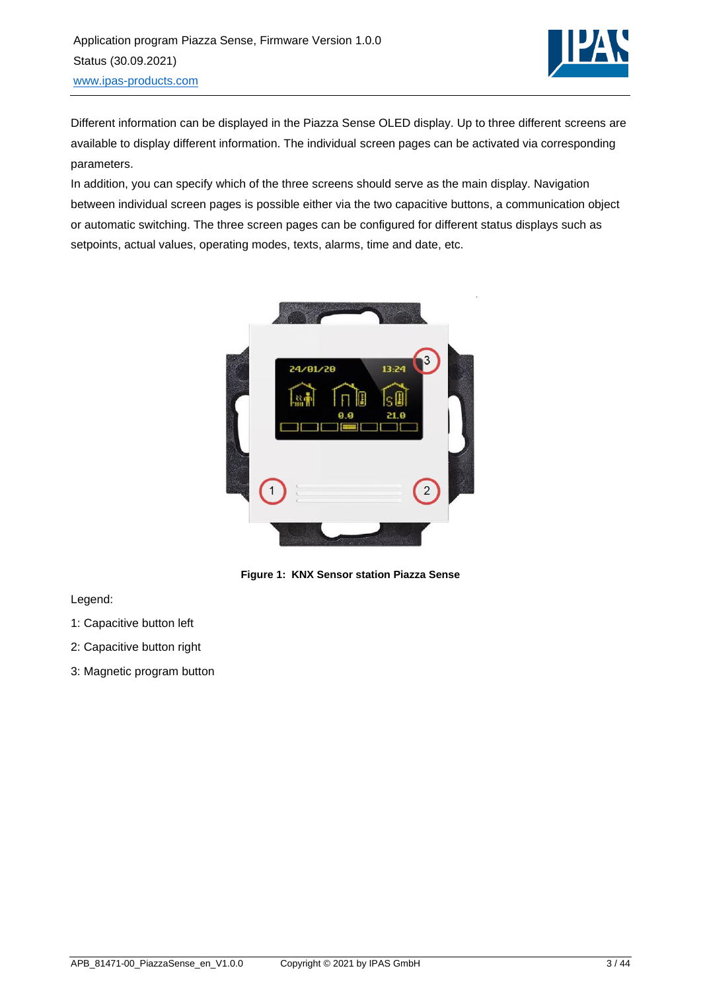

Different information can be displayed in the Piazza Sense OLED display. Up to three different screens are available to display different information. The individual screen pages can be activated via corresponding parameters.

In addition, you can specify which of the three screens should serve as the main display. Navigation between individual screen pages is possible either via the two capacitive buttons, a communication object or automatic switching. The three screen pages can be configured for different status displays such as setpoints, actual values, operating modes, texts, alarms, time and date, etc.



**Figure 1: KNX Sensor station Piazza Sense**

Legend:

- 1: Capacitive button left
- 2: Capacitive button right
- 3: Magnetic program button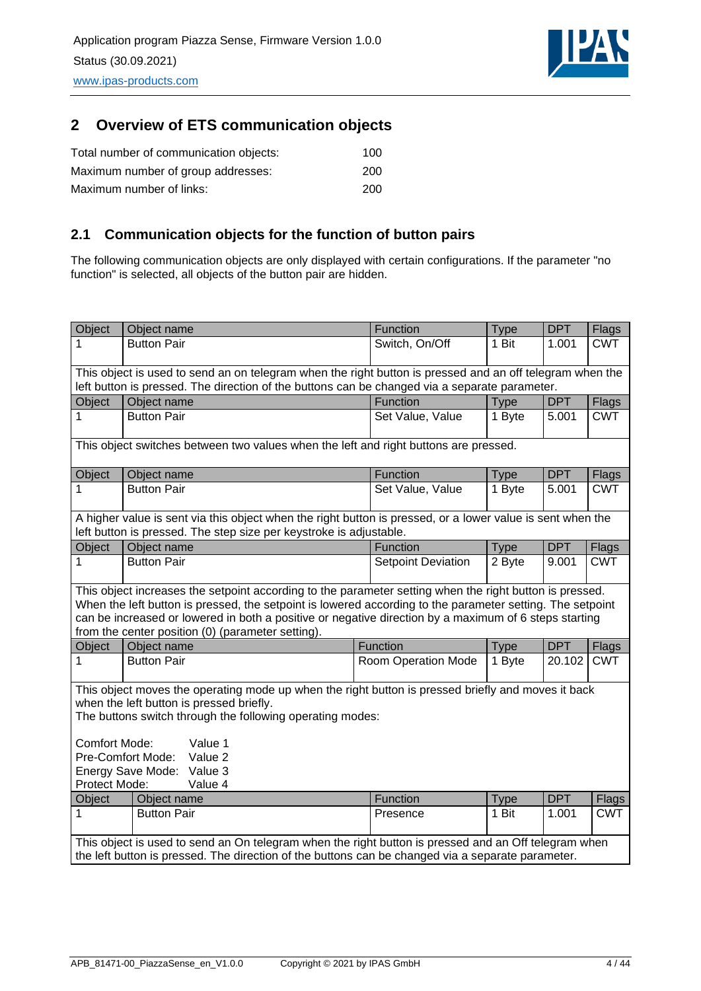

## <span id="page-3-0"></span>**2 Overview of ETS communication objects**

| Total number of communication objects: | 100 |
|----------------------------------------|-----|
| Maximum number of group addresses:     | 200 |
| Maximum number of links:               | 200 |

## <span id="page-3-1"></span>**2.1 Communication objects for the function of button pairs**

The following communication objects are only displayed with certain configurations. If the parameter "no function" is selected, all objects of the button pair are hidden.

| Object                                                                                                                                                                                                                                                                                                                                     | Object name                                                                                                                                                                                                                                                                                                                                                                        | Function                  | <b>Type</b> | <b>DPT</b> | <b>Flags</b> |  |
|--------------------------------------------------------------------------------------------------------------------------------------------------------------------------------------------------------------------------------------------------------------------------------------------------------------------------------------------|------------------------------------------------------------------------------------------------------------------------------------------------------------------------------------------------------------------------------------------------------------------------------------------------------------------------------------------------------------------------------------|---------------------------|-------------|------------|--------------|--|
| 1                                                                                                                                                                                                                                                                                                                                          | <b>Button Pair</b>                                                                                                                                                                                                                                                                                                                                                                 | Switch, On/Off            | 1 Bit       | 1.001      | <b>CWT</b>   |  |
|                                                                                                                                                                                                                                                                                                                                            | This object is used to send an on telegram when the right button is pressed and an off telegram when the                                                                                                                                                                                                                                                                           |                           |             |            |              |  |
|                                                                                                                                                                                                                                                                                                                                            | left button is pressed. The direction of the buttons can be changed via a separate parameter.                                                                                                                                                                                                                                                                                      |                           |             |            |              |  |
| Object                                                                                                                                                                                                                                                                                                                                     | Object name                                                                                                                                                                                                                                                                                                                                                                        | Function                  | <b>Type</b> | <b>DPT</b> | Flags        |  |
| 1                                                                                                                                                                                                                                                                                                                                          | <b>Button Pair</b>                                                                                                                                                                                                                                                                                                                                                                 | Set Value, Value          | 1 Byte      | 5.001      | <b>CWT</b>   |  |
|                                                                                                                                                                                                                                                                                                                                            | This object switches between two values when the left and right buttons are pressed.                                                                                                                                                                                                                                                                                               |                           |             |            |              |  |
| Object                                                                                                                                                                                                                                                                                                                                     | Object name                                                                                                                                                                                                                                                                                                                                                                        | Function                  | <b>Type</b> | <b>DPT</b> | <b>Flags</b> |  |
| 1                                                                                                                                                                                                                                                                                                                                          | <b>Button Pair</b>                                                                                                                                                                                                                                                                                                                                                                 | Set Value, Value          | 1 Byte      | 5.001      | <b>CWT</b>   |  |
|                                                                                                                                                                                                                                                                                                                                            | A higher value is sent via this object when the right button is pressed, or a lower value is sent when the<br>left button is pressed. The step size per keystroke is adjustable.                                                                                                                                                                                                   |                           |             |            |              |  |
| Object                                                                                                                                                                                                                                                                                                                                     | Object name                                                                                                                                                                                                                                                                                                                                                                        | Function                  | <b>Type</b> | <b>DPT</b> | <b>Flags</b> |  |
| 1                                                                                                                                                                                                                                                                                                                                          | <b>Button Pair</b>                                                                                                                                                                                                                                                                                                                                                                 | <b>Setpoint Deviation</b> | 2 Byte      | 9.001      | <b>CWT</b>   |  |
|                                                                                                                                                                                                                                                                                                                                            | This object increases the setpoint according to the parameter setting when the right button is pressed.<br>When the left button is pressed, the setpoint is lowered according to the parameter setting. The setpoint<br>can be increased or lowered in both a positive or negative direction by a maximum of 6 steps starting<br>from the center position (0) (parameter setting). |                           |             |            |              |  |
| Object                                                                                                                                                                                                                                                                                                                                     | Object name                                                                                                                                                                                                                                                                                                                                                                        | Function                  | <b>Type</b> | <b>DPT</b> | Flags        |  |
| 1                                                                                                                                                                                                                                                                                                                                          | <b>Button Pair</b>                                                                                                                                                                                                                                                                                                                                                                 | Room Operation Mode       | 1 Byte      | 20.102     | <b>CWT</b>   |  |
| This object moves the operating mode up when the right button is pressed briefly and moves it back<br>when the left button is pressed briefly.<br>The buttons switch through the following operating modes:<br><b>Comfort Mode:</b><br>Value 1<br>Pre-Comfort Mode:<br>Value 2<br>Energy Save Mode:<br>Value 3<br>Protect Mode:<br>Value 4 |                                                                                                                                                                                                                                                                                                                                                                                    |                           |             |            |              |  |
| Object                                                                                                                                                                                                                                                                                                                                     | Object name                                                                                                                                                                                                                                                                                                                                                                        | Function                  | <b>Type</b> | <b>DPT</b> | <b>Flags</b> |  |
| 1                                                                                                                                                                                                                                                                                                                                          | <b>Button Pair</b>                                                                                                                                                                                                                                                                                                                                                                 | Presence                  | 1 Bit       | 1.001      | <b>CWT</b>   |  |
|                                                                                                                                                                                                                                                                                                                                            | This object is used to send an On telegram when the right button is pressed and an Off telegram when<br>the left button is pressed. The direction of the buttons can be changed via a separate parameter.                                                                                                                                                                          |                           |             |            |              |  |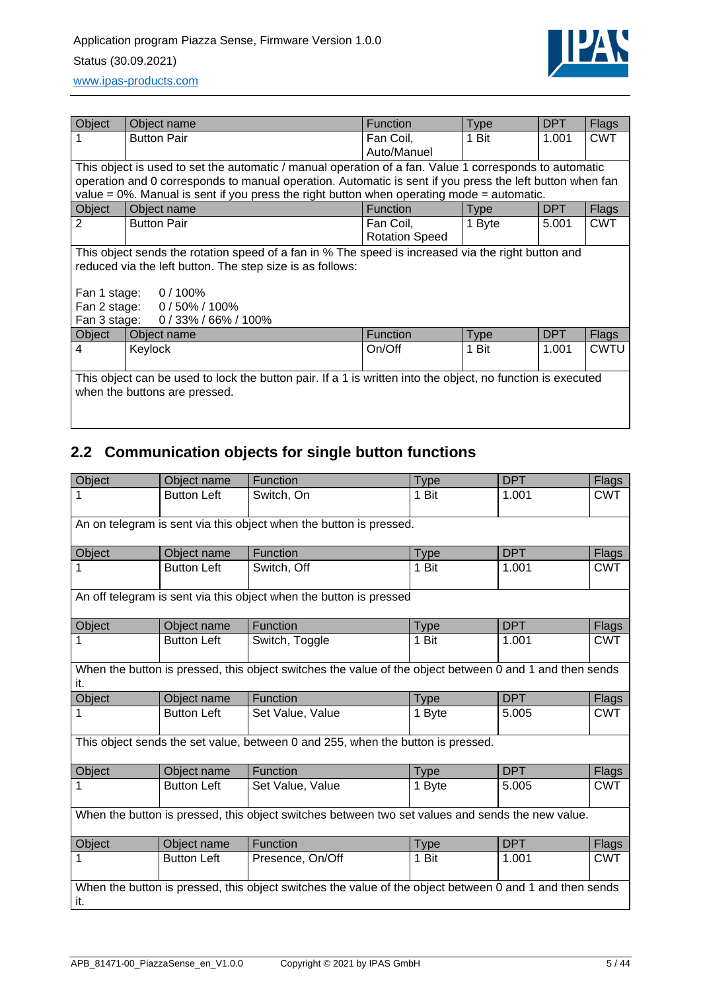

| Object       | Object name                                                                                                 | Function              | <b>Type</b> | <b>DPT</b> | <b>Flags</b> |  |  |  |
|--------------|-------------------------------------------------------------------------------------------------------------|-----------------------|-------------|------------|--------------|--|--|--|
|              | <b>Button Pair</b>                                                                                          | Fan Coil,             | 1 Bit       | 1.001      | <b>CWT</b>   |  |  |  |
|              |                                                                                                             | Auto/Manuel           |             |            |              |  |  |  |
|              | This object is used to set the automatic / manual operation of a fan. Value 1 corresponds to automatic      |                       |             |            |              |  |  |  |
|              | operation and 0 corresponds to manual operation. Automatic is sent if you press the left button when fan    |                       |             |            |              |  |  |  |
|              | value = $0\%$ . Manual is sent if you press the right button when operating mode = automatic.               |                       |             |            |              |  |  |  |
| Object       | Object name                                                                                                 | <b>Function</b>       | <b>Type</b> | DPT        | Flags        |  |  |  |
| 2            | <b>Button Pair</b>                                                                                          | Fan Coil,             | 1 Byte      | 5.001      | <b>CWT</b>   |  |  |  |
|              |                                                                                                             | <b>Rotation Speed</b> |             |            |              |  |  |  |
|              | This object sends the rotation speed of a fan in % The speed is increased via the right button and          |                       |             |            |              |  |  |  |
|              | reduced via the left button. The step size is as follows:                                                   |                       |             |            |              |  |  |  |
|              |                                                                                                             |                       |             |            |              |  |  |  |
|              | Fan 1 stage: 0 / 100%                                                                                       |                       |             |            |              |  |  |  |
|              | Fan 2 stage: 0 / 50% / 100%                                                                                 |                       |             |            |              |  |  |  |
| Fan 3 stage: | $0/33\% / 66\% / 100\%$                                                                                     |                       |             |            |              |  |  |  |
| Object       | Object name                                                                                                 | <b>Function</b>       | <b>Type</b> | DPT        | Flags        |  |  |  |
| 4            | Keylock                                                                                                     | On/Off                | 1 Bit       | 1.001      | <b>CWTU</b>  |  |  |  |
|              |                                                                                                             |                       |             |            |              |  |  |  |
|              | This object can be used to lock the button pair. If a 1 is written into the object, no function is executed |                       |             |            |              |  |  |  |
|              | when the buttons are pressed.                                                                               |                       |             |            |              |  |  |  |
|              |                                                                                                             |                       |             |            |              |  |  |  |

# <span id="page-4-0"></span>**2.2 Communication objects for single button functions**

| Object                                                             | Object name        | <b>Function</b>                                                                                         | <b>Type</b> | <b>DPT</b> | <b>Flags</b> |  |  |
|--------------------------------------------------------------------|--------------------|---------------------------------------------------------------------------------------------------------|-------------|------------|--------------|--|--|
| 1                                                                  | <b>Button Left</b> | Switch, On                                                                                              | 1 Bit       | 1.001      | <b>CWT</b>   |  |  |
| An on telegram is sent via this object when the button is pressed. |                    |                                                                                                         |             |            |              |  |  |
| Object                                                             | Object name        | <b>Function</b>                                                                                         | <b>Type</b> | <b>DPT</b> | <b>Flags</b> |  |  |
| 1                                                                  | <b>Button Left</b> | Switch, Off                                                                                             | 1 Bit       | 1.001      | <b>CWT</b>   |  |  |
|                                                                    |                    | An off telegram is sent via this object when the button is pressed                                      |             |            |              |  |  |
| Object                                                             | Object name        | Function                                                                                                | <b>Type</b> | <b>DPT</b> | <b>Flags</b> |  |  |
| 1                                                                  | <b>Button Left</b> | Switch, Toggle                                                                                          | 1 Bit       | 1.001      | <b>CWT</b>   |  |  |
| it.                                                                |                    | When the button is pressed, this object switches the value of the object between 0 and 1 and then sends |             |            |              |  |  |
| Object                                                             | Object name        | Function                                                                                                | <b>Type</b> | <b>DPT</b> | <b>Flags</b> |  |  |
|                                                                    |                    |                                                                                                         |             |            |              |  |  |
| 1                                                                  | <b>Button Left</b> | Set Value, Value                                                                                        | 1 Byte      | 5.005      | <b>CWT</b>   |  |  |
|                                                                    |                    | This object sends the set value, between 0 and 255, when the button is pressed.                         |             |            |              |  |  |
| Object                                                             | Object name        | Function                                                                                                | Type        | <b>DPT</b> | Flags        |  |  |
| 1                                                                  | <b>Button Left</b> | Set Value, Value                                                                                        | 1 Byte      | 5.005      | <b>CWT</b>   |  |  |
|                                                                    |                    | When the button is pressed, this object switches between two set values and sends the new value.        |             |            |              |  |  |
| Object                                                             | Object name        | Function                                                                                                | <b>Type</b> | <b>DPT</b> | Flags        |  |  |
| 1                                                                  | <b>Button Left</b> | Presence, On/Off                                                                                        | 1 Bit       | 1.001      | <b>CWT</b>   |  |  |
|                                                                    |                    | When the button is pressed, this object switches the value of the object between 0 and 1 and then sends |             |            |              |  |  |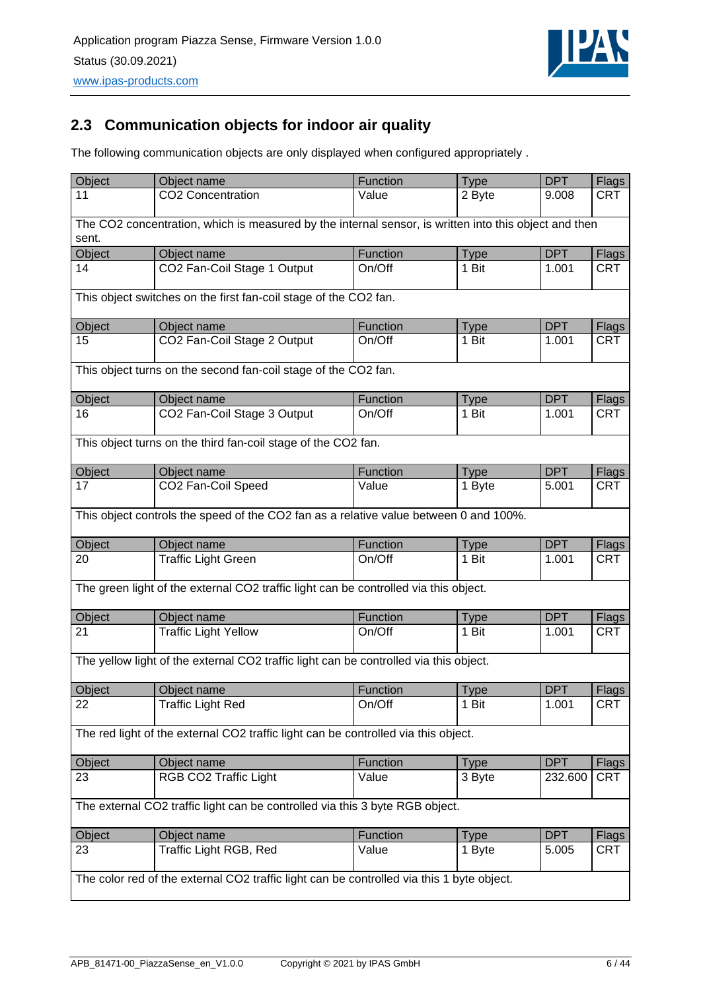

## <span id="page-5-0"></span>**2.3 Communication objects for indoor air quality**

The following communication objects are only displayed when configured appropriately .

| Object       | Object name                                                                                           | Function           | <b>Type</b>          | <b>DPT</b>          | Flags                      |  |  |  |  |
|--------------|-------------------------------------------------------------------------------------------------------|--------------------|----------------------|---------------------|----------------------------|--|--|--|--|
| 11           | CO2 Concentration                                                                                     | Value              | 2 Byte               | 9.008               | <b>CRT</b>                 |  |  |  |  |
|              |                                                                                                       |                    |                      |                     |                            |  |  |  |  |
|              | The CO2 concentration, which is measured by the internal sensor, is written into this object and then |                    |                      |                     |                            |  |  |  |  |
| sent.        |                                                                                                       |                    |                      |                     |                            |  |  |  |  |
| Object       | Object name                                                                                           | Function           | <b>Type</b>          | <b>DPT</b>          | Flags                      |  |  |  |  |
| 14           | CO2 Fan-Coil Stage 1 Output                                                                           | On/Off             | 1 Bit                | 1.001               | <b>CRT</b>                 |  |  |  |  |
|              | This object switches on the first fan-coil stage of the CO2 fan.                                      |                    |                      |                     |                            |  |  |  |  |
| Object       | Object name                                                                                           | Function           | <b>Type</b>          | <b>DPT</b>          | Flags                      |  |  |  |  |
| 15           | CO2 Fan-Coil Stage 2 Output                                                                           | On/Off             | 1 Bit                | 1.001               | <b>CRT</b>                 |  |  |  |  |
|              | This object turns on the second fan-coil stage of the CO2 fan.                                        |                    |                      |                     |                            |  |  |  |  |
|              |                                                                                                       |                    |                      |                     |                            |  |  |  |  |
| Object<br>16 | Object name                                                                                           | Function<br>On/Off | <b>Type</b><br>1 Bit | <b>DPT</b>          | Flags                      |  |  |  |  |
|              | CO2 Fan-Coil Stage 3 Output                                                                           |                    |                      | 1.001               | <b>CRT</b>                 |  |  |  |  |
|              | This object turns on the third fan-coil stage of the CO2 fan.                                         |                    |                      |                     |                            |  |  |  |  |
| Object       | Object name                                                                                           | Function           | <b>Type</b>          | <b>DPT</b>          | <b>Flags</b>               |  |  |  |  |
| 17           | CO2 Fan-Coil Speed                                                                                    | Value              | 1 Byte               | 5.001               | <b>CRT</b>                 |  |  |  |  |
|              | This object controls the speed of the CO2 fan as a relative value between 0 and 100%.                 |                    |                      |                     |                            |  |  |  |  |
|              |                                                                                                       |                    |                      |                     |                            |  |  |  |  |
| Object<br>20 | Object name                                                                                           | Function<br>On/Off | <b>Type</b><br>1 Bit | <b>DPT</b><br>1.001 | <b>Flags</b><br><b>CRT</b> |  |  |  |  |
|              | <b>Traffic Light Green</b>                                                                            |                    |                      |                     |                            |  |  |  |  |
|              | The green light of the external CO2 traffic light can be controlled via this object.                  |                    |                      |                     |                            |  |  |  |  |
| Object       | Object name                                                                                           | Function           | <b>Type</b>          | <b>DPT</b>          | <b>Flags</b>               |  |  |  |  |
| 21           | <b>Traffic Light Yellow</b>                                                                           | On/Off             | 1 Bit                | 1.001               | <b>CRT</b>                 |  |  |  |  |
|              | The yellow light of the external CO2 traffic light can be controlled via this object.                 |                    |                      |                     |                            |  |  |  |  |
| Object       | Object name                                                                                           | Function           | <b>Type</b>          | <b>DPT</b>          | Flags                      |  |  |  |  |
| 22           | Traffic Light Red                                                                                     | On/Off             | 1 Bit                | 1.001               | <b>CRT</b>                 |  |  |  |  |
|              |                                                                                                       |                    |                      |                     |                            |  |  |  |  |
|              | The red light of the external CO2 traffic light can be controlled via this object.                    |                    |                      |                     |                            |  |  |  |  |
| Object       | Object name                                                                                           | Function           | <b>Type</b>          | <b>DPT</b>          | <b>Flags</b>               |  |  |  |  |
| 23           | RGB CO2 Traffic Light                                                                                 | Value              | 3 Byte               | 232.600             | <b>CRT</b>                 |  |  |  |  |
|              | The external CO2 traffic light can be controlled via this 3 byte RGB object.                          |                    |                      |                     |                            |  |  |  |  |
| Object       | Object name                                                                                           | Function           | <b>Type</b>          | <b>DPT</b>          | Flags                      |  |  |  |  |
| 23           | Traffic Light RGB, Red                                                                                | Value              | 1 Byte               | 5.005               | CRT                        |  |  |  |  |
|              | The color red of the external CO2 traffic light can be controlled via this 1 byte object.             |                    |                      |                     |                            |  |  |  |  |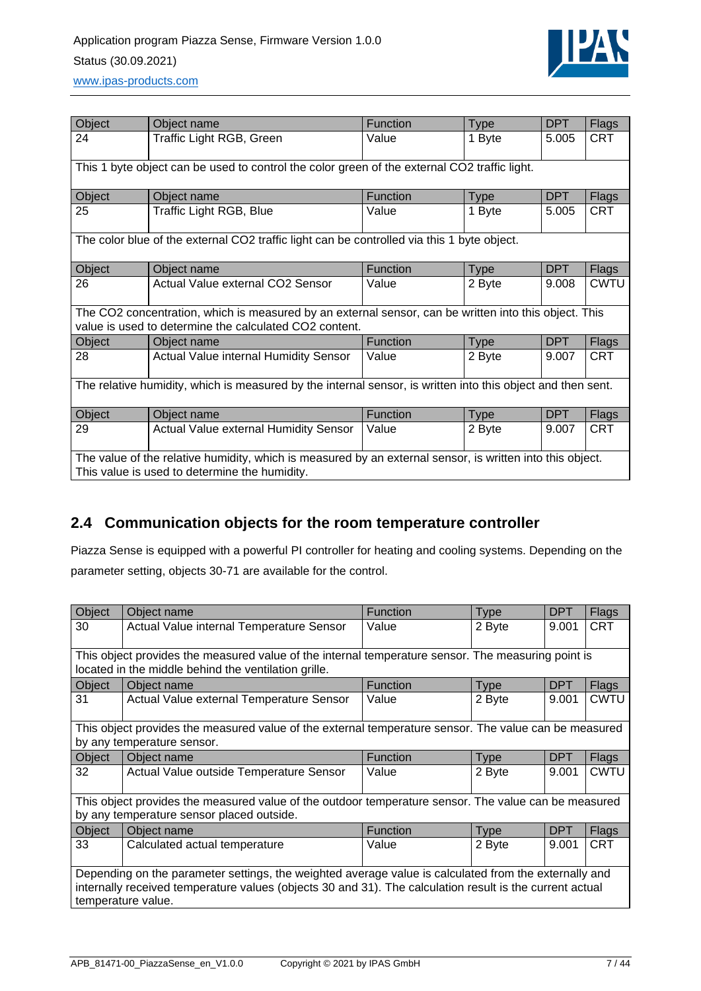

| Object                                                                                                                                                     | Object name                                                                                                                                                     | <b>Function</b> | <b>Type</b> | <b>DPT</b> | <b>Flags</b> |  |  |  |
|------------------------------------------------------------------------------------------------------------------------------------------------------------|-----------------------------------------------------------------------------------------------------------------------------------------------------------------|-----------------|-------------|------------|--------------|--|--|--|
| 24                                                                                                                                                         | Traffic Light RGB, Green                                                                                                                                        | Value           | 1 Byte      | 5.005      | <b>CRT</b>   |  |  |  |
|                                                                                                                                                            |                                                                                                                                                                 |                 |             |            |              |  |  |  |
| This 1 byte object can be used to control the color green of the external CO2 traffic light.                                                               |                                                                                                                                                                 |                 |             |            |              |  |  |  |
| Object                                                                                                                                                     | Object name                                                                                                                                                     | <b>Function</b> | <b>Type</b> | <b>DPT</b> | <b>Flags</b> |  |  |  |
| 25                                                                                                                                                         | Traffic Light RGB, Blue                                                                                                                                         | Value           | 1 Byte      | 5.005      | <b>CRT</b>   |  |  |  |
|                                                                                                                                                            | The color blue of the external CO2 traffic light can be controlled via this 1 byte object.                                                                      |                 |             |            |              |  |  |  |
| Object                                                                                                                                                     | Object name                                                                                                                                                     | Function        | <b>Type</b> | <b>DPT</b> | <b>Flags</b> |  |  |  |
| 26                                                                                                                                                         | Actual Value external CO2 Sensor                                                                                                                                | Value           | 2 Byte      | 9.008      | CWTU         |  |  |  |
|                                                                                                                                                            | The CO2 concentration, which is measured by an external sensor, can be written into this object. This<br>value is used to determine the calculated CO2 content. |                 |             |            |              |  |  |  |
| Object                                                                                                                                                     | Object name                                                                                                                                                     | <b>Function</b> | <b>Type</b> | <b>DPT</b> | <b>Flags</b> |  |  |  |
| 28                                                                                                                                                         | <b>Actual Value internal Humidity Sensor</b>                                                                                                                    | Value           | 2 Byte      | 9.007      | <b>CRT</b>   |  |  |  |
| The relative humidity, which is measured by the internal sensor, is written into this object and then sent.                                                |                                                                                                                                                                 |                 |             |            |              |  |  |  |
| Object                                                                                                                                                     | Object name                                                                                                                                                     | Function        | <b>Type</b> | <b>DPT</b> | <b>Flags</b> |  |  |  |
| 29                                                                                                                                                         | Actual Value external Humidity Sensor                                                                                                                           | Value           | 2 Byte      | 9.007      | <b>CRT</b>   |  |  |  |
| The value of the relative humidity, which is measured by an external sensor, is written into this object.<br>This value is used to determine the humidity. |                                                                                                                                                                 |                 |             |            |              |  |  |  |

## <span id="page-6-0"></span>**2.4 Communication objects for the room temperature controller**

Piazza Sense is equipped with a powerful PI controller for heating and cooling systems. Depending on the parameter setting, objects 30-71 are available for the control.

| Object                                                                                                   | Object name                                                                                           | <b>Function</b> | <b>Type</b> | <b>DPT</b> | <b>Flags</b> |  |  |  |
|----------------------------------------------------------------------------------------------------------|-------------------------------------------------------------------------------------------------------|-----------------|-------------|------------|--------------|--|--|--|
| 30                                                                                                       | Actual Value internal Temperature Sensor                                                              | Value           | 2 Byte      | 9.001      | <b>CRT</b>   |  |  |  |
|                                                                                                          |                                                                                                       |                 |             |            |              |  |  |  |
|                                                                                                          | This object provides the measured value of the internal temperature sensor. The measuring point is    |                 |             |            |              |  |  |  |
|                                                                                                          | located in the middle behind the ventilation grille.                                                  |                 |             |            |              |  |  |  |
| Object                                                                                                   | Object name                                                                                           | <b>Function</b> | <b>Type</b> | <b>DPT</b> | Flags        |  |  |  |
| 31                                                                                                       | Actual Value external Temperature Sensor                                                              | Value           | 2 Byte      | 9.001      | CWTU         |  |  |  |
|                                                                                                          |                                                                                                       |                 |             |            |              |  |  |  |
|                                                                                                          | This object provides the measured value of the external temperature sensor. The value can be measured |                 |             |            |              |  |  |  |
|                                                                                                          | by any temperature sensor.                                                                            |                 |             |            |              |  |  |  |
| Object                                                                                                   | Object name                                                                                           | <b>Function</b> | <b>Type</b> | <b>DPT</b> | <b>Flags</b> |  |  |  |
| 32                                                                                                       | Actual Value outside Temperature Sensor                                                               | Value           | 2 Byte      | 9.001      | CWTU         |  |  |  |
|                                                                                                          |                                                                                                       |                 |             |            |              |  |  |  |
|                                                                                                          | This object provides the measured value of the outdoor temperature sensor. The value can be measured  |                 |             |            |              |  |  |  |
|                                                                                                          | by any temperature sensor placed outside.                                                             |                 |             |            |              |  |  |  |
| Object                                                                                                   | Object name                                                                                           | <b>Function</b> | <b>Type</b> | <b>DPT</b> | Flags        |  |  |  |
| 33                                                                                                       | Calculated actual temperature                                                                         | Value           | 2 Byte      | 9.001      | <b>CRT</b>   |  |  |  |
|                                                                                                          |                                                                                                       |                 |             |            |              |  |  |  |
| Depending on the parameter settings, the weighted average value is calculated from the externally and    |                                                                                                       |                 |             |            |              |  |  |  |
| internally received temperature values (objects 30 and 31). The calculation result is the current actual |                                                                                                       |                 |             |            |              |  |  |  |
|                                                                                                          | temperature value.                                                                                    |                 |             |            |              |  |  |  |
|                                                                                                          |                                                                                                       |                 |             |            |              |  |  |  |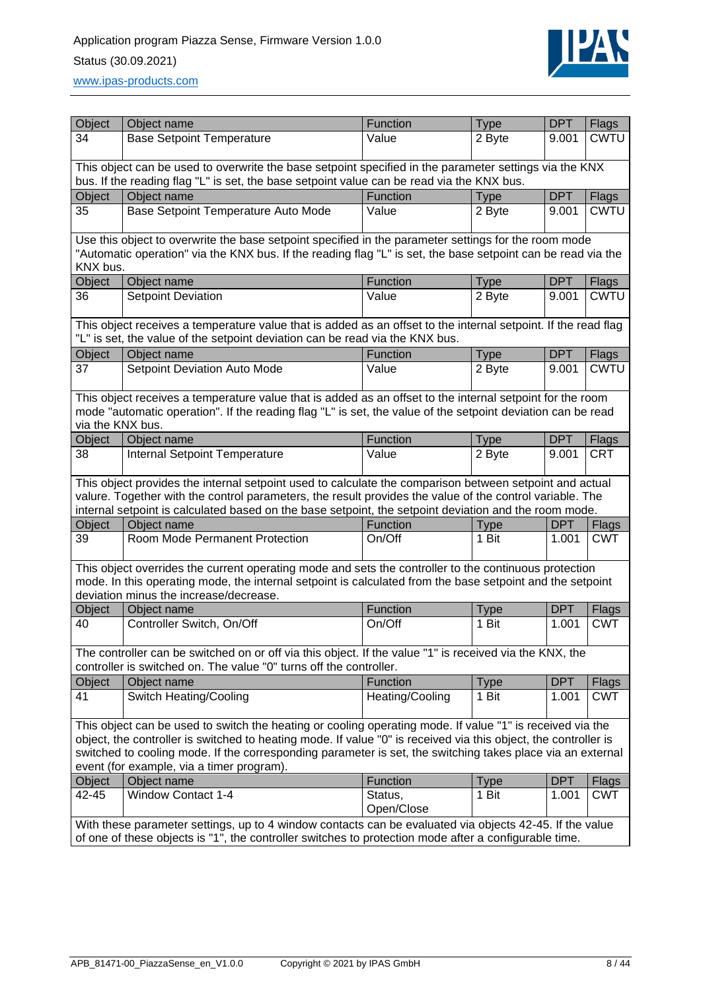

| Object                                                                                                                                                                                                                           | Object name                                                                                                                                                                                    | Function              | <b>Type</b> | <b>DPT</b> | <b>Flags</b>                |  |  |
|----------------------------------------------------------------------------------------------------------------------------------------------------------------------------------------------------------------------------------|------------------------------------------------------------------------------------------------------------------------------------------------------------------------------------------------|-----------------------|-------------|------------|-----------------------------|--|--|
| 34                                                                                                                                                                                                                               | <b>Base Setpoint Temperature</b>                                                                                                                                                               | Value                 | 2 Byte      | 9.001      | <b>CWTU</b>                 |  |  |
|                                                                                                                                                                                                                                  |                                                                                                                                                                                                |                       |             |            |                             |  |  |
|                                                                                                                                                                                                                                  | This object can be used to overwrite the base setpoint specified in the parameter settings via the KNX                                                                                         |                       |             |            |                             |  |  |
| Object                                                                                                                                                                                                                           | bus. If the reading flag "L" is set, the base setpoint value can be read via the KNX bus.<br>Object name                                                                                       | Function              | <b>Type</b> | <b>DPT</b> |                             |  |  |
| 35                                                                                                                                                                                                                               | Base Setpoint Temperature Auto Mode                                                                                                                                                            | Value                 | 2 Byte      | 9.001      | <b>Flags</b><br><b>CWTU</b> |  |  |
|                                                                                                                                                                                                                                  |                                                                                                                                                                                                |                       |             |            |                             |  |  |
| Use this object to overwrite the base setpoint specified in the parameter settings for the room mode<br>"Automatic operation" via the KNX bus. If the reading flag "L" is set, the base setpoint can be read via the<br>KNX bus. |                                                                                                                                                                                                |                       |             |            |                             |  |  |
| Object                                                                                                                                                                                                                           | Object name                                                                                                                                                                                    | Function              | <b>Type</b> | <b>DPT</b> | <b>Flags</b>                |  |  |
| 36                                                                                                                                                                                                                               | <b>Setpoint Deviation</b>                                                                                                                                                                      | Value                 | 2 Byte      | 9.001      | <b>CWTU</b>                 |  |  |
|                                                                                                                                                                                                                                  |                                                                                                                                                                                                |                       |             |            |                             |  |  |
|                                                                                                                                                                                                                                  | This object receives a temperature value that is added as an offset to the internal setpoint. If the read flag<br>"L" is set, the value of the setpoint deviation can be read via the KNX bus. |                       |             |            |                             |  |  |
| Object                                                                                                                                                                                                                           | Object name                                                                                                                                                                                    | Function              | <b>Type</b> | <b>DPT</b> | Flags                       |  |  |
| 37                                                                                                                                                                                                                               | <b>Setpoint Deviation Auto Mode</b>                                                                                                                                                            | Value                 | 2 Byte      | 9.001      | <b>CWTU</b>                 |  |  |
|                                                                                                                                                                                                                                  |                                                                                                                                                                                                |                       |             |            |                             |  |  |
|                                                                                                                                                                                                                                  | This object receives a temperature value that is added as an offset to the internal setpoint for the room                                                                                      |                       |             |            |                             |  |  |
|                                                                                                                                                                                                                                  | mode "automatic operation". If the reading flag "L" is set, the value of the setpoint deviation can be read                                                                                    |                       |             |            |                             |  |  |
| via the KNX bus.                                                                                                                                                                                                                 |                                                                                                                                                                                                |                       |             |            |                             |  |  |
| Object                                                                                                                                                                                                                           | Object name                                                                                                                                                                                    | Function              | <b>Type</b> | <b>DPT</b> | <b>Flags</b>                |  |  |
| 38                                                                                                                                                                                                                               | Internal Setpoint Temperature                                                                                                                                                                  | Value                 | 2 Byte      | 9.001      | <b>CRT</b>                  |  |  |
|                                                                                                                                                                                                                                  | This object provides the internal setpoint used to calculate the comparison between setpoint and actual                                                                                        |                       |             |            |                             |  |  |
|                                                                                                                                                                                                                                  | valure. Together with the control parameters, the result provides the value of the control variable. The                                                                                       |                       |             |            |                             |  |  |
|                                                                                                                                                                                                                                  | internal setpoint is calculated based on the base setpoint, the setpoint deviation and the room mode.                                                                                          |                       |             |            |                             |  |  |
| Object                                                                                                                                                                                                                           | Object name                                                                                                                                                                                    | Function              | <b>Type</b> | <b>DPT</b> | <b>Flags</b>                |  |  |
| 39                                                                                                                                                                                                                               | Room Mode Permanent Protection                                                                                                                                                                 | On/Off                | 1 Bit       | 1.001      | <b>CWT</b>                  |  |  |
|                                                                                                                                                                                                                                  |                                                                                                                                                                                                |                       |             |            |                             |  |  |
|                                                                                                                                                                                                                                  | This object overrides the current operating mode and sets the controller to the continuous protection                                                                                          |                       |             |            |                             |  |  |
|                                                                                                                                                                                                                                  | mode. In this operating mode, the internal setpoint is calculated from the base setpoint and the setpoint                                                                                      |                       |             |            |                             |  |  |
|                                                                                                                                                                                                                                  | deviation minus the increase/decrease.                                                                                                                                                         |                       |             |            |                             |  |  |
| Object                                                                                                                                                                                                                           | Object name                                                                                                                                                                                    | Function              | <b>Type</b> | <b>DPT</b> | <b>Flags</b>                |  |  |
| 40                                                                                                                                                                                                                               | Controller Switch, On/Off                                                                                                                                                                      | On/Off                | 1 Bit       | 1.001      | <b>CWT</b>                  |  |  |
|                                                                                                                                                                                                                                  | The controller can be switched on or off via this object. If the value "1" is received via the KNX, the                                                                                        |                       |             |            |                             |  |  |
|                                                                                                                                                                                                                                  | controller is switched on. The value "0" turns off the controller.                                                                                                                             |                       |             |            |                             |  |  |
| Object                                                                                                                                                                                                                           | Object name                                                                                                                                                                                    | <b>Function</b>       | <b>Type</b> | <b>DPT</b> | <b>Flags</b>                |  |  |
| 41                                                                                                                                                                                                                               | Switch Heating/Cooling                                                                                                                                                                         | Heating/Cooling       | 1 Bit       | 1.001      | <b>CWT</b>                  |  |  |
|                                                                                                                                                                                                                                  |                                                                                                                                                                                                |                       |             |            |                             |  |  |
|                                                                                                                                                                                                                                  | This object can be used to switch the heating or cooling operating mode. If value "1" is received via the                                                                                      |                       |             |            |                             |  |  |
|                                                                                                                                                                                                                                  | object, the controller is switched to heating mode. If value "0" is received via this object, the controller is                                                                                |                       |             |            |                             |  |  |
|                                                                                                                                                                                                                                  | switched to cooling mode. If the corresponding parameter is set, the switching takes place via an external                                                                                     |                       |             |            |                             |  |  |
|                                                                                                                                                                                                                                  | event (for example, via a timer program).                                                                                                                                                      |                       |             |            |                             |  |  |
| Object                                                                                                                                                                                                                           | Object name                                                                                                                                                                                    | Function              | <b>Type</b> | <b>DPT</b> | <b>Flags</b>                |  |  |
| 42-45                                                                                                                                                                                                                            | <b>Window Contact 1-4</b>                                                                                                                                                                      | Status,<br>Open/Close | 1 Bit       | 1.001      | <b>CWT</b>                  |  |  |
|                                                                                                                                                                                                                                  | With these parameter settings, up to 4 window contacts can be evaluated via objects 42-45. If the value                                                                                        |                       |             |            |                             |  |  |
| of one of these objects is "1", the controller switches to protection mode after a configurable time.                                                                                                                            |                                                                                                                                                                                                |                       |             |            |                             |  |  |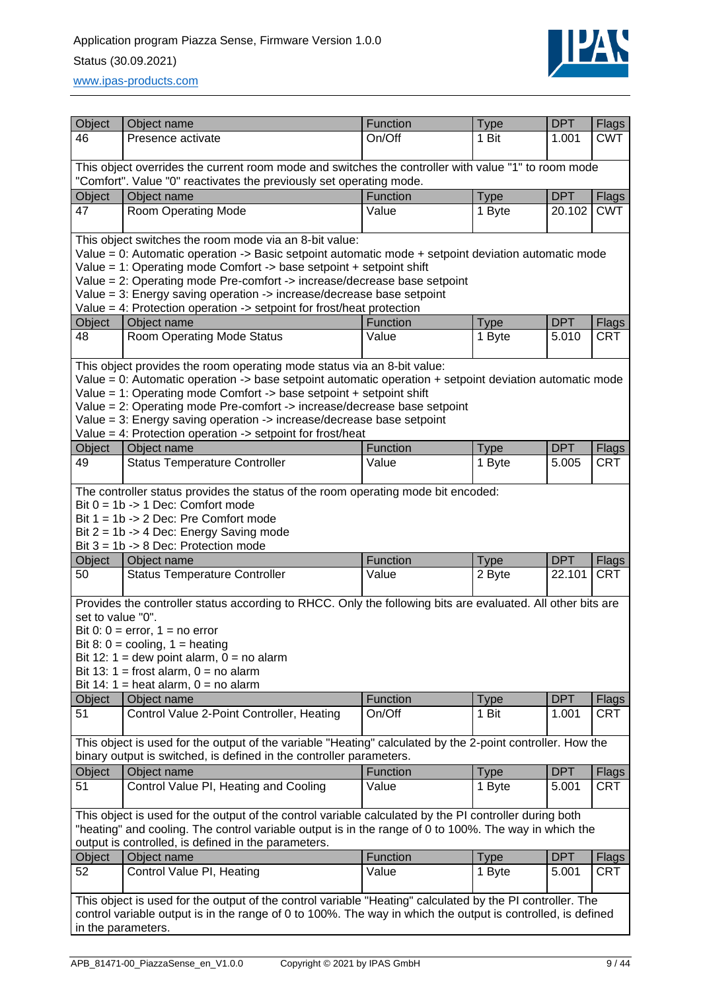

[www.ipas-products.com](file:///C:/Users/APritula.IPASRS/Desktop/IP054%20(Piazza%20Sense)/Fertigung/Beschreibungen/www.ipas-products.com)

| Object                                                                           | Object name                                                                                                                                                                                                              | <b>Function</b> | <b>Type</b> | <b>DPT</b> | Flags        |  |  |
|----------------------------------------------------------------------------------|--------------------------------------------------------------------------------------------------------------------------------------------------------------------------------------------------------------------------|-----------------|-------------|------------|--------------|--|--|
| 46                                                                               | Presence activate                                                                                                                                                                                                        | On/Off          | 1 Bit       | 1.001      | <b>CWT</b>   |  |  |
|                                                                                  |                                                                                                                                                                                                                          |                 |             |            |              |  |  |
|                                                                                  | This object overrides the current room mode and switches the controller with value "1" to room mode                                                                                                                      |                 |             |            |              |  |  |
|                                                                                  | "Comfort". Value "0" reactivates the previously set operating mode.                                                                                                                                                      |                 |             |            |              |  |  |
| Object                                                                           | Object name                                                                                                                                                                                                              | Function        | <b>Type</b> | <b>DPT</b> | Flags        |  |  |
| 47                                                                               | Room Operating Mode                                                                                                                                                                                                      | Value           | 1 Byte      | 20.102     | <b>CWT</b>   |  |  |
|                                                                                  | This object switches the room mode via an 8-bit value:                                                                                                                                                                   |                 |             |            |              |  |  |
|                                                                                  | Value = 0: Automatic operation -> Basic setpoint automatic mode + setpoint deviation automatic mode                                                                                                                      |                 |             |            |              |  |  |
|                                                                                  | Value = 1: Operating mode Comfort -> base setpoint + setpoint shift                                                                                                                                                      |                 |             |            |              |  |  |
|                                                                                  | Value = 2: Operating mode Pre-comfort -> increase/decrease base setpoint                                                                                                                                                 |                 |             |            |              |  |  |
|                                                                                  | Value = 3: Energy saving operation -> increase/decrease base setpoint                                                                                                                                                    |                 |             |            |              |  |  |
| Value = 4: Protection operation $\rightarrow$ setpoint for frost/heat protection |                                                                                                                                                                                                                          |                 |             |            |              |  |  |
| Object                                                                           | Object name                                                                                                                                                                                                              | Function        | <b>Type</b> | <b>DPT</b> | <b>Flags</b> |  |  |
| 48                                                                               | Room Operating Mode Status                                                                                                                                                                                               | Value           | 1 Byte      | 5.010      | <b>CRT</b>   |  |  |
|                                                                                  |                                                                                                                                                                                                                          |                 |             |            |              |  |  |
|                                                                                  | This object provides the room operating mode status via an 8-bit value:<br>Value = 0: Automatic operation $\rightarrow$ base setpoint automatic operation + setpoint deviation automatic mode                            |                 |             |            |              |  |  |
|                                                                                  | Value = 1: Operating mode Comfort -> base setpoint + setpoint shift                                                                                                                                                      |                 |             |            |              |  |  |
|                                                                                  | Value = 2: Operating mode Pre-comfort -> increase/decrease base setpoint                                                                                                                                                 |                 |             |            |              |  |  |
|                                                                                  | Value = 3: Energy saving operation -> increase/decrease base setpoint                                                                                                                                                    |                 |             |            |              |  |  |
|                                                                                  | Value = 4: Protection operation $\rightarrow$ setpoint for frost/heat                                                                                                                                                    |                 |             |            |              |  |  |
| Object                                                                           | Object name                                                                                                                                                                                                              | Function        | <b>Type</b> | <b>DPT</b> | Flags        |  |  |
| 49                                                                               | <b>Status Temperature Controller</b>                                                                                                                                                                                     | Value           | 1 Byte      | 5.005      | <b>CRT</b>   |  |  |
|                                                                                  |                                                                                                                                                                                                                          |                 |             |            |              |  |  |
|                                                                                  | The controller status provides the status of the room operating mode bit encoded:                                                                                                                                        |                 |             |            |              |  |  |
|                                                                                  | Bit $0 = 1b \rightarrow 1$ Dec: Comfort mode                                                                                                                                                                             |                 |             |            |              |  |  |
|                                                                                  | Bit 1 = 1b -> 2 Dec: Pre Comfort mode<br>Bit $2 = 1b \rightarrow 4$ Dec: Energy Saving mode                                                                                                                              |                 |             |            |              |  |  |
|                                                                                  | Bit $3 = 1b \rightarrow 8$ Dec: Protection mode                                                                                                                                                                          |                 |             |            |              |  |  |
| Object                                                                           | Object name                                                                                                                                                                                                              | Function        | <b>Type</b> | <b>DPT</b> | Flags        |  |  |
| 50                                                                               | <b>Status Temperature Controller</b>                                                                                                                                                                                     | Value           | 2 Byte      | 22.101     | <b>CRT</b>   |  |  |
|                                                                                  |                                                                                                                                                                                                                          |                 |             |            |              |  |  |
|                                                                                  | Provides the controller status according to RHCC. Only the following bits are evaluated. All other bits are                                                                                                              |                 |             |            |              |  |  |
| set to value "0".                                                                |                                                                                                                                                                                                                          |                 |             |            |              |  |  |
|                                                                                  | Bit 0: $0 =$ error, $1 =$ no error                                                                                                                                                                                       |                 |             |            |              |  |  |
|                                                                                  | Bit 8: $0 =$ cooling, $1 =$ heating                                                                                                                                                                                      |                 |             |            |              |  |  |
|                                                                                  | Bit 12: 1 = dew point alarm, $0 =$ no alarm<br>Bit 13: 1 = frost alarm, $0 =$ no alarm                                                                                                                                   |                 |             |            |              |  |  |
|                                                                                  | Bit 14: 1 = heat alarm, $0 =$ no alarm                                                                                                                                                                                   |                 |             |            |              |  |  |
| Object                                                                           | Object name                                                                                                                                                                                                              | Function        | <b>Type</b> | <b>DPT</b> | Flags        |  |  |
| 51                                                                               | Control Value 2-Point Controller, Heating                                                                                                                                                                                | On/Off          | 1 Bit       | 1.001      | CRT          |  |  |
|                                                                                  |                                                                                                                                                                                                                          |                 |             |            |              |  |  |
|                                                                                  | This object is used for the output of the variable "Heating" calculated by the 2-point controller. How the                                                                                                               |                 |             |            |              |  |  |
|                                                                                  | binary output is switched, is defined in the controller parameters.                                                                                                                                                      |                 |             |            |              |  |  |
| Object                                                                           | Object name                                                                                                                                                                                                              | Function        | <b>Type</b> | <b>DPT</b> | Flags        |  |  |
| 51                                                                               | Control Value PI, Heating and Cooling                                                                                                                                                                                    | Value           | 1 Byte      | 5.001      | <b>CRT</b>   |  |  |
|                                                                                  |                                                                                                                                                                                                                          |                 |             |            |              |  |  |
|                                                                                  | This object is used for the output of the control variable calculated by the PI controller during both                                                                                                                   |                 |             |            |              |  |  |
|                                                                                  | "heating" and cooling. The control variable output is in the range of 0 to 100%. The way in which the                                                                                                                    |                 |             |            |              |  |  |
|                                                                                  | output is controlled, is defined in the parameters.                                                                                                                                                                      |                 |             |            |              |  |  |
| Object                                                                           | Object name                                                                                                                                                                                                              | Function        | <b>Type</b> | <b>DPT</b> | <b>Flags</b> |  |  |
| 52                                                                               | Control Value PI, Heating                                                                                                                                                                                                | Value           | 1 Byte      | 5.001      | <b>CRT</b>   |  |  |
|                                                                                  |                                                                                                                                                                                                                          |                 |             |            |              |  |  |
|                                                                                  | This object is used for the output of the control variable "Heating" calculated by the PI controller. The<br>control variable output is in the range of 0 to 100%. The way in which the output is controlled, is defined |                 |             |            |              |  |  |
|                                                                                  |                                                                                                                                                                                                                          |                 |             |            |              |  |  |
|                                                                                  | in the parameters.                                                                                                                                                                                                       |                 |             |            |              |  |  |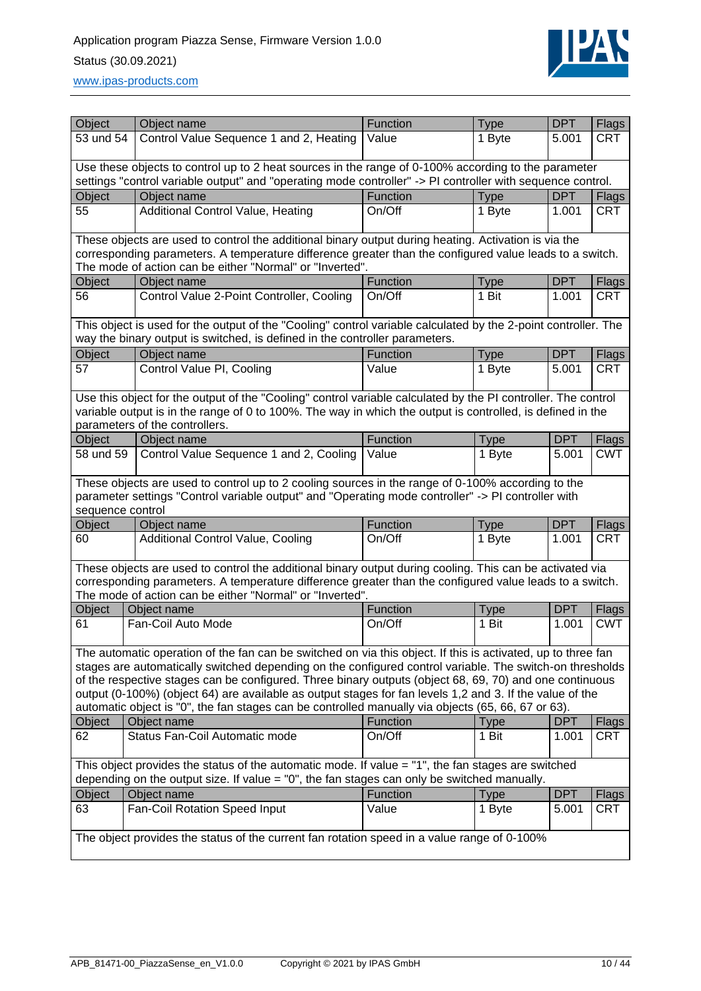# Application program Piazza Sense, Firmware Version 1.0.0 Status (30.09.2021)



[www.ipas-products.com](file:///C:/Users/APritula.IPASRS/Desktop/IP054%20(Piazza%20Sense)/Fertigung/Beschreibungen/www.ipas-products.com)

| Object           | Object name                                                                                                                                                                                                                 | Function | <b>Type</b>           | <b>DPT</b> | Flags                      |  |  |  |
|------------------|-----------------------------------------------------------------------------------------------------------------------------------------------------------------------------------------------------------------------------|----------|-----------------------|------------|----------------------------|--|--|--|
| 53 und 54        | Control Value Sequence 1 and 2, Heating                                                                                                                                                                                     | Value    | 1 Byte                | 5.001      | <b>CRT</b>                 |  |  |  |
|                  |                                                                                                                                                                                                                             |          |                       |            |                            |  |  |  |
|                  | Use these objects to control up to 2 heat sources in the range of 0-100% according to the parameter                                                                                                                         |          |                       |            |                            |  |  |  |
|                  | settings "control variable output" and "operating mode controller" -> PI controller with sequence control.                                                                                                                  |          |                       |            |                            |  |  |  |
| Object           | Object name                                                                                                                                                                                                                 | Function | <b>Type</b>           | <b>DPT</b> | Flags                      |  |  |  |
| 55               | <b>Additional Control Value, Heating</b>                                                                                                                                                                                    | On/Off   | 1 Byte                | 1.001      | <b>CRT</b>                 |  |  |  |
|                  | These objects are used to control the additional binary output during heating. Activation is via the                                                                                                                        |          |                       |            |                            |  |  |  |
|                  | corresponding parameters. A temperature difference greater than the configured value leads to a switch.<br>The mode of action can be either "Normal" or "Inverted".                                                         |          |                       |            |                            |  |  |  |
| Object           | Object name                                                                                                                                                                                                                 | Function | <b>Type</b>           | <b>DPT</b> | Flags                      |  |  |  |
| 56               | Control Value 2-Point Controller, Cooling                                                                                                                                                                                   | On/Off   | 1 Bit                 | 1.001      | <b>CRT</b>                 |  |  |  |
|                  | This object is used for the output of the "Cooling" control variable calculated by the 2-point controller. The                                                                                                              |          |                       |            |                            |  |  |  |
|                  | way the binary output is switched, is defined in the controller parameters.                                                                                                                                                 |          |                       |            |                            |  |  |  |
| Object           | Object name                                                                                                                                                                                                                 | Function | <b>Type</b>           | <b>DPT</b> | Flags                      |  |  |  |
| 57               | Control Value PI, Cooling                                                                                                                                                                                                   | Value    | 1 Byte                | 5.001      | <b>CRT</b>                 |  |  |  |
|                  |                                                                                                                                                                                                                             |          |                       |            |                            |  |  |  |
|                  | Use this object for the output of the "Cooling" control variable calculated by the PI controller. The control<br>variable output is in the range of 0 to 100%. The way in which the output is controlled, is defined in the |          |                       |            |                            |  |  |  |
|                  | parameters of the controllers.                                                                                                                                                                                              |          |                       |            |                            |  |  |  |
| Object           | Object name                                                                                                                                                                                                                 | Function | Type                  | <b>DPT</b> | Flags                      |  |  |  |
| 58 und 59        | Control Value Sequence 1 and 2, Cooling                                                                                                                                                                                     | Value    | 1 Byte                | 5.001      | <b>CWT</b>                 |  |  |  |
|                  |                                                                                                                                                                                                                             |          |                       |            |                            |  |  |  |
|                  | These objects are used to control up to 2 cooling sources in the range of 0-100% according to the                                                                                                                           |          |                       |            |                            |  |  |  |
|                  | parameter settings "Control variable output" and "Operating mode controller" -> PI controller with                                                                                                                          |          |                       |            |                            |  |  |  |
| sequence control |                                                                                                                                                                                                                             | Function |                       | <b>DPT</b> |                            |  |  |  |
| Object<br>60     | Object name<br><b>Additional Control Value, Cooling</b>                                                                                                                                                                     | On/Off   | <b>Type</b><br>1 Byte | 1.001      | <b>Flags</b><br><b>CRT</b> |  |  |  |
|                  |                                                                                                                                                                                                                             |          |                       |            |                            |  |  |  |
|                  | These objects are used to control the additional binary output during cooling. This can be activated via                                                                                                                    |          |                       |            |                            |  |  |  |
|                  | corresponding parameters. A temperature difference greater than the configured value leads to a switch.                                                                                                                     |          |                       |            |                            |  |  |  |
|                  | The mode of action can be either "Normal" or "Inverted".                                                                                                                                                                    |          |                       |            |                            |  |  |  |
| Object           | Object name                                                                                                                                                                                                                 | Function | Type                  | <b>DPT</b> | Flags                      |  |  |  |
| 61               | Fan-Coil Auto Mode                                                                                                                                                                                                          | On/Off   | 1 Bit                 | 1.001      | <b>CWT</b>                 |  |  |  |
|                  | The automatic operation of the fan can be switched on via this object. If this is activated, up to three fan                                                                                                                |          |                       |            |                            |  |  |  |
|                  | stages are automatically switched depending on the configured control variable. The switch-on thresholds                                                                                                                    |          |                       |            |                            |  |  |  |
|                  | of the respective stages can be configured. Three binary outputs (object 68, 69, 70) and one continuous                                                                                                                     |          |                       |            |                            |  |  |  |
|                  | output (0-100%) (object 64) are available as output stages for fan levels 1,2 and 3. If the value of the                                                                                                                    |          |                       |            |                            |  |  |  |
|                  | automatic object is "0", the fan stages can be controlled manually via objects (65, 66, 67 or 63).                                                                                                                          |          |                       |            |                            |  |  |  |
| Object           | Object name                                                                                                                                                                                                                 | Function | <b>Type</b>           | <b>DPT</b> | Flags                      |  |  |  |
| 62               | Status Fan-Coil Automatic mode                                                                                                                                                                                              | On/Off   | 1 Bit                 | 1.001      | <b>CRT</b>                 |  |  |  |
|                  | This object provides the status of the automatic mode. If value = "1", the fan stages are switched                                                                                                                          |          |                       |            |                            |  |  |  |
|                  | depending on the output size. If value $=$ "0", the fan stages can only be switched manually.                                                                                                                               |          |                       |            |                            |  |  |  |
| Object           | Object name                                                                                                                                                                                                                 | Function | <b>Type</b>           | <b>DPT</b> | Flags                      |  |  |  |
| 63               | Fan-Coil Rotation Speed Input                                                                                                                                                                                               | Value    | 1 Byte                | 5.001      | <b>CRT</b>                 |  |  |  |
|                  |                                                                                                                                                                                                                             |          |                       |            |                            |  |  |  |
|                  | The object provides the status of the current fan rotation speed in a value range of 0-100%                                                                                                                                 |          |                       |            |                            |  |  |  |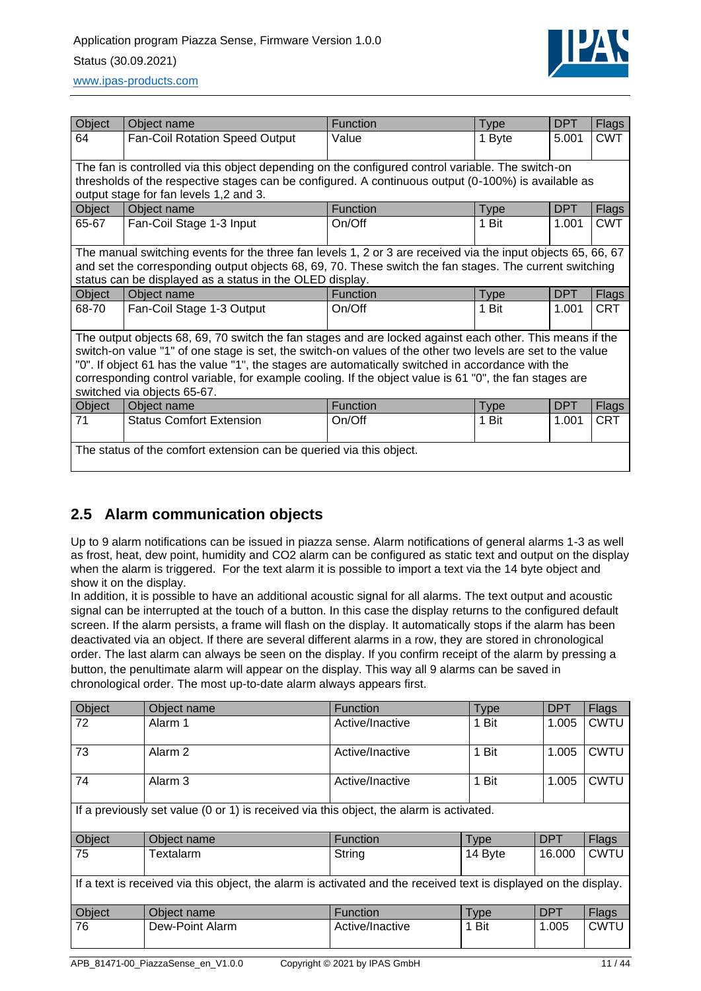## Application program Piazza Sense, Firmware Version 1.0.0 Status (30.09.2021)



| Object | Object name                                                                                                  | Function        | <b>Type</b> | <b>DPT</b> | Flags        |
|--------|--------------------------------------------------------------------------------------------------------------|-----------------|-------------|------------|--------------|
| 64     | Fan-Coil Rotation Speed Output                                                                               | Value           | 1 Byte      | 5.001      | <b>CWT</b>   |
|        |                                                                                                              |                 |             |            |              |
|        | The fan is controlled via this object depending on the configured control variable. The switch-on            |                 |             |            |              |
|        | thresholds of the respective stages can be configured. A continuous output (0-100%) is available as          |                 |             |            |              |
|        | output stage for fan levels 1,2 and 3.                                                                       |                 |             |            |              |
| Object | Object name                                                                                                  | <b>Function</b> | <b>Type</b> | <b>DPT</b> | Flags        |
| 65-67  | Fan-Coil Stage 1-3 Input                                                                                     | On/Off          | 1 Bit       | 1.001      | <b>CWT</b>   |
|        |                                                                                                              |                 |             |            |              |
|        | The manual switching events for the three fan levels 1, 2 or 3 are received via the input objects 65, 66, 67 |                 |             |            |              |
|        | and set the corresponding output objects 68, 69, 70. These switch the fan stages. The current switching      |                 |             |            |              |
|        | status can be displayed as a status in the OLED display.                                                     |                 |             |            |              |
| Object | Object name                                                                                                  | Function        | <b>Type</b> | <b>DPT</b> | <b>Flags</b> |
| 68-70  | Fan-Coil Stage 1-3 Output                                                                                    | On/Off          | 1 Bit       | 1.001      | <b>CRT</b>   |
|        |                                                                                                              |                 |             |            |              |
|        | The output objects 68, 69, 70 switch the fan stages and are locked against each other. This means if the     |                 |             |            |              |
|        | switch-on value "1" of one stage is set, the switch-on values of the other two levels are set to the value   |                 |             |            |              |
|        | "0". If object 61 has the value "1", the stages are automatically switched in accordance with the            |                 |             |            |              |
|        | corresponding control variable, for example cooling. If the object value is 61 "0", the fan stages are       |                 |             |            |              |
|        | switched via objects 65-67.                                                                                  |                 |             |            |              |
| Object | Object name                                                                                                  | <b>Function</b> | <b>Type</b> | <b>DPT</b> | Flags        |
| 71     | <b>Status Comfort Extension</b>                                                                              | On/Off          | 1 Bit       | 1.001      | <b>CRT</b>   |
|        |                                                                                                              |                 |             |            |              |
|        | The status of the comfort extension can be queried via this object.                                          |                 |             |            |              |
|        |                                                                                                              |                 |             |            |              |

## <span id="page-10-0"></span>**2.5 Alarm communication objects**

Up to 9 alarm notifications can be issued in piazza sense. Alarm notifications of general alarms 1-3 as well as frost, heat, dew point, humidity and CO2 alarm can be configured as static text and output on the display when the alarm is triggered. For the text alarm it is possible to import a text via the 14 byte object and show it on the display.

In addition, it is possible to have an additional acoustic signal for all alarms. The text output and acoustic signal can be interrupted at the touch of a button. In this case the display returns to the configured default screen. If the alarm persists, a frame will flash on the display. It automatically stops if the alarm has been deactivated via an object. If there are several different alarms in a row, they are stored in chronological order. The last alarm can always be seen on the display. If you confirm receipt of the alarm by pressing a button, the penultimate alarm will appear on the display. This way all 9 alarms can be saved in chronological order. The most up-to-date alarm always appears first.

| Object | Object name                                                                                                      | <b>Function</b> | <b>Type</b> | <b>DPT</b> | <b>Flags</b> |
|--------|------------------------------------------------------------------------------------------------------------------|-----------------|-------------|------------|--------------|
| 72     | Alarm 1                                                                                                          | Active/Inactive | 1 Bit       | 1.005      | <b>CWTU</b>  |
| 73     | Alarm <sub>2</sub>                                                                                               | Active/Inactive | 1 Bit       | 1.005      | <b>CWTU</b>  |
| 74     | Alarm <sub>3</sub>                                                                                               | Active/Inactive | 1 Bit       | 1.005      | <b>CWTU</b>  |
|        | If a previously set value (0 or 1) is received via this object, the alarm is activated.                          |                 |             |            |              |
| Object | Object name                                                                                                      | <b>Function</b> | <b>Type</b> | <b>DPT</b> | <b>Flags</b> |
| 75     | Textalarm                                                                                                        | String          | 14 Byte     | 16.000     | <b>CWTU</b>  |
|        | If a text is received via this object, the alarm is activated and the received text is displayed on the display. |                 |             |            |              |
| Object | Object name                                                                                                      | Function        | <b>Type</b> | <b>DPT</b> | <b>Flags</b> |
| 76     | Dew-Point Alarm                                                                                                  | Active/Inactive | 1 Bit       | 1.005      | <b>CWTU</b>  |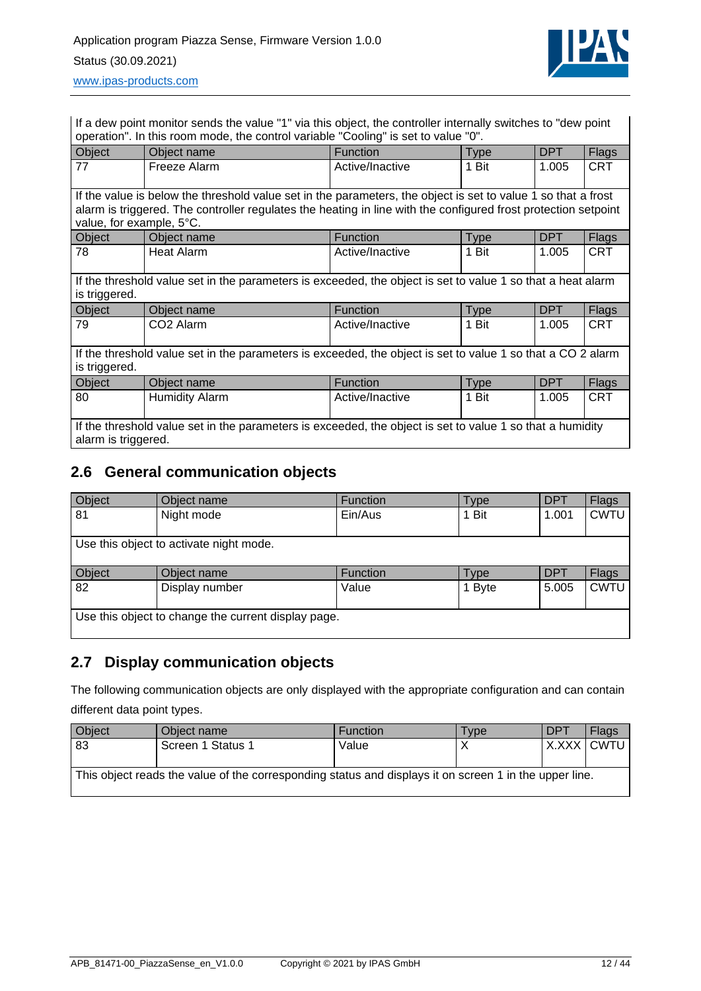

[www.ipas-products.com](file:///C:/Users/APritula.IPASRS/Desktop/IP054%20(Piazza%20Sense)/Fertigung/Beschreibungen/www.ipas-products.com)

If a dew point monitor sends the value "1" via this object, the controller internally switches to "dew point operation". In this room mode, the control variable "Cooling" is set to value "0".

| Object                                                                                                                                                                                                                                                                                                                                                                                                                      | Object name           | <b>Function</b> | <b>Type</b> | DPT        | <b>Flags</b> |
|-----------------------------------------------------------------------------------------------------------------------------------------------------------------------------------------------------------------------------------------------------------------------------------------------------------------------------------------------------------------------------------------------------------------------------|-----------------------|-----------------|-------------|------------|--------------|
| 77                                                                                                                                                                                                                                                                                                                                                                                                                          | Freeze Alarm          | Active/Inactive | 1 Bit       | 1.005      | <b>CRT</b>   |
| If the value is below the threshold value set in the parameters, the object is set to value 1 so that a frost<br>alarm is triggered. The controller regulates the heating in line with the configured frost protection setpoint<br>value, for example, 5°C.<br>Object<br><b>DPT</b><br>Object name<br><b>Function</b><br>Flags<br><b>Type</b><br><b>CRT</b><br><b>Heat Alarm</b><br>1 Bit<br>1.005<br>78<br>Active/Inactive |                       |                 |             |            |              |
| If the threshold value set in the parameters is exceeded, the object is set to value 1 so that a heat alarm<br>is triggered.                                                                                                                                                                                                                                                                                                |                       |                 |             |            |              |
| Object                                                                                                                                                                                                                                                                                                                                                                                                                      | Object name           | <b>Function</b> | <b>Type</b> | <b>DPT</b> | Flags        |
| 79                                                                                                                                                                                                                                                                                                                                                                                                                          | CO <sub>2</sub> Alarm | Active/Inactive | 1 Bit       | 1.005      | <b>CRT</b>   |
| If the threshold value set in the parameters is exceeded, the object is set to value 1 so that a CO 2 alarm<br>is triggered.                                                                                                                                                                                                                                                                                                |                       |                 |             |            |              |
| Object                                                                                                                                                                                                                                                                                                                                                                                                                      | Object name           | <b>Function</b> | <b>Type</b> | <b>DPT</b> | Flags        |
| 80                                                                                                                                                                                                                                                                                                                                                                                                                          | <b>Humidity Alarm</b> | Active/Inactive | 1 Bit       | 1.005      | <b>CRT</b>   |
| If the threshold value set in the parameters is exceeded, the object is set to value 1 so that a humidity<br>alarm is triggered.                                                                                                                                                                                                                                                                                            |                       |                 |             |            |              |

## <span id="page-11-0"></span>**2.6 General communication objects**

| Object | Object name                                         | Function | Гуре   | <b>DPT</b> | Flags       |
|--------|-----------------------------------------------------|----------|--------|------------|-------------|
| 81     | Night mode                                          | Ein/Aus  | 1 Bit  | 1.001      | <b>CWTU</b> |
|        |                                                     |          |        |            |             |
|        | Use this object to activate night mode.             |          |        |            |             |
|        |                                                     |          |        |            |             |
| Object | Object name                                         | Function | Гуре   | <b>DPT</b> | Flags       |
| 82     | Display number                                      | Value    | 1 Byte | 5.005      | <b>CWTU</b> |
|        |                                                     |          |        |            |             |
|        | Use this object to change the current display page. |          |        |            |             |
|        |                                                     |          |        |            |             |

## <span id="page-11-1"></span>**2.7 Display communication objects**

The following communication objects are only displayed with the appropriate configuration and can contain different data point types.

| Object                                                                                                 | Object name       | <b>Function</b> | Tvpe | <b>DPT</b> | Flags      |
|--------------------------------------------------------------------------------------------------------|-------------------|-----------------|------|------------|------------|
| 83                                                                                                     | Screen 1 Status 1 | Value           |      |            | X.XXX CWTU |
| This object reads the value of the corresponding status and displays it on screen 1 in the upper line. |                   |                 |      |            |            |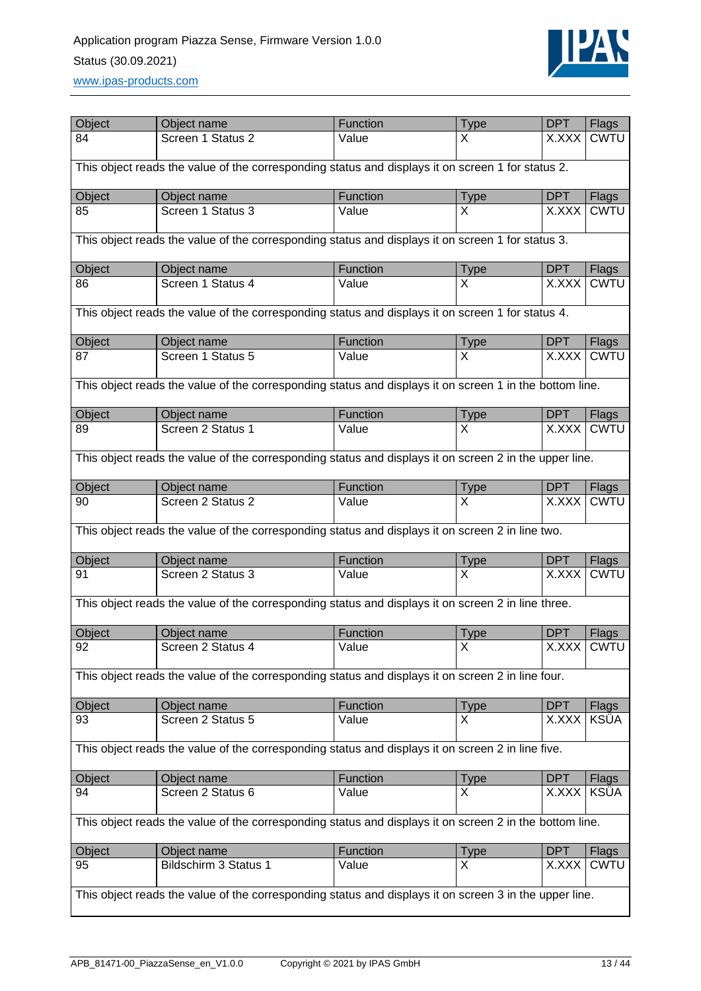## Application program Piazza Sense, Firmware Version 1.0.0 Status (30.09.2021) [www.ipas-products.com](file:///C:/Users/APritula.IPASRS/Desktop/IP054%20(Piazza%20Sense)/Fertigung/Beschreibungen/www.ipas-products.com)



| Object                                                                                                  | Object name                                                                                             | Function | <b>Type</b> | <b>DPT</b> | <b>Flags</b> |
|---------------------------------------------------------------------------------------------------------|---------------------------------------------------------------------------------------------------------|----------|-------------|------------|--------------|
| 84                                                                                                      | Screen 1 Status 2                                                                                       | Value    | x           | X.XXX      | <b>CWTU</b>  |
| This object reads the value of the corresponding status and displays it on screen 1 for status 2.       |                                                                                                         |          |             |            |              |
| Object                                                                                                  | Object name                                                                                             | Function | <b>Type</b> | <b>DPT</b> | Flags        |
| 85                                                                                                      | Screen 1 Status 3                                                                                       | Value    | X           | X.XXX      | <b>CWTU</b>  |
|                                                                                                         | This object reads the value of the corresponding status and displays it on screen 1 for status 3.       |          |             |            |              |
| Object                                                                                                  | Object name                                                                                             | Function | <b>Type</b> | <b>DPT</b> | Flags        |
| 86                                                                                                      | Screen 1 Status 4                                                                                       | Value    | X           | X.XXX      | <b>CWTU</b>  |
|                                                                                                         | This object reads the value of the corresponding status and displays it on screen 1 for status 4.       |          |             |            |              |
| Object                                                                                                  | Object name                                                                                             | Function | <b>Type</b> | <b>DPT</b> | Flags        |
| 87                                                                                                      | Screen 1 Status 5                                                                                       | Value    | X           | X.XXX      | <b>CWTU</b>  |
|                                                                                                         | This object reads the value of the corresponding status and displays it on screen 1 in the bottom line. |          |             |            |              |
| Object                                                                                                  | Object name                                                                                             | Function | <b>Type</b> | <b>DPT</b> | <b>Flags</b> |
| 89                                                                                                      | Screen 2 Status 1                                                                                       | Value    | X           | X.XXX      | <b>CWTU</b>  |
|                                                                                                         | This object reads the value of the corresponding status and displays it on screen 2 in the upper line.  |          |             |            |              |
| Object                                                                                                  | Object name                                                                                             | Function | <b>Type</b> | <b>DPT</b> | Flags        |
| 90                                                                                                      | Screen 2 Status 2                                                                                       | Value    | X           | X.XXX      | <b>CWTU</b>  |
|                                                                                                         | This object reads the value of the corresponding status and displays it on screen 2 in line two.        |          |             |            |              |
| Object                                                                                                  | Object name                                                                                             | Function | <b>Type</b> | <b>DPT</b> | <b>Flags</b> |
| 91                                                                                                      | Screen 2 Status 3                                                                                       | Value    | X           | X.XXX      | <b>CWTU</b>  |
|                                                                                                         | This object reads the value of the corresponding status and displays it on screen 2 in line three.      |          |             |            |              |
| Object                                                                                                  | Object name                                                                                             | Function | <b>Type</b> | <b>DPT</b> | Flags        |
| 92                                                                                                      | Screen 2 Status 4                                                                                       | Value    | X           |            | X.XXX CWTU   |
|                                                                                                         | This object reads the value of the corresponding status and displays it on screen 2 in line four.       |          |             |            |              |
| Object                                                                                                  | Object name                                                                                             | Function | <b>Type</b> | <b>DPT</b> | Flags        |
| 93                                                                                                      | Screen 2 Status 5                                                                                       | Value    | X           | X.XXX      | <b>KSÜA</b>  |
|                                                                                                         | This object reads the value of the corresponding status and displays it on screen 2 in line five.       |          |             |            |              |
| Object                                                                                                  | Object name                                                                                             | Function | <b>Type</b> | <b>DPT</b> | <b>Flags</b> |
| 94                                                                                                      | Screen 2 Status 6                                                                                       | Value    | X           | X.XXX      | <b>KSÜA</b>  |
| This object reads the value of the corresponding status and displays it on screen 2 in the bottom line. |                                                                                                         |          |             |            |              |
| Object                                                                                                  | Object name                                                                                             | Function | <b>Type</b> | <b>DPT</b> | Flags        |
| 95                                                                                                      | Bildschirm 3 Status 1                                                                                   | Value    | X           | X.XXX      | CWTU         |
| This object reads the value of the corresponding status and displays it on screen 3 in the upper line.  |                                                                                                         |          |             |            |              |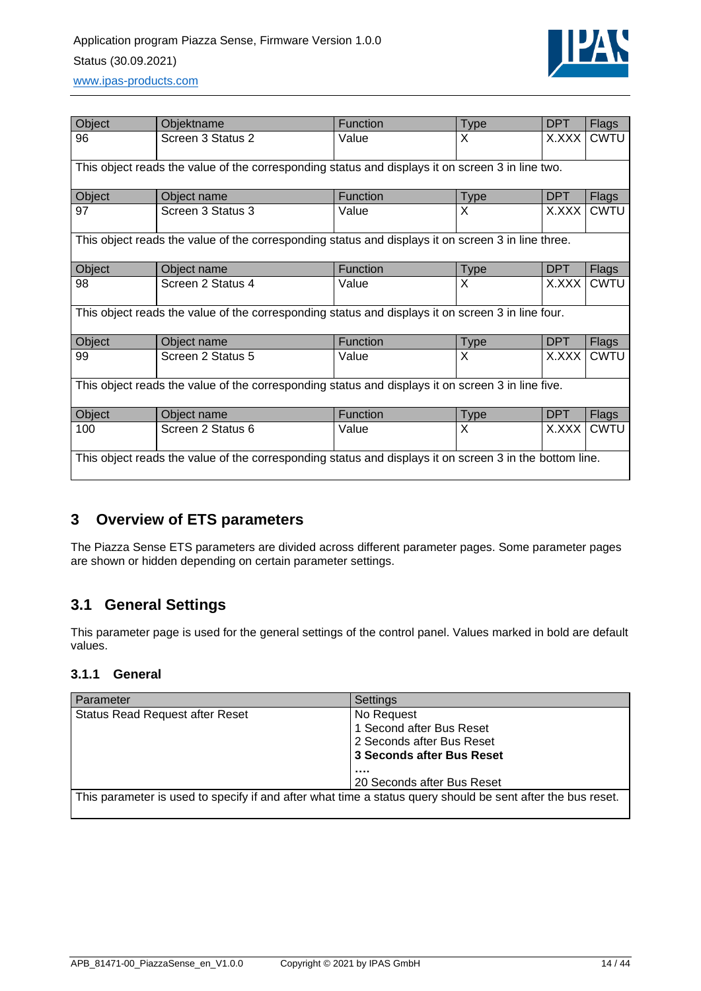## Application program Piazza Sense, Firmware Version 1.0.0 Status (30.09.2021) [www.ipas-products.com](file:///C:/Users/APritula.IPASRS/Desktop/IP054%20(Piazza%20Sense)/Fertigung/Beschreibungen/www.ipas-products.com)



| Object                                                                                                  | Objektname                                                                                         | <b>Function</b> | <b>Type</b> | <b>DPT</b> | <b>Flags</b> |
|---------------------------------------------------------------------------------------------------------|----------------------------------------------------------------------------------------------------|-----------------|-------------|------------|--------------|
| 96                                                                                                      | Screen 3 Status 2                                                                                  | Value           | X           | X.XXX      | <b>CWTU</b>  |
|                                                                                                         | This object reads the value of the corresponding status and displays it on screen 3 in line two.   |                 |             |            |              |
| Object                                                                                                  | Object name                                                                                        | Function        | <b>Type</b> | DPT        | Flags        |
| 97                                                                                                      | Screen 3 Status 3                                                                                  | Value           | X           | X.XXX      | CWTU         |
|                                                                                                         | This object reads the value of the corresponding status and displays it on screen 3 in line three. |                 |             |            |              |
| Object                                                                                                  | Object name                                                                                        | <b>Function</b> | <b>Type</b> | <b>DPT</b> | <b>Flags</b> |
| 98                                                                                                      | Screen 2 Status 4                                                                                  | Value           | X           | X.XXX      | <b>CWTU</b>  |
|                                                                                                         | This object reads the value of the corresponding status and displays it on screen 3 in line four.  |                 |             |            |              |
| Object                                                                                                  | Object name                                                                                        | <b>Function</b> | <b>Type</b> | DPT        | Flags        |
| 99                                                                                                      | Screen 2 Status 5                                                                                  | Value           | X           | X.XXX      | <b>CWTU</b>  |
| This object reads the value of the corresponding status and displays it on screen 3 in line five.       |                                                                                                    |                 |             |            |              |
| Object                                                                                                  | Object name                                                                                        | <b>Function</b> | <b>Type</b> | <b>DPT</b> | Flags        |
| 100                                                                                                     | Screen 2 Status 6                                                                                  | Value           | X           | X.XXX      | <b>CWTU</b>  |
| This object reads the value of the corresponding status and displays it on screen 3 in the bottom line. |                                                                                                    |                 |             |            |              |

## <span id="page-13-0"></span>**3 Overview of ETS parameters**

The Piazza Sense ETS parameters are divided across different parameter pages. Some parameter pages are shown or hidden depending on certain parameter settings.

## <span id="page-13-1"></span>**3.1 General Settings**

This parameter page is used for the general settings of the control panel. Values marked in bold are default values.

### <span id="page-13-2"></span>**3.1.1 General**

| Parameter                                                                                                   | Settings                                                            |
|-------------------------------------------------------------------------------------------------------------|---------------------------------------------------------------------|
| <b>Status Read Request after Reset</b>                                                                      | No Request<br>1 Second after Bus Reset<br>2 Seconds after Bus Reset |
|                                                                                                             | 3 Seconds after Bus Reset<br><br>20 Seconds after Bus Reset         |
| This parameter is used to specify if and after what time a status query should be sent after the bus reset. |                                                                     |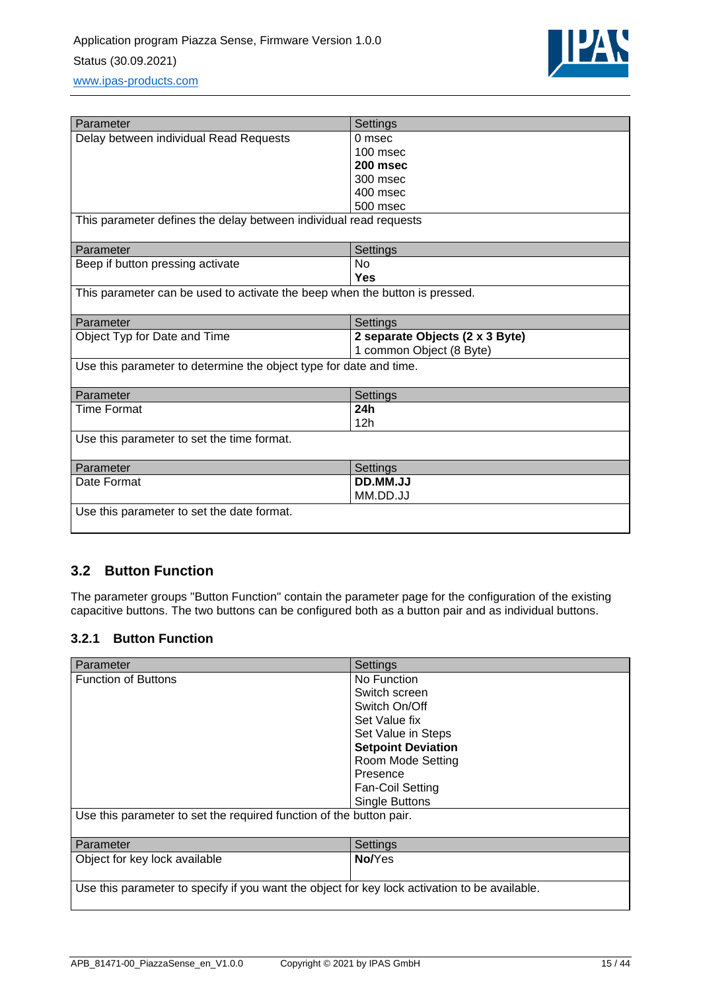

| Parameter                                                                   | Settings                        |
|-----------------------------------------------------------------------------|---------------------------------|
| Delay between individual Read Requests                                      | $0$ msec                        |
|                                                                             | 100 msec                        |
|                                                                             | 200 msec                        |
|                                                                             | 300 msec                        |
|                                                                             | 400 msec                        |
|                                                                             | 500 msec                        |
| This parameter defines the delay between individual read requests           |                                 |
| Parameter                                                                   | Settings                        |
| Beep if button pressing activate                                            | <b>No</b>                       |
|                                                                             | <b>Yes</b>                      |
| This parameter can be used to activate the beep when the button is pressed. |                                 |
|                                                                             |                                 |
| Parameter                                                                   | Settings                        |
| Object Typ for Date and Time                                                | 2 separate Objects (2 x 3 Byte) |
|                                                                             | 1 common Object (8 Byte)        |
| Use this parameter to determine the object type for date and time.          |                                 |
|                                                                             |                                 |
| Parameter                                                                   | Settings                        |
| Time Format                                                                 | 24h                             |
|                                                                             | 12h                             |
| Use this parameter to set the time format.                                  |                                 |
|                                                                             |                                 |
| Parameter                                                                   | Settings                        |
| Date Format                                                                 | DD.MM.JJ                        |
|                                                                             | MM.DD.JJ                        |
| Use this parameter to set the date format.                                  |                                 |

## <span id="page-14-0"></span>**3.2 Button Function**

The parameter groups "Button Function" contain the parameter page for the configuration of the existing capacitive buttons. The two buttons can be configured both as a button pair and as individual buttons.

### <span id="page-14-1"></span>**3.2.1 Button Function**

| Parameter                                                                                     | Settings                  |  |  |
|-----------------------------------------------------------------------------------------------|---------------------------|--|--|
| <b>Function of Buttons</b>                                                                    | No Function               |  |  |
|                                                                                               | Switch screen             |  |  |
|                                                                                               | Switch On/Off             |  |  |
|                                                                                               | Set Value fix             |  |  |
|                                                                                               | Set Value in Steps        |  |  |
|                                                                                               | <b>Setpoint Deviation</b> |  |  |
|                                                                                               | Room Mode Setting         |  |  |
|                                                                                               | Presence                  |  |  |
|                                                                                               | <b>Fan-Coil Setting</b>   |  |  |
|                                                                                               | <b>Single Buttons</b>     |  |  |
| Use this parameter to set the required function of the button pair.                           |                           |  |  |
|                                                                                               |                           |  |  |
| Parameter                                                                                     | Settings                  |  |  |
| Object for key lock available                                                                 | No/Yes                    |  |  |
|                                                                                               |                           |  |  |
| Use this parameter to specify if you want the object for key lock activation to be available. |                           |  |  |
|                                                                                               |                           |  |  |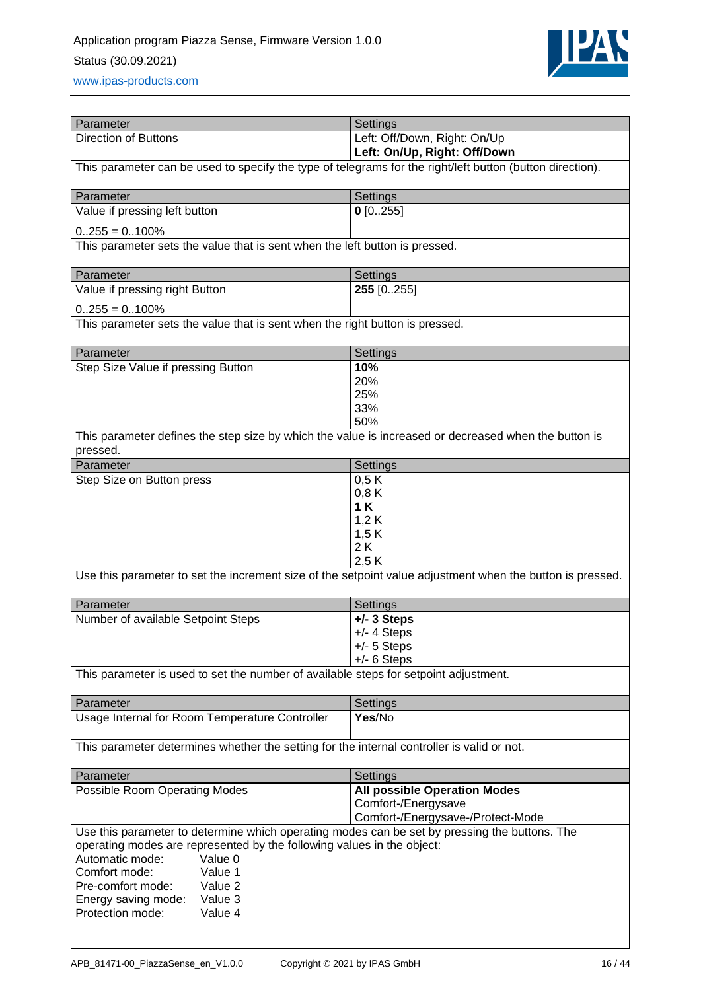

[www.ipas-products.com](file:///C:/Users/APritula.IPASRS/Desktop/IP054%20(Piazza%20Sense)/Fertigung/Beschreibungen/www.ipas-products.com)

| Parameter                                                                                                                          | Settings                                                                                                  |  |  |  |
|------------------------------------------------------------------------------------------------------------------------------------|-----------------------------------------------------------------------------------------------------------|--|--|--|
| <b>Direction of Buttons</b>                                                                                                        | Left: Off/Down, Right: On/Up                                                                              |  |  |  |
|                                                                                                                                    | Left: On/Up, Right: Off/Down                                                                              |  |  |  |
| This parameter can be used to specify the type of telegrams for the right/left button (button direction).                          |                                                                                                           |  |  |  |
| Parameter                                                                                                                          | Settings                                                                                                  |  |  |  |
| Value if pressing left button                                                                                                      | $0$ [0255]                                                                                                |  |  |  |
| $0.255 = 0.100\%$                                                                                                                  |                                                                                                           |  |  |  |
| This parameter sets the value that is sent when the left button is pressed.                                                        |                                                                                                           |  |  |  |
| Parameter                                                                                                                          | Settings                                                                                                  |  |  |  |
| Value if pressing right Button                                                                                                     | 255 [0255]                                                                                                |  |  |  |
| $0.255 = 0.100\%$                                                                                                                  |                                                                                                           |  |  |  |
| This parameter sets the value that is sent when the right button is pressed.                                                       |                                                                                                           |  |  |  |
| Parameter                                                                                                                          | Settings                                                                                                  |  |  |  |
| Step Size Value if pressing Button                                                                                                 | 10%                                                                                                       |  |  |  |
|                                                                                                                                    | 20%<br>25%                                                                                                |  |  |  |
|                                                                                                                                    | 33%                                                                                                       |  |  |  |
|                                                                                                                                    | 50%                                                                                                       |  |  |  |
| This parameter defines the step size by which the value is increased or decreased when the button is<br>pressed.                   |                                                                                                           |  |  |  |
| Parameter                                                                                                                          | Settings                                                                                                  |  |  |  |
| Step Size on Button press                                                                                                          | 0,5K                                                                                                      |  |  |  |
|                                                                                                                                    | 0,8K<br>1K                                                                                                |  |  |  |
|                                                                                                                                    | 1,2K                                                                                                      |  |  |  |
|                                                                                                                                    | 1,5 K                                                                                                     |  |  |  |
|                                                                                                                                    | 2K                                                                                                        |  |  |  |
|                                                                                                                                    | 2,5K                                                                                                      |  |  |  |
|                                                                                                                                    | Use this parameter to set the increment size of the setpoint value adjustment when the button is pressed. |  |  |  |
| Parameter                                                                                                                          | Settings                                                                                                  |  |  |  |
| Number of available Setpoint Steps                                                                                                 | $+/- 3$ Steps                                                                                             |  |  |  |
|                                                                                                                                    | $+/- 4$ Steps<br>$+/- 5$ Steps                                                                            |  |  |  |
|                                                                                                                                    | $+/- 6$ Steps                                                                                             |  |  |  |
| This parameter is used to set the number of available steps for setpoint adjustment.                                               |                                                                                                           |  |  |  |
| Parameter                                                                                                                          | Settings                                                                                                  |  |  |  |
| Usage Internal for Room Temperature Controller                                                                                     | Yes/No                                                                                                    |  |  |  |
| This parameter determines whether the setting for the internal controller is valid or not.                                         |                                                                                                           |  |  |  |
| Parameter                                                                                                                          | Settings                                                                                                  |  |  |  |
| Possible Room Operating Modes                                                                                                      | <b>All possible Operation Modes</b>                                                                       |  |  |  |
|                                                                                                                                    | Comfort-/Energysave                                                                                       |  |  |  |
| Comfort-/Energysave-/Protect-Mode<br>Use this parameter to determine which operating modes can be set by pressing the buttons. The |                                                                                                           |  |  |  |
| operating modes are represented by the following values in the object:                                                             |                                                                                                           |  |  |  |
| Automatic mode:<br>Value 0                                                                                                         |                                                                                                           |  |  |  |
| Comfort mode:<br>Value 1                                                                                                           |                                                                                                           |  |  |  |
| Pre-comfort mode:<br>Value 2                                                                                                       |                                                                                                           |  |  |  |
| Value 3<br>Energy saving mode:<br>Protection mode:<br>Value 4                                                                      |                                                                                                           |  |  |  |
|                                                                                                                                    |                                                                                                           |  |  |  |
|                                                                                                                                    |                                                                                                           |  |  |  |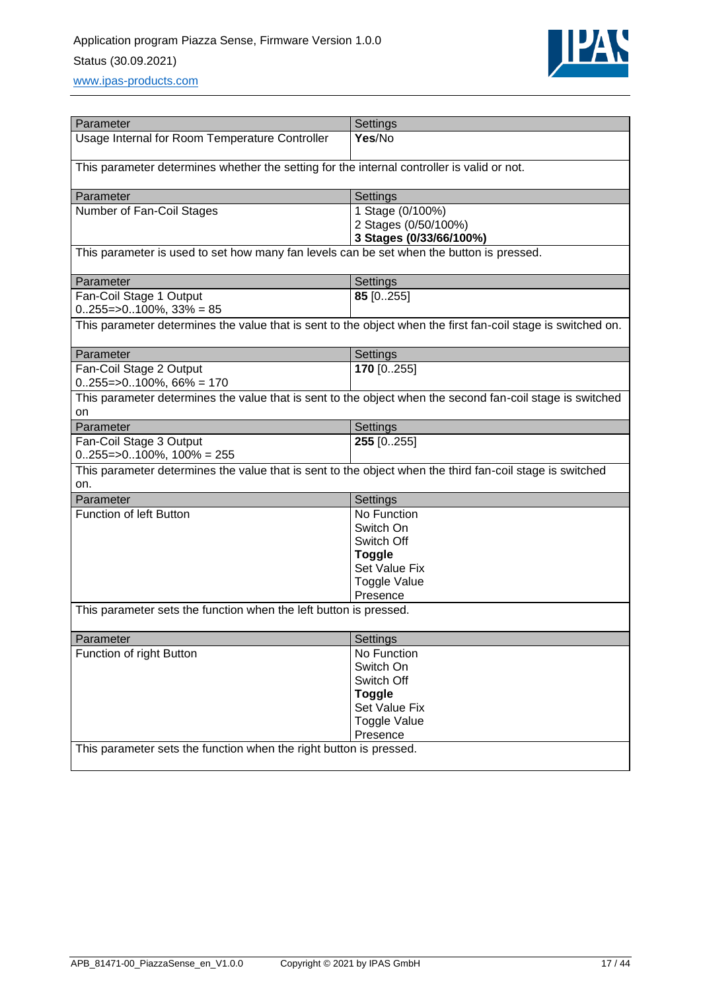

| Parameter                                                                                                | Settings                                                                                                     |  |  |
|----------------------------------------------------------------------------------------------------------|--------------------------------------------------------------------------------------------------------------|--|--|
| Usage Internal for Room Temperature Controller                                                           | Yes/No                                                                                                       |  |  |
|                                                                                                          |                                                                                                              |  |  |
| This parameter determines whether the setting for the internal controller is valid or not.               |                                                                                                              |  |  |
|                                                                                                          |                                                                                                              |  |  |
| Parameter                                                                                                | Settings                                                                                                     |  |  |
| Number of Fan-Coil Stages                                                                                | 1 Stage (0/100%)                                                                                             |  |  |
|                                                                                                          | 2 Stages (0/50/100%)                                                                                         |  |  |
|                                                                                                          | 3 Stages (0/33/66/100%)                                                                                      |  |  |
| This parameter is used to set how many fan levels can be set when the button is pressed.                 |                                                                                                              |  |  |
|                                                                                                          |                                                                                                              |  |  |
| Parameter                                                                                                | Settings                                                                                                     |  |  |
| Fan-Coil Stage 1 Output                                                                                  | 85 [0255]                                                                                                    |  |  |
| $0.255 = >0.100\%$ , 33% = 85                                                                            |                                                                                                              |  |  |
|                                                                                                          | This parameter determines the value that is sent to the object when the first fan-coil stage is switched on. |  |  |
|                                                                                                          |                                                                                                              |  |  |
| Parameter                                                                                                | Settings                                                                                                     |  |  |
| Fan-Coil Stage 2 Output                                                                                  | 170 [0255]                                                                                                   |  |  |
| $0.255 = >0.100\%$ , 66% = 170                                                                           |                                                                                                              |  |  |
|                                                                                                          | This parameter determines the value that is sent to the object when the second fan-coil stage is switched    |  |  |
| on                                                                                                       |                                                                                                              |  |  |
| Parameter                                                                                                | Settings                                                                                                     |  |  |
| Fan-Coil Stage 3 Output                                                                                  | 255 [0255]                                                                                                   |  |  |
| $0.255 = >0.100\%$ , $100\% = 255$                                                                       |                                                                                                              |  |  |
| This parameter determines the value that is sent to the object when the third fan-coil stage is switched |                                                                                                              |  |  |
| on.                                                                                                      |                                                                                                              |  |  |
| Parameter                                                                                                | Settings                                                                                                     |  |  |
| <b>Function of left Button</b>                                                                           | No Function                                                                                                  |  |  |
|                                                                                                          | Switch On                                                                                                    |  |  |
|                                                                                                          | Switch Off                                                                                                   |  |  |
|                                                                                                          | <b>Toggle</b>                                                                                                |  |  |
|                                                                                                          | Set Value Fix                                                                                                |  |  |
|                                                                                                          | <b>Toggle Value</b>                                                                                          |  |  |
|                                                                                                          | Presence                                                                                                     |  |  |
| This parameter sets the function when the left button is pressed.                                        |                                                                                                              |  |  |
|                                                                                                          |                                                                                                              |  |  |
| Parameter                                                                                                | Settings                                                                                                     |  |  |
| Function of right Button                                                                                 | No Function                                                                                                  |  |  |
|                                                                                                          | Switch On                                                                                                    |  |  |
|                                                                                                          | Switch Off                                                                                                   |  |  |
|                                                                                                          | <b>Toggle</b>                                                                                                |  |  |
|                                                                                                          | Set Value Fix                                                                                                |  |  |
|                                                                                                          | <b>Toggle Value</b>                                                                                          |  |  |
|                                                                                                          | Presence                                                                                                     |  |  |
| This parameter sets the function when the right button is pressed.                                       |                                                                                                              |  |  |
|                                                                                                          |                                                                                                              |  |  |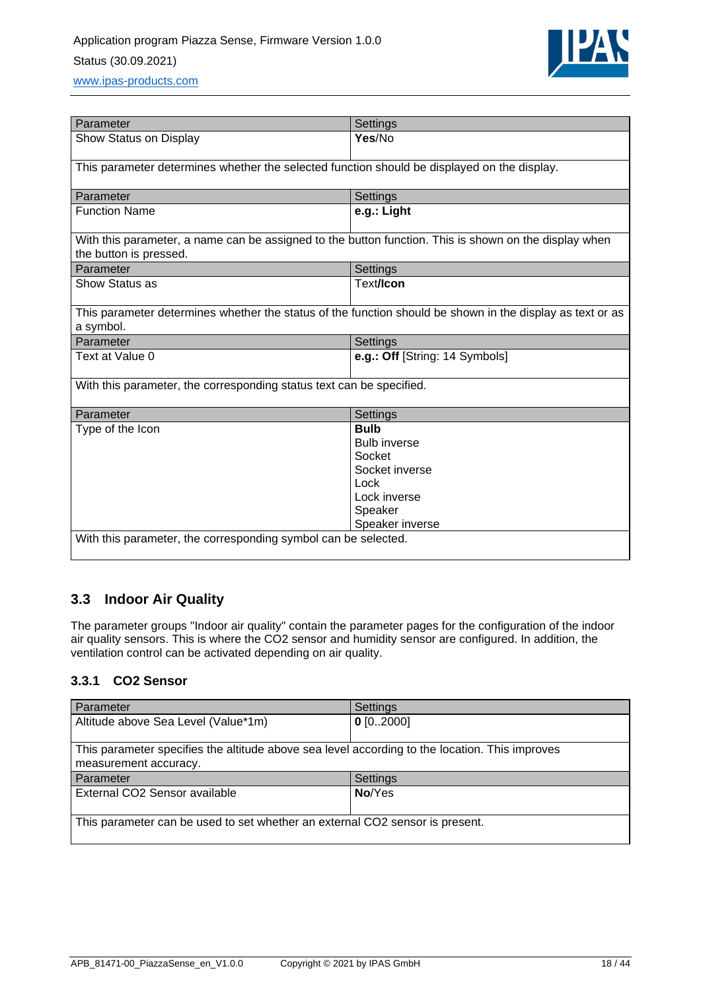

| Parameter                                                                                                                       | Settings                                                                                                             |  |
|---------------------------------------------------------------------------------------------------------------------------------|----------------------------------------------------------------------------------------------------------------------|--|
| Show Status on Display                                                                                                          | Yes/No                                                                                                               |  |
| This parameter determines whether the selected function should be displayed on the display.                                     |                                                                                                                      |  |
| Parameter                                                                                                                       | Settings                                                                                                             |  |
| <b>Function Name</b>                                                                                                            | e.g.: Light                                                                                                          |  |
| With this parameter, a name can be assigned to the button function. This is shown on the display when<br>the button is pressed. |                                                                                                                      |  |
| Parameter                                                                                                                       | Settings                                                                                                             |  |
| Show Status as                                                                                                                  | Text/Icon                                                                                                            |  |
| This parameter determines whether the status of the function should be shown in the display as text or as<br>a symbol.          |                                                                                                                      |  |
| Parameter                                                                                                                       | <b>Settings</b>                                                                                                      |  |
| Text at Value 0                                                                                                                 | e.g.: Off [String: 14 Symbols]                                                                                       |  |
| With this parameter, the corresponding status text can be specified.                                                            |                                                                                                                      |  |
| Parameter                                                                                                                       | Settings                                                                                                             |  |
| Type of the Icon<br>With this parameter, the corresponding symbol can be selected.                                              | <b>Bulb</b><br><b>Bulb inverse</b><br>Socket<br>Socket inverse<br>Lock<br>Lock inverse<br>Speaker<br>Speaker inverse |  |
|                                                                                                                                 |                                                                                                                      |  |

## <span id="page-17-0"></span>**3.3 Indoor Air Quality**

The parameter groups "Indoor air quality" contain the parameter pages for the configuration of the indoor air quality sensors. This is where the CO2 sensor and humidity sensor are configured. In addition, the ventilation control can be activated depending on air quality.

### <span id="page-17-1"></span>**3.3.1 CO2 Sensor**

| Parameter                                                                                                               | <b>Settings</b> |  |
|-------------------------------------------------------------------------------------------------------------------------|-----------------|--|
| Altitude above Sea Level (Value*1m)                                                                                     | $0$ [02000]     |  |
| This parameter specifies the altitude above sea level according to the location. This improves<br>measurement accuracy. |                 |  |
| Parameter                                                                                                               | Settings        |  |
| External CO2 Sensor available                                                                                           | No/Yes          |  |
| This parameter can be used to set whether an external CO2 sensor is present.                                            |                 |  |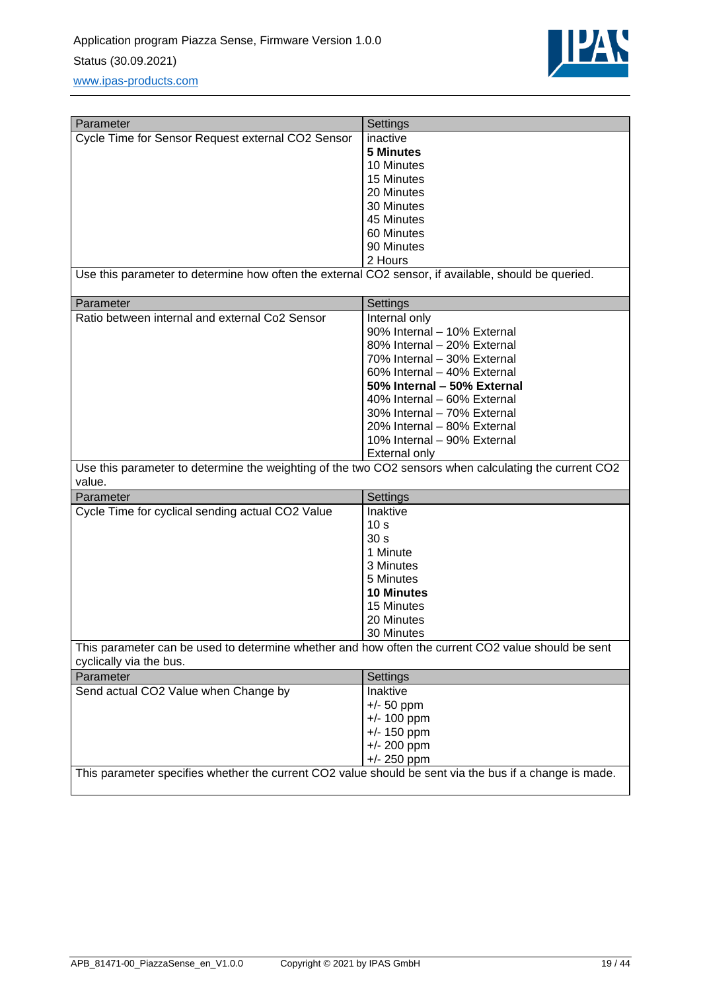

| Parameter                                                                                                                     | Settings                    |
|-------------------------------------------------------------------------------------------------------------------------------|-----------------------------|
| Cycle Time for Sensor Request external CO2 Sensor                                                                             | inactive                    |
|                                                                                                                               | <b>5 Minutes</b>            |
|                                                                                                                               | 10 Minutes                  |
|                                                                                                                               | 15 Minutes                  |
|                                                                                                                               | 20 Minutes                  |
|                                                                                                                               | 30 Minutes                  |
|                                                                                                                               | 45 Minutes                  |
|                                                                                                                               | 60 Minutes                  |
|                                                                                                                               | 90 Minutes                  |
|                                                                                                                               | 2 Hours                     |
| Use this parameter to determine how often the external CO2 sensor, if available, should be queried.                           |                             |
| Parameter                                                                                                                     | <b>Settings</b>             |
| Ratio between internal and external Co2 Sensor                                                                                | Internal only               |
|                                                                                                                               | 90% Internal - 10% External |
|                                                                                                                               | 80% Internal - 20% External |
|                                                                                                                               | 70% Internal - 30% External |
|                                                                                                                               | 60% Internal - 40% External |
|                                                                                                                               | 50% Internal - 50% External |
|                                                                                                                               | 40% Internal - 60% External |
|                                                                                                                               | 30% Internal - 70% External |
|                                                                                                                               | 20% Internal - 80% External |
|                                                                                                                               | 10% Internal - 90% External |
|                                                                                                                               | <b>External only</b>        |
| Use this parameter to determine the weighting of the two CO2 sensors when calculating the current CO2<br>value.               |                             |
| Parameter                                                                                                                     | Settings                    |
| Cycle Time for cyclical sending actual CO2 Value                                                                              | Inaktive                    |
|                                                                                                                               | 10 <sub>s</sub>             |
|                                                                                                                               | 30 <sub>s</sub>             |
|                                                                                                                               | 1 Minute                    |
|                                                                                                                               | 3 Minutes                   |
|                                                                                                                               | 5 Minutes                   |
|                                                                                                                               | <b>10 Minutes</b>           |
|                                                                                                                               | 15 Minutes                  |
|                                                                                                                               | 20 Minutes                  |
|                                                                                                                               | 30 Minutes                  |
| This parameter can be used to determine whether and how often the current CO2 value should be sent<br>cyclically via the bus. |                             |
| Parameter                                                                                                                     | Settings                    |
| Send actual CO2 Value when Change by                                                                                          | Inaktive                    |
|                                                                                                                               | $+/- 50$ ppm                |
|                                                                                                                               | $+/- 100$ ppm               |
|                                                                                                                               | $+/- 150$ ppm               |
|                                                                                                                               | $+/- 200$ ppm               |
|                                                                                                                               | $+/- 250$ ppm               |
| This parameter specifies whether the current CO2 value should be sent via the bus if a change is made.                        |                             |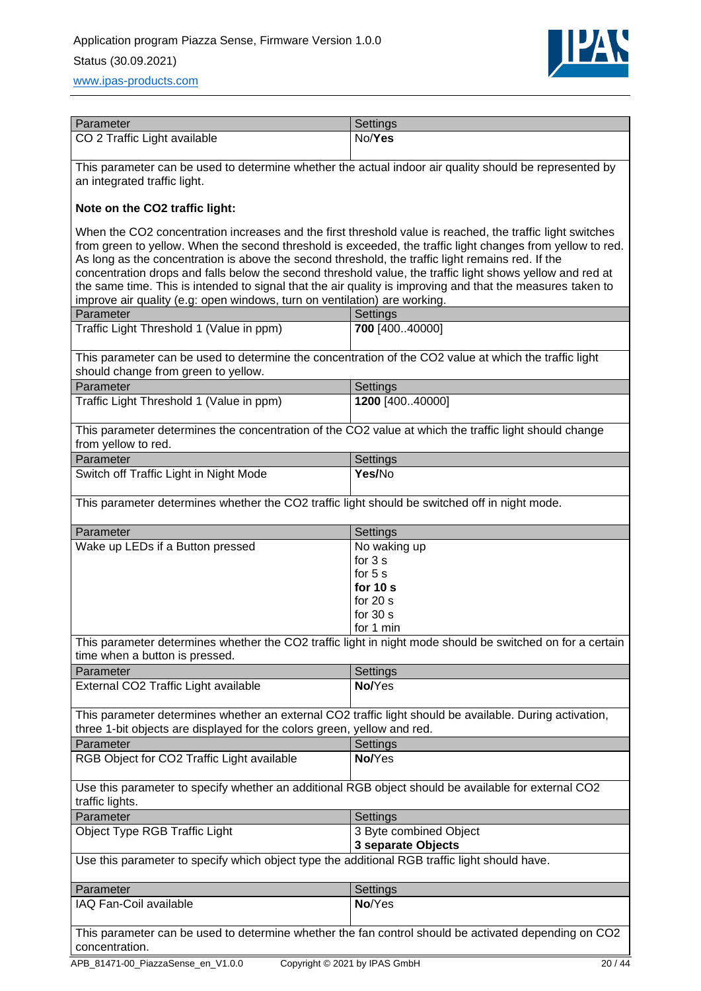

| Parameter                    | Settings |
|------------------------------|----------|
| CO 2 Traffic Light available | No/Yes   |

This parameter can be used to determine whether the actual indoor air quality should be represented by an integrated traffic light.

#### **Note on the CO2 traffic light:**

When the CO2 concentration increases and the first threshold value is reached, the traffic light switches from green to yellow. When the second threshold is exceeded, the traffic light changes from yellow to red. As long as the concentration is above the second threshold, the traffic light remains red. If the concentration drops and falls below the second threshold value, the traffic light shows yellow and red at the same time. This is intended to signal that the air quality is improving and that the measures taken to improve air quality (e.g: open windows, turn on ventilation) are working.

| improve air quality (e.g. open windows, turn on ventilation) are working.                                                                                                          |                                                                                                           |  |
|------------------------------------------------------------------------------------------------------------------------------------------------------------------------------------|-----------------------------------------------------------------------------------------------------------|--|
| Parameter                                                                                                                                                                          | Settings                                                                                                  |  |
| Traffic Light Threshold 1 (Value in ppm)                                                                                                                                           | 700 [40040000]                                                                                            |  |
| This parameter can be used to determine the concentration of the CO2 value at which the traffic light<br>should change from green to yellow.                                       |                                                                                                           |  |
| Parameter                                                                                                                                                                          | Settings                                                                                                  |  |
| Traffic Light Threshold 1 (Value in ppm)                                                                                                                                           | 1200 [40040000]                                                                                           |  |
| from yellow to red.                                                                                                                                                                | This parameter determines the concentration of the CO2 value at which the traffic light should change     |  |
| Parameter                                                                                                                                                                          | Settings                                                                                                  |  |
| Switch off Traffic Light in Night Mode                                                                                                                                             | Yes/No                                                                                                    |  |
| This parameter determines whether the CO2 traffic light should be switched off in night mode.                                                                                      |                                                                                                           |  |
| Parameter                                                                                                                                                                          | Settings                                                                                                  |  |
| Wake up LEDs if a Button pressed                                                                                                                                                   | No waking up<br>for $3s$<br>for $5s$<br>for $10 s$<br>for $20 s$<br>for $30 s$<br>for 1 min               |  |
| time when a button is pressed.                                                                                                                                                     | This parameter determines whether the CO2 traffic light in night mode should be switched on for a certain |  |
| Parameter                                                                                                                                                                          | <b>Settings</b>                                                                                           |  |
| External CO2 Traffic Light available                                                                                                                                               | No/Yes                                                                                                    |  |
| This parameter determines whether an external CO2 traffic light should be available. During activation,<br>three 1-bit objects are displayed for the colors green, yellow and red. |                                                                                                           |  |
| Parameter                                                                                                                                                                          | Settings                                                                                                  |  |
| RGB Object for CO2 Traffic Light available                                                                                                                                         | No/Yes                                                                                                    |  |
| Use this parameter to specify whether an additional RGB object should be available for external CO2<br>traffic lights.                                                             |                                                                                                           |  |
| Parameter                                                                                                                                                                          | Settings                                                                                                  |  |
| Object Type RGB Traffic Light                                                                                                                                                      | 3 Byte combined Object<br>3 separate Objects                                                              |  |
| Use this parameter to specify which object type the additional RGB traffic light should have.                                                                                      |                                                                                                           |  |
| Parameter                                                                                                                                                                          | Settings                                                                                                  |  |
| IAQ Fan-Coil available                                                                                                                                                             | No/Yes                                                                                                    |  |
| This parameter can be used to determine whether the fan control should be activated depending on CO2<br>concentration.                                                             |                                                                                                           |  |
| APB_81471-00_PiazzaSense_en_V1.0.0<br>Copyright © 2021 by IPAS GmbH<br>20/44                                                                                                       |                                                                                                           |  |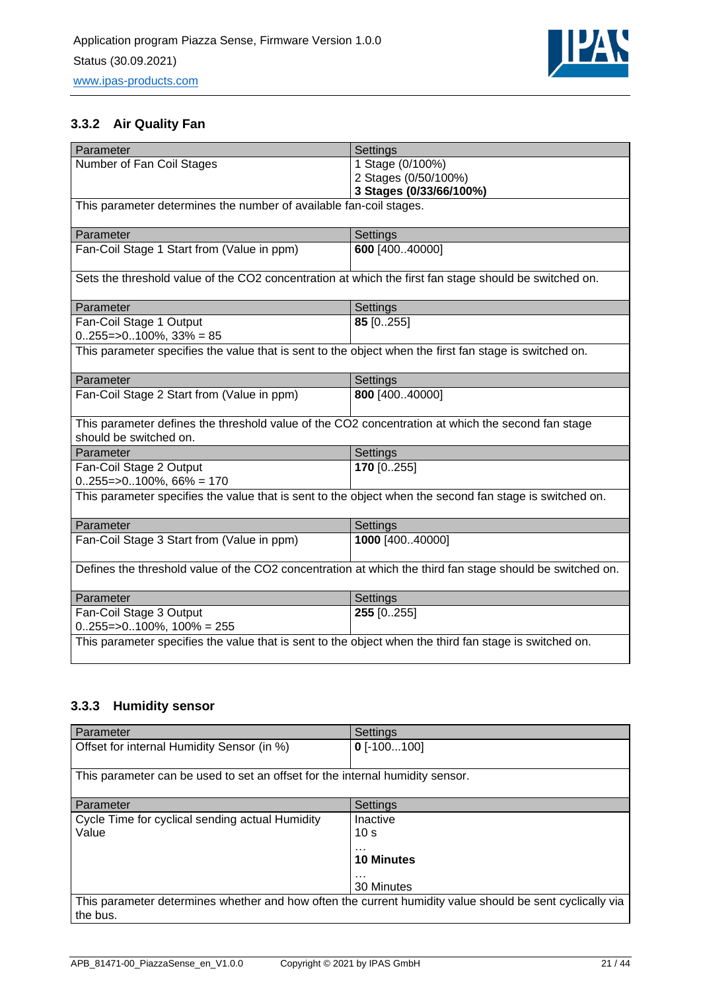

### <span id="page-20-0"></span>**3.3.2 Air Quality Fan**

| Parameter                                                                                                                   | Settings                |  |
|-----------------------------------------------------------------------------------------------------------------------------|-------------------------|--|
| Number of Fan Coil Stages                                                                                                   | 1 Stage (0/100%)        |  |
|                                                                                                                             | 2 Stages (0/50/100%)    |  |
|                                                                                                                             | 3 Stages (0/33/66/100%) |  |
| This parameter determines the number of available fan-coil stages.                                                          |                         |  |
| Parameter                                                                                                                   | Settings                |  |
| Fan-Coil Stage 1 Start from (Value in ppm)                                                                                  | 600 [40040000]          |  |
| Sets the threshold value of the CO2 concentration at which the first fan stage should be switched on.                       |                         |  |
| Parameter                                                                                                                   | Settings                |  |
| Fan-Coil Stage 1 Output                                                                                                     | 85 [0255]               |  |
| $0255 = >0100\%$ , 33% = 85                                                                                                 |                         |  |
| This parameter specifies the value that is sent to the object when the first fan stage is switched on.                      |                         |  |
| Parameter                                                                                                                   | Settings                |  |
| Fan-Coil Stage 2 Start from (Value in ppm)                                                                                  | 800 [400.40000]         |  |
| This parameter defines the threshold value of the CO2 concentration at which the second fan stage<br>should be switched on. |                         |  |
| Parameter                                                                                                                   | Settings                |  |
| Fan-Coil Stage 2 Output<br>$0255 = >0100\%$ , 66% = 170                                                                     | 170 [0255]              |  |
| This parameter specifies the value that is sent to the object when the second fan stage is switched on.                     |                         |  |
| Parameter                                                                                                                   | Settings                |  |
| Fan-Coil Stage 3 Start from (Value in ppm)                                                                                  | 1000 [40040000]         |  |
| Defines the threshold value of the CO2 concentration at which the third fan stage should be switched on.                    |                         |  |
| Parameter                                                                                                                   | Settings                |  |
| Fan-Coil Stage 3 Output                                                                                                     | 255 [0255]              |  |
| $0.255 = >0.100\%$ , $100\% = 255$                                                                                          |                         |  |
| This parameter specifies the value that is sent to the object when the third fan stage is switched on.                      |                         |  |

## <span id="page-20-1"></span>**3.3.3 Humidity sensor**

| Parameter                                                                                                            | Settings                                                                               |
|----------------------------------------------------------------------------------------------------------------------|----------------------------------------------------------------------------------------|
| Offset for internal Humidity Sensor (in %)                                                                           | $0$ [-100100]                                                                          |
| This parameter can be used to set an offset for the internal humidity sensor.                                        |                                                                                        |
| Parameter                                                                                                            | Settings                                                                               |
| Cycle Time for cyclical sending actual Humidity<br>Value                                                             | Inactive<br>10 <sub>s</sub><br>$\cdots$<br><b>10 Minutes</b><br>$\cdots$<br>30 Minutes |
| This parameter determines whether and how often the current humidity value should be sent cyclically via<br>the bus. |                                                                                        |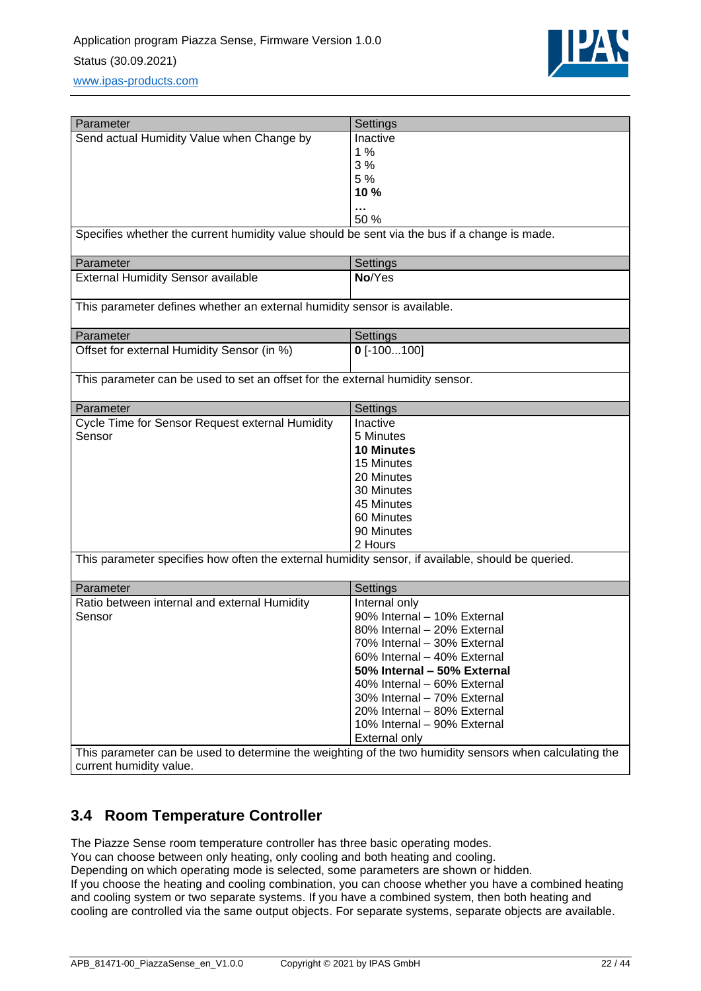

| Parameter                                                                                         |                                                                                                        |
|---------------------------------------------------------------------------------------------------|--------------------------------------------------------------------------------------------------------|
|                                                                                                   | Settings                                                                                               |
| Send actual Humidity Value when Change by                                                         | Inactive                                                                                               |
|                                                                                                   | 1%                                                                                                     |
|                                                                                                   | 3%                                                                                                     |
|                                                                                                   | 5 %                                                                                                    |
|                                                                                                   | 10 %                                                                                                   |
|                                                                                                   | 50 %                                                                                                   |
| Specifies whether the current humidity value should be sent via the bus if a change is made.      |                                                                                                        |
| Parameter                                                                                         | Settings                                                                                               |
| <b>External Humidity Sensor available</b>                                                         | No/Yes                                                                                                 |
| This parameter defines whether an external humidity sensor is available.                          |                                                                                                        |
|                                                                                                   |                                                                                                        |
| Parameter                                                                                         | Settings                                                                                               |
| Offset for external Humidity Sensor (in %)                                                        | $0$ [-100100]                                                                                          |
|                                                                                                   |                                                                                                        |
| This parameter can be used to set an offset for the external humidity sensor.                     |                                                                                                        |
| Parameter                                                                                         | Settings                                                                                               |
| Cycle Time for Sensor Request external Humidity                                                   | Inactive                                                                                               |
| Sensor                                                                                            | 5 Minutes                                                                                              |
|                                                                                                   | <b>10 Minutes</b>                                                                                      |
|                                                                                                   | 15 Minutes                                                                                             |
|                                                                                                   | 20 Minutes                                                                                             |
|                                                                                                   | 30 Minutes                                                                                             |
|                                                                                                   | 45 Minutes                                                                                             |
|                                                                                                   | 60 Minutes                                                                                             |
|                                                                                                   | 90 Minutes                                                                                             |
|                                                                                                   | 2 Hours                                                                                                |
| This parameter specifies how often the external humidity sensor, if available, should be queried. |                                                                                                        |
|                                                                                                   |                                                                                                        |
| Parameter                                                                                         | Settings                                                                                               |
| Ratio between internal and external Humidity                                                      | Internal only                                                                                          |
| Sensor                                                                                            | 90% Internal - 10% External                                                                            |
|                                                                                                   | 80% Internal - 20% External                                                                            |
|                                                                                                   | 70% Internal – 30% External                                                                            |
|                                                                                                   | 60% Internal - 40% External                                                                            |
|                                                                                                   | 50% Internal - 50% External                                                                            |
|                                                                                                   | 40% Internal - 60% External                                                                            |
|                                                                                                   | 30% Internal - 70% External                                                                            |
|                                                                                                   | 20% Internal - 80% External                                                                            |
|                                                                                                   | 10% Internal - 90% External                                                                            |
|                                                                                                   | <b>External only</b>                                                                                   |
|                                                                                                   | This parameter can be used to determine the weighting of the two humidity sensors when calculating the |
| current humidity value.                                                                           |                                                                                                        |

## <span id="page-21-0"></span>**3.4 Room Temperature Controller**

The Piazze Sense room temperature controller has three basic operating modes.

You can choose between only heating, only cooling and both heating and cooling.

Depending on which operating mode is selected, some parameters are shown or hidden.

If you choose the heating and cooling combination, you can choose whether you have a combined heating and cooling system or two separate systems. If you have a combined system, then both heating and cooling are controlled via the same output objects. For separate systems, separate objects are available.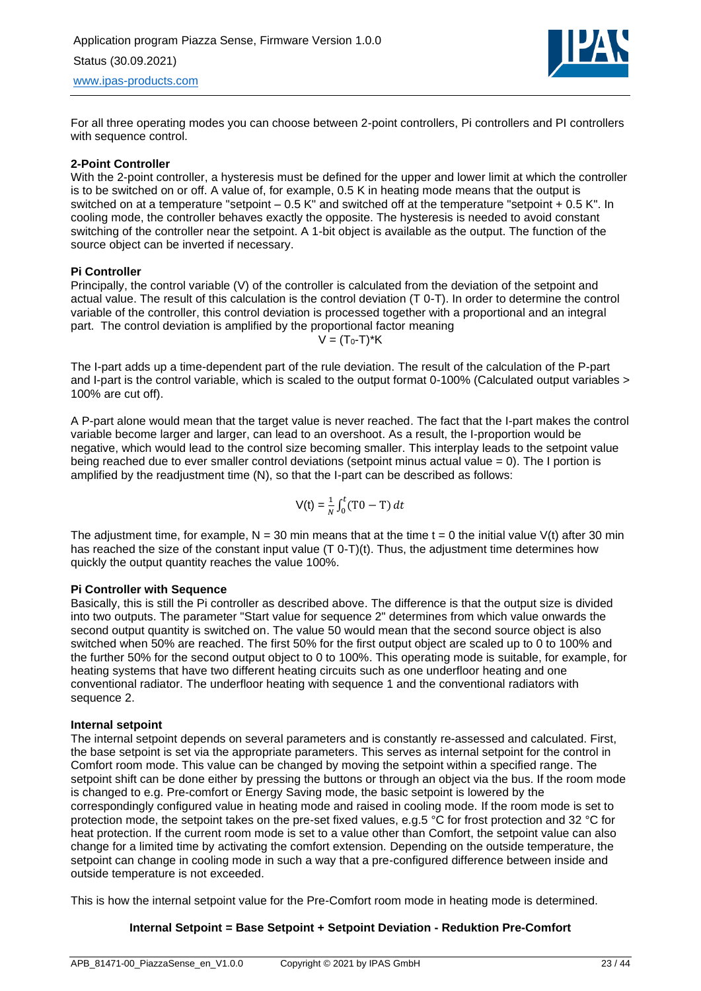

For all three operating modes you can choose between 2-point controllers, Pi controllers and PI controllers with sequence control.

#### **2-Point Controller**

With the 2-point controller, a hysteresis must be defined for the upper and lower limit at which the controller is to be switched on or off. A value of, for example, 0.5 K in heating mode means that the output is switched on at a temperature "setpoint – 0.5 K" and switched off at the temperature "setpoint + 0.5 K". In cooling mode, the controller behaves exactly the opposite. The hysteresis is needed to avoid constant switching of the controller near the setpoint. A 1-bit object is available as the output. The function of the source object can be inverted if necessary.

#### **Pi Controller**

Principally, the control variable (V) of the controller is calculated from the deviation of the setpoint and actual value. The result of this calculation is the control deviation (T 0-T). In order to determine the control variable of the controller, this control deviation is processed together with a proportional and an integral part. The control deviation is amplified by the proportional factor meaning  $V = (T_0 - T)^*K$ 

The I-part adds up a time-dependent part of the rule deviation. The result of the calculation of the P-part and I-part is the control variable, which is scaled to the output format 0-100% (Calculated output variables > 100% are cut off).

A P-part alone would mean that the target value is never reached. The fact that the I-part makes the control variable become larger and larger, can lead to an overshoot. As a result, the I-proportion would be negative, which would lead to the control size becoming smaller. This interplay leads to the setpoint value being reached due to ever smaller control deviations (setpoint minus actual value = 0). The I portion is amplified by the readjustment time (N), so that the I-part can be described as follows:

$$
V(t) = \frac{1}{N} \int_0^t (T0 - T) dt
$$

The adjustment time, for example,  $N = 30$  min means that at the time  $t = 0$  the initial value V(t) after 30 min has reached the size of the constant input value (T 0-T)(t). Thus, the adjustment time determines how quickly the output quantity reaches the value 100%.

#### **Pi Controller with Sequence**

Basically, this is still the Pi controller as described above. The difference is that the output size is divided into two outputs. The parameter "Start value for sequence 2" determines from which value onwards the second output quantity is switched on. The value 50 would mean that the second source object is also switched when 50% are reached. The first 50% for the first output object are scaled up to 0 to 100% and the further 50% for the second output object to 0 to 100%. This operating mode is suitable, for example, for heating systems that have two different heating circuits such as one underfloor heating and one conventional radiator. The underfloor heating with sequence 1 and the conventional radiators with sequence 2.

#### **Internal setpoint**

The internal setpoint depends on several parameters and is constantly re-assessed and calculated. First, the base setpoint is set via the appropriate parameters. This serves as internal setpoint for the control in Comfort room mode. This value can be changed by moving the setpoint within a specified range. The setpoint shift can be done either by pressing the buttons or through an object via the bus. If the room mode is changed to e.g. Pre-comfort or Energy Saving mode, the basic setpoint is lowered by the correspondingly configured value in heating mode and raised in cooling mode. If the room mode is set to protection mode, the setpoint takes on the pre-set fixed values, e.g.5 °C for frost protection and 32 °C for heat protection. If the current room mode is set to a value other than Comfort, the setpoint value can also change for a limited time by activating the comfort extension. Depending on the outside temperature, the setpoint can change in cooling mode in such a way that a pre-configured difference between inside and outside temperature is not exceeded.

This is how the internal setpoint value for the Pre-Comfort room mode in heating mode is determined.

#### **Internal Setpoint = Base Setpoint + Setpoint Deviation - Reduktion Pre-Comfort**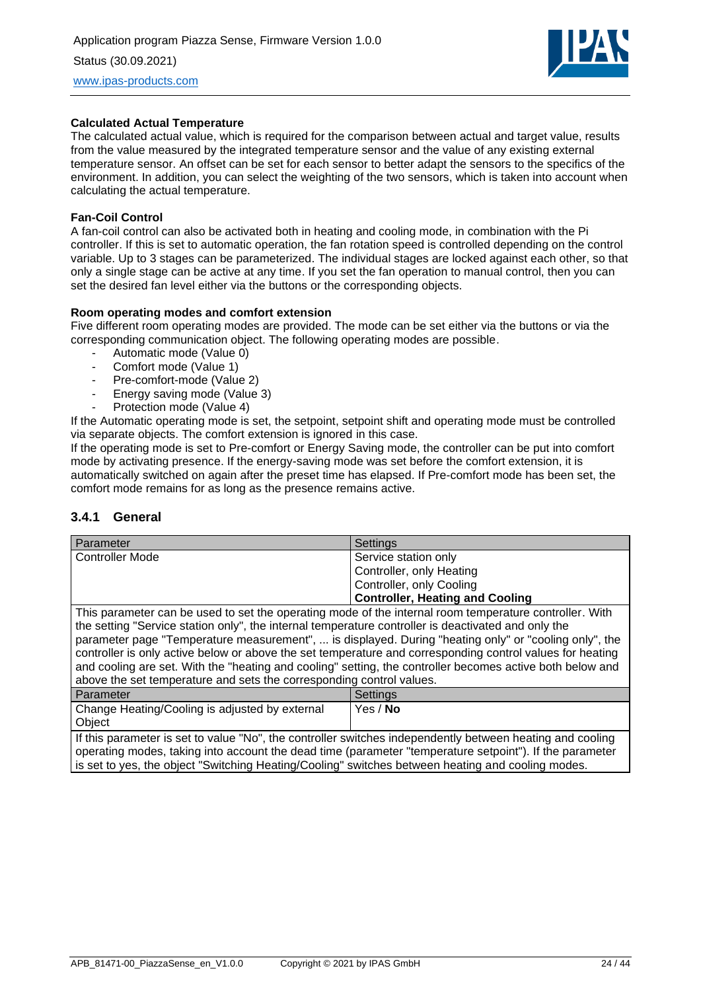

#### **Calculated Actual Temperature**

The calculated actual value, which is required for the comparison between actual and target value, results from the value measured by the integrated temperature sensor and the value of any existing external temperature sensor. An offset can be set for each sensor to better adapt the sensors to the specifics of the environment. In addition, you can select the weighting of the two sensors, which is taken into account when calculating the actual temperature.

#### **Fan-Coil Control**

A fan-coil control can also be activated both in heating and cooling mode, in combination with the Pi controller. If this is set to automatic operation, the fan rotation speed is controlled depending on the control variable. Up to 3 stages can be parameterized. The individual stages are locked against each other, so that only a single stage can be active at any time. If you set the fan operation to manual control, then you can set the desired fan level either via the buttons or the corresponding objects.

#### **Room operating modes and comfort extension**

Five different room operating modes are provided. The mode can be set either via the buttons or via the corresponding communication object. The following operating modes are possible.

- Automatic mode (Value 0)
- Comfort mode (Value 1)
- Pre-comfort-mode (Value 2)
- Energy saving mode (Value 3)
- Protection mode (Value 4)

If the Automatic operating mode is set, the setpoint, setpoint shift and operating mode must be controlled via separate objects. The comfort extension is ignored in this case.

If the operating mode is set to Pre-comfort or Energy Saving mode, the controller can be put into comfort mode by activating presence. If the energy-saving mode was set before the comfort extension, it is automatically switched on again after the preset time has elapsed. If Pre-comfort mode has been set, the comfort mode remains for as long as the presence remains active.

#### <span id="page-23-0"></span>**3.4.1 General**

| Parameter                                                                                                          | Settings                               |
|--------------------------------------------------------------------------------------------------------------------|----------------------------------------|
| <b>Controller Mode</b>                                                                                             | Service station only                   |
|                                                                                                                    | Controller, only Heating               |
|                                                                                                                    | Controller, only Cooling               |
|                                                                                                                    | <b>Controller, Heating and Cooling</b> |
| . This is a second to see the condition to a second second of the integral as see to see section or studies. While |                                        |

This parameter can be used to set the operating mode of the internal room temperature controller. With the setting "Service station only", the internal temperature controller is deactivated and only the parameter page "Temperature measurement", ... is displayed. During "heating only" or "cooling only", the controller is only active below or above the set temperature and corresponding control values for heating and cooling are set. With the "heating and cooling" setting, the controller becomes active both below and above the set temperature and sets the corresponding control values.

| l Parameter                                              | Settinas        |
|----------------------------------------------------------|-----------------|
| Change Heating/Cooling is adjusted by external<br>Object | Yes / <b>No</b> |

If this parameter is set to value "No", the controller switches independently between heating and cooling operating modes, taking into account the dead time (parameter "temperature setpoint"). If the parameter is set to yes, the object "Switching Heating/Cooling" switches between heating and cooling modes.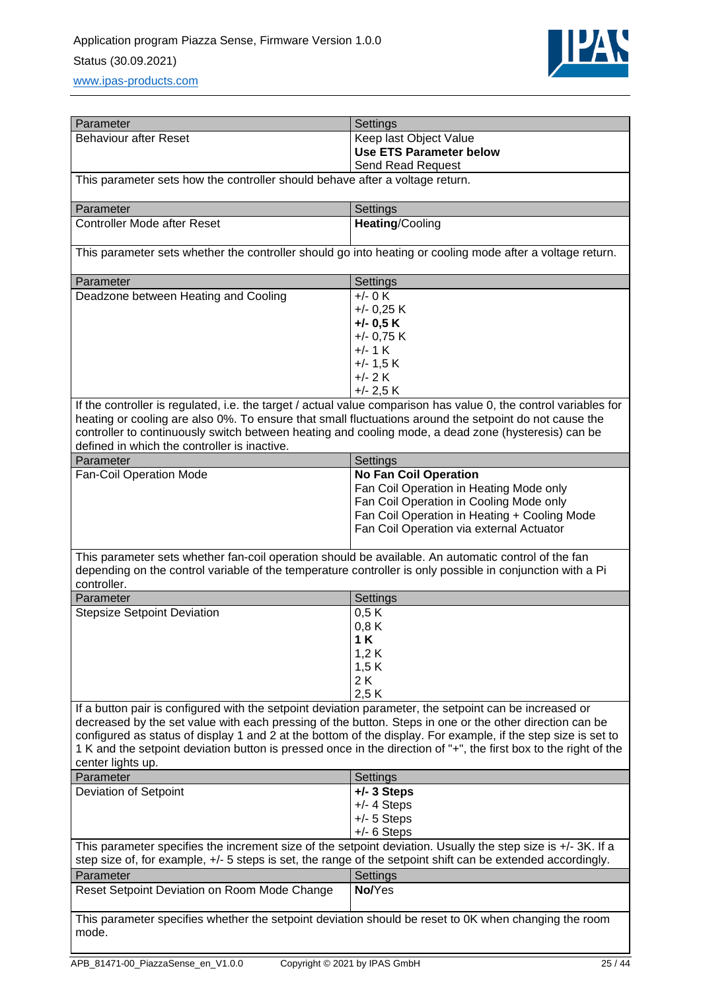

| Parameter                                                                                                                | Settings                                                                                                         |
|--------------------------------------------------------------------------------------------------------------------------|------------------------------------------------------------------------------------------------------------------|
| <b>Behaviour after Reset</b>                                                                                             | Keep last Object Value                                                                                           |
|                                                                                                                          | <b>Use ETS Parameter below</b>                                                                                   |
|                                                                                                                          | Send Read Request                                                                                                |
| This parameter sets how the controller should behave after a voltage return.                                             |                                                                                                                  |
|                                                                                                                          |                                                                                                                  |
| Parameter                                                                                                                | Settings                                                                                                         |
| <b>Controller Mode after Reset</b>                                                                                       | Heating/Cooling                                                                                                  |
|                                                                                                                          |                                                                                                                  |
| This parameter sets whether the controller should go into heating or cooling mode after a voltage return.                |                                                                                                                  |
| Parameter                                                                                                                | Settings                                                                                                         |
| Deadzone between Heating and Cooling                                                                                     | $+/- 0 K$                                                                                                        |
|                                                                                                                          | $+/-$ 0,25 K                                                                                                     |
|                                                                                                                          | $+/-$ 0.5 K                                                                                                      |
|                                                                                                                          | $+/- 0.75 K$                                                                                                     |
|                                                                                                                          | $+/- 1$ K                                                                                                        |
|                                                                                                                          |                                                                                                                  |
|                                                                                                                          | $+/- 1.5 K$                                                                                                      |
|                                                                                                                          | $+/- 2 K$                                                                                                        |
|                                                                                                                          | $+/- 2.5 K$                                                                                                      |
|                                                                                                                          | If the controller is regulated, i.e. the target / actual value comparison has value 0, the control variables for |
| heating or cooling are also 0%. To ensure that small fluctuations around the setpoint do not cause the                   |                                                                                                                  |
| controller to continuously switch between heating and cooling mode, a dead zone (hysteresis) can be                      |                                                                                                                  |
| defined in which the controller is inactive.                                                                             |                                                                                                                  |
| Parameter                                                                                                                | Settings                                                                                                         |
| Fan-Coil Operation Mode                                                                                                  | <b>No Fan Coil Operation</b>                                                                                     |
|                                                                                                                          | Fan Coil Operation in Heating Mode only                                                                          |
|                                                                                                                          | Fan Coil Operation in Cooling Mode only                                                                          |
|                                                                                                                          | Fan Coil Operation in Heating + Cooling Mode                                                                     |
|                                                                                                                          | Fan Coil Operation via external Actuator                                                                         |
|                                                                                                                          |                                                                                                                  |
| This parameter sets whether fan-coil operation should be available. An automatic control of the fan                      |                                                                                                                  |
|                                                                                                                          |                                                                                                                  |
| depending on the control variable of the temperature controller is only possible in conjunction with a Pi<br>controller. |                                                                                                                  |
|                                                                                                                          |                                                                                                                  |
| Parameter                                                                                                                | Settings                                                                                                         |
| <b>Stepsize Setpoint Deviation</b>                                                                                       | 0,5K                                                                                                             |
|                                                                                                                          | 0,8K                                                                                                             |
|                                                                                                                          | 1 K                                                                                                              |
|                                                                                                                          | 1,2 K                                                                                                            |
|                                                                                                                          | 1,5 K                                                                                                            |
|                                                                                                                          | 2K                                                                                                               |
|                                                                                                                          | 2,5K                                                                                                             |
| If a button pair is configured with the setpoint deviation parameter, the setpoint can be increased or                   |                                                                                                                  |
| decreased by the set value with each pressing of the button. Steps in one or the other direction can be                  |                                                                                                                  |
|                                                                                                                          | configured as status of display 1 and 2 at the bottom of the display. For example, if the step size is set to    |
|                                                                                                                          | 1 K and the setpoint deviation button is pressed once in the direction of "+", the first box to the right of the |
| center lights up.                                                                                                        |                                                                                                                  |
| Parameter                                                                                                                | Settings                                                                                                         |
| Deviation of Setpoint                                                                                                    | $+/- 3$ Steps                                                                                                    |
|                                                                                                                          | $+/- 4$ Steps                                                                                                    |
|                                                                                                                          |                                                                                                                  |
|                                                                                                                          | $+/- 5$ Steps                                                                                                    |
|                                                                                                                          | $+/- 6$ Steps                                                                                                    |
| This parameter specifies the increment size of the setpoint deviation. Usually the step size is $+/-3K$ . If a           |                                                                                                                  |
| step size of, for example, +/- 5 steps is set, the range of the setpoint shift can be extended accordingly.              |                                                                                                                  |
| Parameter                                                                                                                | Settings                                                                                                         |
| Reset Setpoint Deviation on Room Mode Change                                                                             | No/Yes                                                                                                           |
|                                                                                                                          |                                                                                                                  |
| This parameter specifies whether the setpoint deviation should be reset to 0K when changing the room                     |                                                                                                                  |
| mode.                                                                                                                    |                                                                                                                  |
|                                                                                                                          |                                                                                                                  |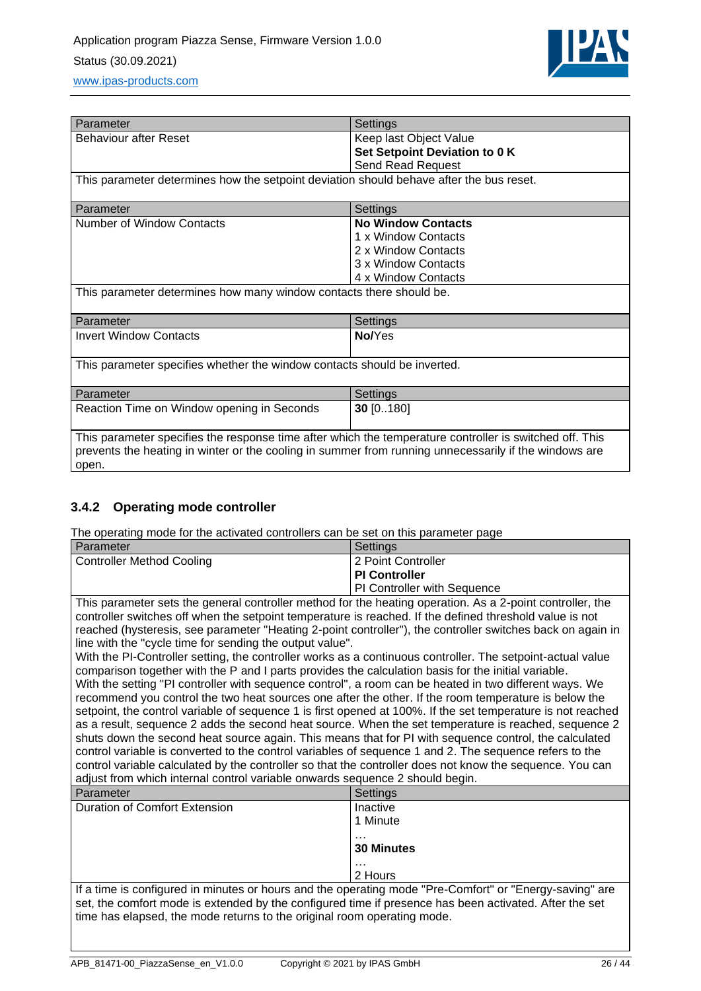

| Parameter                                                                                                                                                                                                                 | Settings                      |  |
|---------------------------------------------------------------------------------------------------------------------------------------------------------------------------------------------------------------------------|-------------------------------|--|
| <b>Behaviour after Reset</b>                                                                                                                                                                                              | Keep last Object Value        |  |
|                                                                                                                                                                                                                           | Set Setpoint Deviation to 0 K |  |
|                                                                                                                                                                                                                           | <b>Send Read Request</b>      |  |
| This parameter determines how the setpoint deviation should behave after the bus reset.                                                                                                                                   |                               |  |
| Parameter                                                                                                                                                                                                                 | Settings                      |  |
| Number of Window Contacts                                                                                                                                                                                                 | <b>No Window Contacts</b>     |  |
|                                                                                                                                                                                                                           | 1 x Window Contacts           |  |
|                                                                                                                                                                                                                           | 2 x Window Contacts           |  |
|                                                                                                                                                                                                                           | 3 x Window Contacts           |  |
|                                                                                                                                                                                                                           | 4 x Window Contacts           |  |
| This parameter determines how many window contacts there should be.                                                                                                                                                       |                               |  |
| Parameter                                                                                                                                                                                                                 | Settings                      |  |
| <b>Invert Window Contacts</b>                                                                                                                                                                                             | No/Yes                        |  |
| This parameter specifies whether the window contacts should be inverted.                                                                                                                                                  |                               |  |
| Parameter                                                                                                                                                                                                                 | Settings                      |  |
| Reaction Time on Window opening in Seconds                                                                                                                                                                                | 30 [0180]                     |  |
| This parameter specifies the response time after which the temperature controller is switched off. This<br>prevents the heating in winter or the cooling in summer from running unnecessarily if the windows are<br>open. |                               |  |

### <span id="page-25-0"></span>**3.4.2 Operating mode controller**

The operating mode for the activated controllers can be set on this parameter page

| Parameter                                                                                                                                                                                                                                                                                                                                                                                                                                                                                                                                                                                                                                                                                                                                                                                                                                                                                                                                                                                                                                                                                                                                                                                                                                                                                                                                                                                                                                                                   | Settings                                  |  |
|-----------------------------------------------------------------------------------------------------------------------------------------------------------------------------------------------------------------------------------------------------------------------------------------------------------------------------------------------------------------------------------------------------------------------------------------------------------------------------------------------------------------------------------------------------------------------------------------------------------------------------------------------------------------------------------------------------------------------------------------------------------------------------------------------------------------------------------------------------------------------------------------------------------------------------------------------------------------------------------------------------------------------------------------------------------------------------------------------------------------------------------------------------------------------------------------------------------------------------------------------------------------------------------------------------------------------------------------------------------------------------------------------------------------------------------------------------------------------------|-------------------------------------------|--|
| <b>Controller Method Cooling</b>                                                                                                                                                                                                                                                                                                                                                                                                                                                                                                                                                                                                                                                                                                                                                                                                                                                                                                                                                                                                                                                                                                                                                                                                                                                                                                                                                                                                                                            | 2 Point Controller                        |  |
|                                                                                                                                                                                                                                                                                                                                                                                                                                                                                                                                                                                                                                                                                                                                                                                                                                                                                                                                                                                                                                                                                                                                                                                                                                                                                                                                                                                                                                                                             | <b>PI Controller</b>                      |  |
|                                                                                                                                                                                                                                                                                                                                                                                                                                                                                                                                                                                                                                                                                                                                                                                                                                                                                                                                                                                                                                                                                                                                                                                                                                                                                                                                                                                                                                                                             | PI Controller with Sequence               |  |
| This parameter sets the general controller method for the heating operation. As a 2-point controller, the<br>controller switches off when the setpoint temperature is reached. If the defined threshold value is not<br>reached (hysteresis, see parameter "Heating 2-point controller"), the controller switches back on again in<br>line with the "cycle time for sending the output value".<br>With the PI-Controller setting, the controller works as a continuous controller. The setpoint-actual value<br>comparison together with the P and I parts provides the calculation basis for the initial variable.<br>With the setting "PI controller with sequence control", a room can be heated in two different ways. We<br>recommend you control the two heat sources one after the other. If the room temperature is below the<br>setpoint, the control variable of sequence 1 is first opened at 100%. If the set temperature is not reached<br>as a result, sequence 2 adds the second heat source. When the set temperature is reached, sequence 2<br>shuts down the second heat source again. This means that for PI with sequence control, the calculated<br>control variable is converted to the control variables of sequence 1 and 2. The sequence refers to the<br>control variable calculated by the controller so that the controller does not know the sequence. You can<br>adjust from which internal control variable onwards sequence 2 should begin. |                                           |  |
| Parameter                                                                                                                                                                                                                                                                                                                                                                                                                                                                                                                                                                                                                                                                                                                                                                                                                                                                                                                                                                                                                                                                                                                                                                                                                                                                                                                                                                                                                                                                   | Settings                                  |  |
| Duration of Comfort Extension                                                                                                                                                                                                                                                                                                                                                                                                                                                                                                                                                                                                                                                                                                                                                                                                                                                                                                                                                                                                                                                                                                                                                                                                                                                                                                                                                                                                                                               | Inactive<br>1 Minute<br><b>30 Minutes</b> |  |
|                                                                                                                                                                                                                                                                                                                                                                                                                                                                                                                                                                                                                                                                                                                                                                                                                                                                                                                                                                                                                                                                                                                                                                                                                                                                                                                                                                                                                                                                             | 2 Hours                                   |  |
| If a time is configured in minutes or hours and the operating mode "Pre-Comfort" or "Energy-saving" are<br>set, the comfort mode is extended by the configured time if presence has been activated. After the set<br>time has elapsed, the mode returns to the original room operating mode.                                                                                                                                                                                                                                                                                                                                                                                                                                                                                                                                                                                                                                                                                                                                                                                                                                                                                                                                                                                                                                                                                                                                                                                |                                           |  |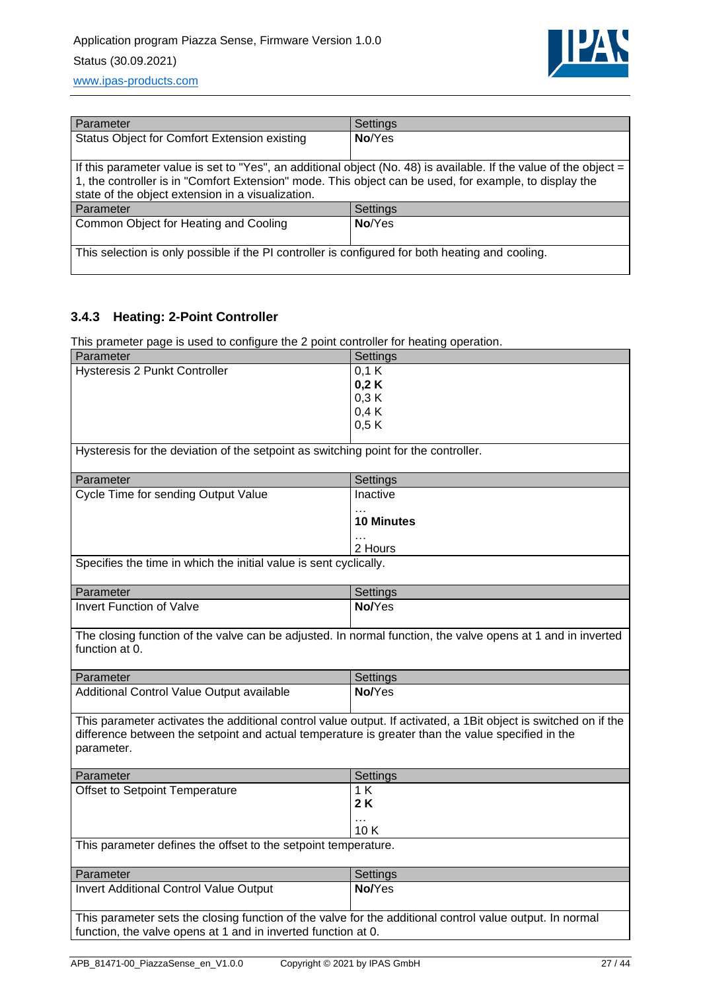

| Parameter                                                                                                                                                                                                                                                                          | Settings |  |
|------------------------------------------------------------------------------------------------------------------------------------------------------------------------------------------------------------------------------------------------------------------------------------|----------|--|
| Status Object for Comfort Extension existing                                                                                                                                                                                                                                       | No/Yes   |  |
| If this parameter value is set to "Yes", an additional object (No. 48) is available. If the value of the object $=$<br>1, the controller is in "Comfort Extension" mode. This object can be used, for example, to display the<br>state of the object extension in a visualization. |          |  |
| Parameter                                                                                                                                                                                                                                                                          | Settings |  |
| Common Object for Heating and Cooling                                                                                                                                                                                                                                              | No/Yes   |  |
| This selection is only possible if the PI controller is configured for both heating and cooling.                                                                                                                                                                                   |          |  |

### <span id="page-26-0"></span>**3.4.3 Heating: 2-Point Controller**

This prameter page is used to configure the 2 point controller for heating operation.

| This prameter page is used to comigure the $z$ point controller for neating operation.                                                                                    |                                                                                                                 |  |
|---------------------------------------------------------------------------------------------------------------------------------------------------------------------------|-----------------------------------------------------------------------------------------------------------------|--|
| Parameter                                                                                                                                                                 | Settings                                                                                                        |  |
| Hysteresis 2 Punkt Controller                                                                                                                                             | 0.1K                                                                                                            |  |
|                                                                                                                                                                           | 0,2K                                                                                                            |  |
|                                                                                                                                                                           | 0,3 K                                                                                                           |  |
|                                                                                                                                                                           | 0,4K                                                                                                            |  |
|                                                                                                                                                                           | 0,5K                                                                                                            |  |
|                                                                                                                                                                           |                                                                                                                 |  |
| Hysteresis for the deviation of the setpoint as switching point for the controller.                                                                                       |                                                                                                                 |  |
| Parameter                                                                                                                                                                 | Settings                                                                                                        |  |
| Cycle Time for sending Output Value                                                                                                                                       | Inactive                                                                                                        |  |
|                                                                                                                                                                           | $\cdots$                                                                                                        |  |
|                                                                                                                                                                           | <b>10 Minutes</b>                                                                                               |  |
|                                                                                                                                                                           | $\ldots$                                                                                                        |  |
|                                                                                                                                                                           | 2 Hours                                                                                                         |  |
| Specifies the time in which the initial value is sent cyclically.                                                                                                         |                                                                                                                 |  |
| Parameter                                                                                                                                                                 | Settings                                                                                                        |  |
| <b>Invert Function of Valve</b>                                                                                                                                           | No/Yes                                                                                                          |  |
|                                                                                                                                                                           |                                                                                                                 |  |
| The closing function of the valve can be adjusted. In normal function, the valve opens at 1 and in inverted<br>function at 0.                                             |                                                                                                                 |  |
|                                                                                                                                                                           |                                                                                                                 |  |
| Parameter                                                                                                                                                                 |                                                                                                                 |  |
| Additional Control Value Output available                                                                                                                                 | Settings<br>No/Yes                                                                                              |  |
| difference between the setpoint and actual temperature is greater than the value specified in the<br>parameter.                                                           | This parameter activates the additional control value output. If activated, a 1Bit object is switched on if the |  |
| Parameter                                                                                                                                                                 | Settings                                                                                                        |  |
| Offset to Setpoint Temperature                                                                                                                                            | 1 K                                                                                                             |  |
|                                                                                                                                                                           | 2 K                                                                                                             |  |
|                                                                                                                                                                           | $\ddotsc$                                                                                                       |  |
|                                                                                                                                                                           | 10K                                                                                                             |  |
| This parameter defines the offset to the setpoint temperature.                                                                                                            |                                                                                                                 |  |
|                                                                                                                                                                           |                                                                                                                 |  |
| Parameter                                                                                                                                                                 | Settings                                                                                                        |  |
| <b>Invert Additional Control Value Output</b>                                                                                                                             | No/Yes                                                                                                          |  |
|                                                                                                                                                                           |                                                                                                                 |  |
| This parameter sets the closing function of the valve for the additional control value output. In normal<br>function, the valve opens at 1 and in inverted function at 0. |                                                                                                                 |  |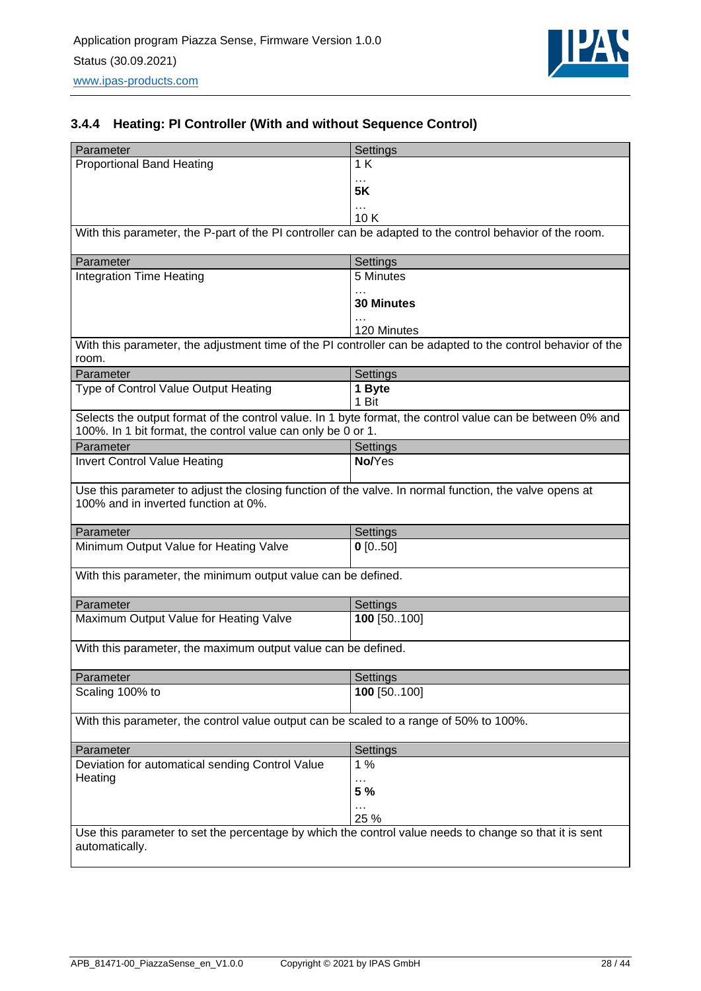

### <span id="page-27-0"></span>**3.4.4 Heating: PI Controller (With and without Sequence Control)**

| Parameter                                                                                                                | Settings                                                                                                    |
|--------------------------------------------------------------------------------------------------------------------------|-------------------------------------------------------------------------------------------------------------|
| <b>Proportional Band Heating</b>                                                                                         | 1K                                                                                                          |
|                                                                                                                          | .<br><b>5K</b>                                                                                              |
|                                                                                                                          | $\cdots$                                                                                                    |
|                                                                                                                          | 10K                                                                                                         |
| With this parameter, the P-part of the PI controller can be adapted to the control behavior of the room.                 |                                                                                                             |
| Parameter                                                                                                                |                                                                                                             |
| <b>Integration Time Heating</b>                                                                                          | Settings<br>5 Minutes                                                                                       |
|                                                                                                                          |                                                                                                             |
|                                                                                                                          | <b>30 Minutes</b>                                                                                           |
|                                                                                                                          | 120 Minutes                                                                                                 |
|                                                                                                                          | With this parameter, the adjustment time of the PI controller can be adapted to the control behavior of the |
| room.                                                                                                                    |                                                                                                             |
| Parameter                                                                                                                | Settings                                                                                                    |
| Type of Control Value Output Heating                                                                                     | 1 Byte                                                                                                      |
|                                                                                                                          | 1 Bit                                                                                                       |
| 100%. In 1 bit format, the control value can only be 0 or 1.                                                             | Selects the output format of the control value. In 1 byte format, the control value can be between 0% and   |
| Parameter                                                                                                                | Settings                                                                                                    |
| <b>Invert Control Value Heating</b>                                                                                      | No/Yes                                                                                                      |
|                                                                                                                          |                                                                                                             |
| Use this parameter to adjust the closing function of the valve. In normal function, the valve opens at                   |                                                                                                             |
| 100% and in inverted function at 0%.                                                                                     |                                                                                                             |
| Parameter                                                                                                                | Settings                                                                                                    |
| Minimum Output Value for Heating Valve                                                                                   | $0$ [050]                                                                                                   |
|                                                                                                                          |                                                                                                             |
| With this parameter, the minimum output value can be defined.                                                            |                                                                                                             |
| Parameter                                                                                                                | Settings                                                                                                    |
| Maximum Output Value for Heating Valve                                                                                   | 100 [50100]                                                                                                 |
|                                                                                                                          |                                                                                                             |
| With this parameter, the maximum output value can be defined.                                                            |                                                                                                             |
|                                                                                                                          |                                                                                                             |
| Parameter<br>Scaling 100% to                                                                                             | Settings<br>100 [50100]                                                                                     |
|                                                                                                                          |                                                                                                             |
| With this parameter, the control value output can be scaled to a range of 50% to 100%.                                   |                                                                                                             |
|                                                                                                                          |                                                                                                             |
| Parameter                                                                                                                | Settings                                                                                                    |
| Deviation for automatical sending Control Value<br>Heating                                                               | 1%                                                                                                          |
|                                                                                                                          | 5 %                                                                                                         |
|                                                                                                                          |                                                                                                             |
|                                                                                                                          | 25 %                                                                                                        |
| Use this parameter to set the percentage by which the control value needs to change so that it is sent<br>automatically. |                                                                                                             |
|                                                                                                                          |                                                                                                             |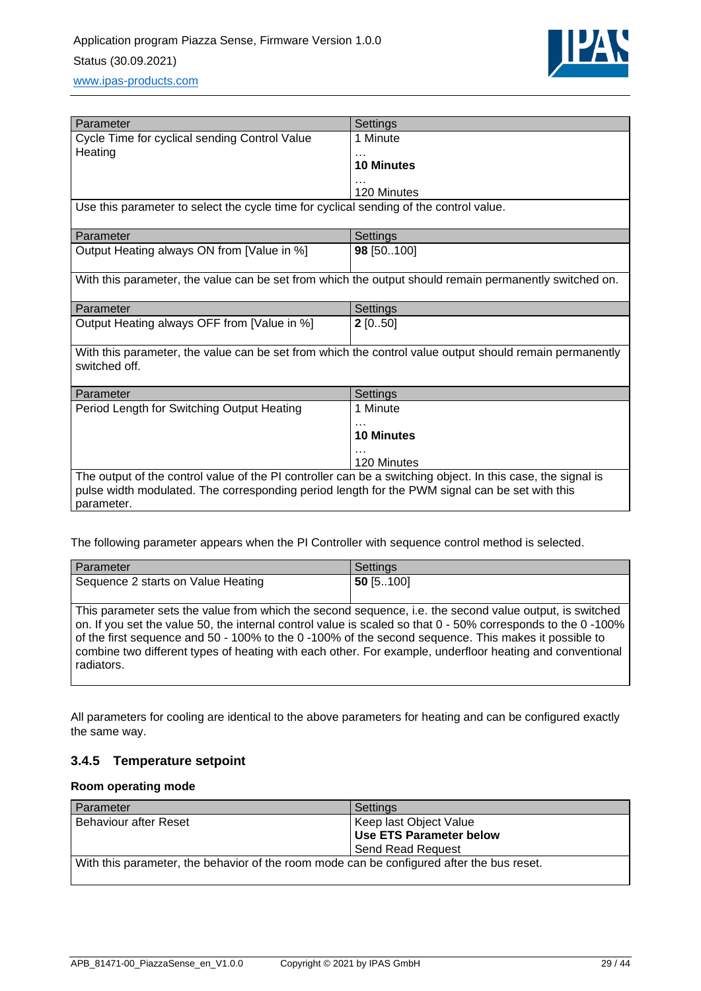

| Parameter                                                                                                                | Settings          |  |
|--------------------------------------------------------------------------------------------------------------------------|-------------------|--|
| Cycle Time for cyclical sending Control Value                                                                            | 1 Minute          |  |
| Heating                                                                                                                  |                   |  |
|                                                                                                                          | <b>10 Minutes</b> |  |
|                                                                                                                          |                   |  |
|                                                                                                                          | 120 Minutes       |  |
| Use this parameter to select the cycle time for cyclical sending of the control value.                                   |                   |  |
| Parameter                                                                                                                | Settings          |  |
| Output Heating always ON from [Value in %]                                                                               | 98 [50100]        |  |
| With this parameter, the value can be set from which the output should remain permanently switched on.                   |                   |  |
| Parameter                                                                                                                | Settings          |  |
| Output Heating always OFF from [Value in %]                                                                              | $2$ [050]         |  |
| With this parameter, the value can be set from which the control value output should remain permanently<br>switched off. |                   |  |
| Parameter                                                                                                                | Settings          |  |
| Period Length for Switching Output Heating                                                                               | 1 Minute          |  |
|                                                                                                                          |                   |  |
|                                                                                                                          | <b>10 Minutes</b> |  |
|                                                                                                                          |                   |  |
|                                                                                                                          | 120 Minutes       |  |
| The output of the control value of the PI controller can be a switching object. In this case, the signal is              |                   |  |
| pulse width modulated. The corresponding period length for the PWM signal can be set with this                           |                   |  |
| parameter.                                                                                                               |                   |  |

The following parameter appears when the PI Controller with sequence control method is selected.

| Parameter                                                                                                                                                                                                                                                                                                                                 | Settings                                                                                                     |
|-------------------------------------------------------------------------------------------------------------------------------------------------------------------------------------------------------------------------------------------------------------------------------------------------------------------------------------------|--------------------------------------------------------------------------------------------------------------|
| Sequence 2 starts on Value Heating                                                                                                                                                                                                                                                                                                        | $50$ [5100]                                                                                                  |
| This parameter sets the value from which the second sequence, i.e. the second value output, is switched<br>of the first sequence and 50 - 100% to the 0 -100% of the second sequence. This makes it possible to<br>combine two different types of heating with each other. For example, underfloor heating and conventional<br>radiators. | on. If you set the value 50, the internal control value is scaled so that 0 - 50% corresponds to the 0 -100% |

All parameters for cooling are identical to the above parameters for heating and can be configured exactly the same way.

### <span id="page-28-0"></span>**3.4.5 Temperature setpoint**

#### **Room operating mode**

| Parameter                                                                                 | Settings                       |
|-------------------------------------------------------------------------------------------|--------------------------------|
| <b>Behaviour after Reset</b>                                                              | Keep last Object Value         |
|                                                                                           | <b>Use ETS Parameter below</b> |
|                                                                                           | <b>Send Read Request</b>       |
| With this parameter, the behavior of the room mode can be configured after the bus reset. |                                |
|                                                                                           |                                |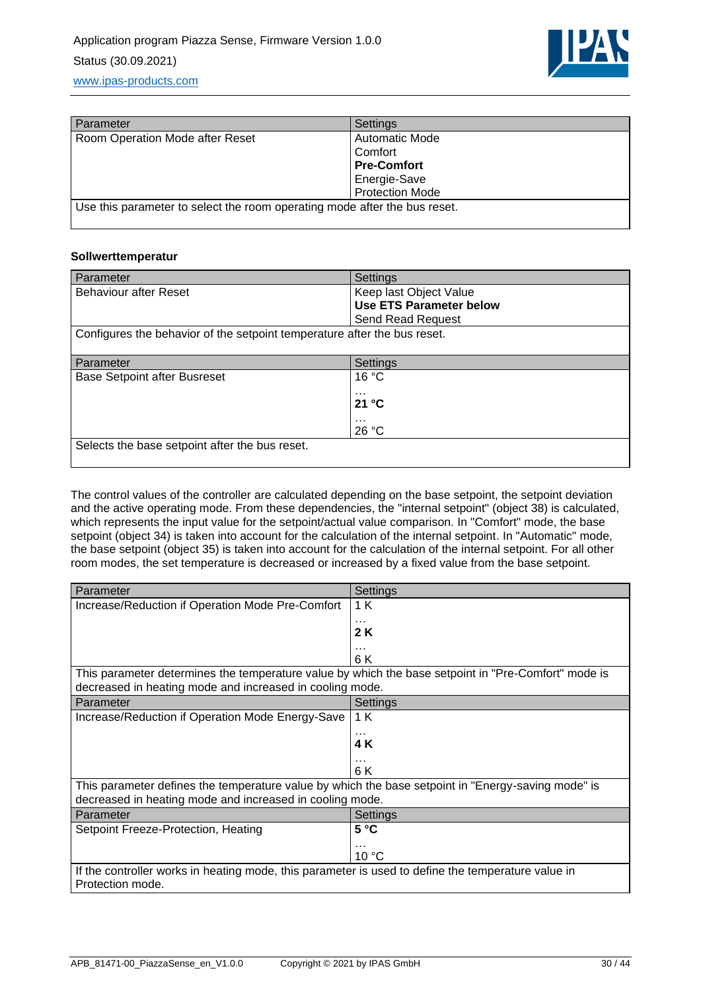

| Settings                                                                  |  |
|---------------------------------------------------------------------------|--|
| Automatic Mode                                                            |  |
| Comfort                                                                   |  |
| <b>Pre-Comfort</b>                                                        |  |
| Energie-Save                                                              |  |
| <b>Protection Mode</b>                                                    |  |
| Use this parameter to select the room operating mode after the bus reset. |  |
|                                                                           |  |

#### **Sollwerttemperatur**

| Parameter                                                                | Settings                       |
|--------------------------------------------------------------------------|--------------------------------|
| <b>Behaviour after Reset</b>                                             | Keep last Object Value         |
|                                                                          | <b>Use ETS Parameter below</b> |
|                                                                          | Send Read Request              |
| Configures the behavior of the setpoint temperature after the bus reset. |                                |
|                                                                          |                                |
| Parameter                                                                | Settings                       |
| <b>Base Setpoint after Busreset</b>                                      | 16 °C                          |
|                                                                          | $\cdots$                       |
|                                                                          | 21 °C                          |
|                                                                          | $\cdots$                       |
|                                                                          | 26 °C                          |
| Selects the base setpoint after the bus reset.                           |                                |
|                                                                          |                                |

The control values of the controller are calculated depending on the base setpoint, the setpoint deviation and the active operating mode. From these dependencies, the "internal setpoint" (object 38) is calculated, which represents the input value for the setpoint/actual value comparison. In "Comfort" mode, the base setpoint (object 34) is taken into account for the calculation of the internal setpoint. In "Automatic" mode, the base setpoint (object 35) is taken into account for the calculation of the internal setpoint. For all other room modes, the set temperature is decreased or increased by a fixed value from the base setpoint.

| Parameter                                                                                           | Settings       |
|-----------------------------------------------------------------------------------------------------|----------------|
| Increase/Reduction if Operation Mode Pre-Comfort                                                    | 1 K            |
|                                                                                                     |                |
|                                                                                                     | 2 K            |
|                                                                                                     | 6 K            |
| This parameter determines the temperature value by which the base setpoint in "Pre-Comfort" mode is |                |
| decreased in heating mode and increased in cooling mode.                                            |                |
| Parameter                                                                                           | Settings       |
| Increase/Reduction if Operation Mode Energy-Save                                                    | 1 K            |
|                                                                                                     | $\cdots$       |
|                                                                                                     | 4 K            |
|                                                                                                     | $\cdots$       |
|                                                                                                     | 6 K            |
| This parameter defines the temperature value by which the base setpoint in "Energy-saving mode" is  |                |
| decreased in heating mode and increased in cooling mode.                                            |                |
| Parameter                                                                                           | Settings       |
| Setpoint Freeze-Protection, Heating                                                                 | 5 °C           |
|                                                                                                     |                |
|                                                                                                     | $10^{\circ}$ C |
| If the controller works in heating mode, this parameter is used to define the temperature value in  |                |
| Protection mode.                                                                                    |                |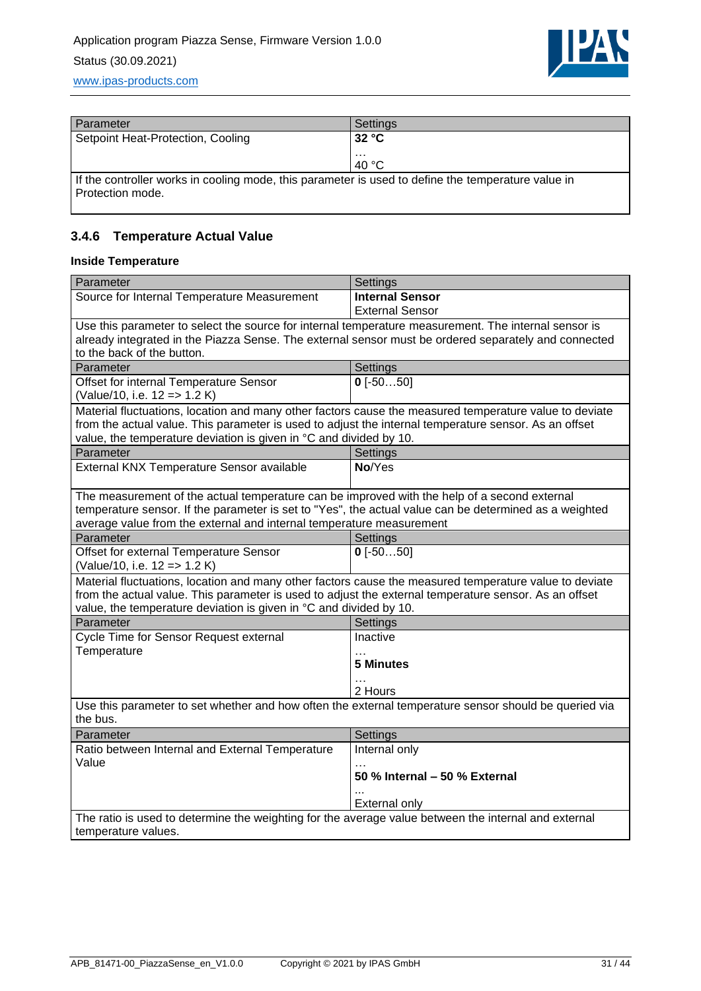

| Parameter                                                                                                              | Settings |
|------------------------------------------------------------------------------------------------------------------------|----------|
| Setpoint Heat-Protection, Cooling                                                                                      | 32 °C    |
|                                                                                                                        | $\cdots$ |
|                                                                                                                        | $-40 °C$ |
| If the controller works in cooling mode, this parameter is used to define the temperature value in<br>Protection mode. |          |

## <span id="page-30-0"></span>**3.4.6 Temperature Actual Value**

#### **Inside Temperature**

| Parameter                                                                                                         | Settings                      |
|-------------------------------------------------------------------------------------------------------------------|-------------------------------|
| Source for Internal Temperature Measurement                                                                       | <b>Internal Sensor</b>        |
|                                                                                                                   | <b>External Sensor</b>        |
| Use this parameter to select the source for internal temperature measurement. The internal sensor is              |                               |
| already integrated in the Piazza Sense. The external sensor must be ordered separately and connected              |                               |
| to the back of the button.                                                                                        |                               |
| Parameter                                                                                                         | Settings                      |
| Offset for internal Temperature Sensor                                                                            | $0$ [-5050]                   |
| (Value/10, i.e. 12 => 1.2 K)                                                                                      |                               |
| Material fluctuations, location and many other factors cause the measured temperature value to deviate            |                               |
| from the actual value. This parameter is used to adjust the internal temperature sensor. As an offset             |                               |
| value, the temperature deviation is given in °C and divided by 10.                                                |                               |
| Parameter                                                                                                         | Settings                      |
| External KNX Temperature Sensor available                                                                         | No/Yes                        |
|                                                                                                                   |                               |
| The measurement of the actual temperature can be improved with the help of a second external                      |                               |
| temperature sensor. If the parameter is set to "Yes", the actual value can be determined as a weighted            |                               |
| average value from the external and internal temperature measurement                                              |                               |
| Parameter                                                                                                         | Settings                      |
| Offset for external Temperature Sensor                                                                            | $0$ [-5050]                   |
| (Value/10, i.e. 12 => 1.2 K)                                                                                      |                               |
| Material fluctuations, location and many other factors cause the measured temperature value to deviate            |                               |
| from the actual value. This parameter is used to adjust the external temperature sensor. As an offset             |                               |
| value, the temperature deviation is given in °C and divided by 10.                                                |                               |
| Parameter                                                                                                         | Settings                      |
| Cycle Time for Sensor Request external<br>Temperature                                                             | Inactive                      |
|                                                                                                                   | $\cdots$<br><b>5 Minutes</b>  |
|                                                                                                                   |                               |
|                                                                                                                   | 2 Hours                       |
|                                                                                                                   |                               |
| Use this parameter to set whether and how often the external temperature sensor should be queried via<br>the bus. |                               |
| Parameter                                                                                                         | Settings                      |
| Ratio between Internal and External Temperature                                                                   | Internal only                 |
| Value                                                                                                             |                               |
|                                                                                                                   | 50 % Internal - 50 % External |
|                                                                                                                   | $\ddotsc$                     |
|                                                                                                                   | <b>External only</b>          |
| The ratio is used to determine the weighting for the average value between the internal and external              |                               |
| temperature values.                                                                                               |                               |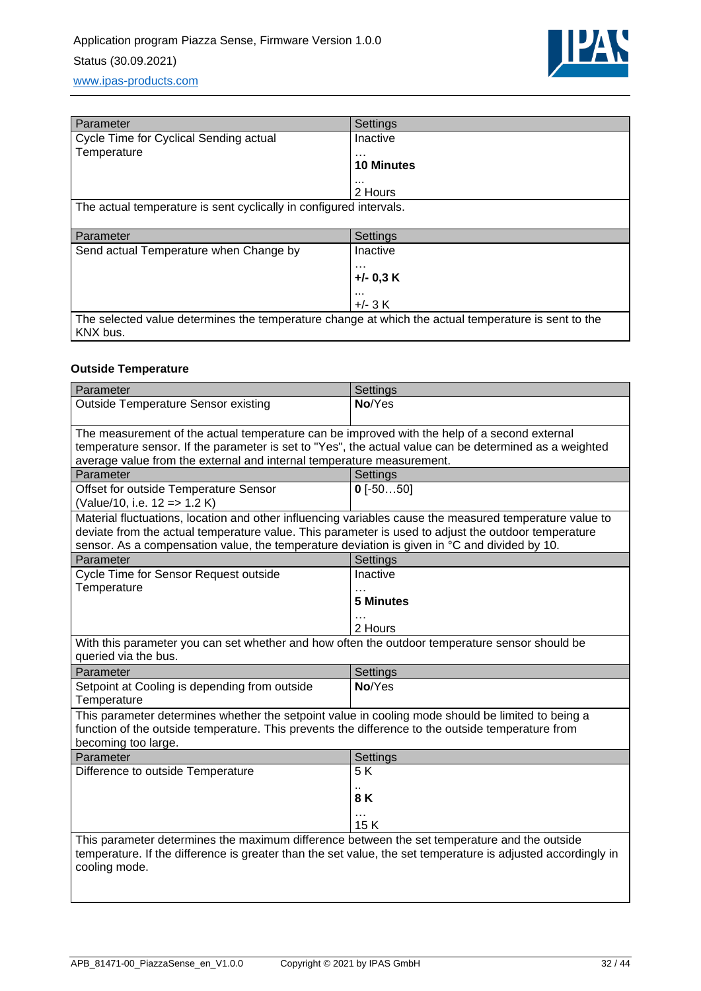

| Parameter                                                                                           | Settings          |  |
|-----------------------------------------------------------------------------------------------------|-------------------|--|
| Cycle Time for Cyclical Sending actual                                                              | Inactive          |  |
| Temperature                                                                                         | .                 |  |
|                                                                                                     | <b>10 Minutes</b> |  |
|                                                                                                     |                   |  |
|                                                                                                     | 2 Hours           |  |
| The actual temperature is sent cyclically in configured intervals.                                  |                   |  |
|                                                                                                     |                   |  |
| Parameter                                                                                           | Settings          |  |
| Send actual Temperature when Change by                                                              | Inactive          |  |
|                                                                                                     | .                 |  |
|                                                                                                     | $+/-$ 0,3 K       |  |
|                                                                                                     |                   |  |
|                                                                                                     |                   |  |
|                                                                                                     | $+/- 3 K$         |  |
| The selected value determines the temperature change at which the actual temperature is sent to the |                   |  |

#### **Outside Temperature**

| Parameter                                                                                                                                                                                                                                                                                                      | Settings         |  |
|----------------------------------------------------------------------------------------------------------------------------------------------------------------------------------------------------------------------------------------------------------------------------------------------------------------|------------------|--|
| <b>Outside Temperature Sensor existing</b>                                                                                                                                                                                                                                                                     | No/Yes           |  |
| The measurement of the actual temperature can be improved with the help of a second external                                                                                                                                                                                                                   |                  |  |
| temperature sensor. If the parameter is set to "Yes", the actual value can be determined as a weighted                                                                                                                                                                                                         |                  |  |
| average value from the external and internal temperature measurement.                                                                                                                                                                                                                                          |                  |  |
| Parameter                                                                                                                                                                                                                                                                                                      | Settings         |  |
| Offset for outside Temperature Sensor<br>(Value/10, i.e. 12 => 1.2 K)                                                                                                                                                                                                                                          | $0$ [-5050]      |  |
| Material fluctuations, location and other influencing variables cause the measured temperature value to<br>deviate from the actual temperature value. This parameter is used to adjust the outdoor temperature<br>sensor. As a compensation value, the temperature deviation is given in °C and divided by 10. |                  |  |
| Parameter                                                                                                                                                                                                                                                                                                      | Settings         |  |
| Cycle Time for Sensor Request outside                                                                                                                                                                                                                                                                          | Inactive         |  |
| Temperature                                                                                                                                                                                                                                                                                                    |                  |  |
|                                                                                                                                                                                                                                                                                                                | <b>5 Minutes</b> |  |
|                                                                                                                                                                                                                                                                                                                | 2 Hours          |  |
| With this parameter you can set whether and how often the outdoor temperature sensor should be<br>queried via the bus.                                                                                                                                                                                         |                  |  |
| Parameter                                                                                                                                                                                                                                                                                                      | Settings         |  |
| Setpoint at Cooling is depending from outside<br>Temperature                                                                                                                                                                                                                                                   | No/Yes           |  |
| This parameter determines whether the setpoint value in cooling mode should be limited to being a<br>function of the outside temperature. This prevents the difference to the outside temperature from<br>becoming too large.                                                                                  |                  |  |
| Parameter                                                                                                                                                                                                                                                                                                      | Settings         |  |
| Difference to outside Temperature                                                                                                                                                                                                                                                                              | 5K               |  |
|                                                                                                                                                                                                                                                                                                                | 8 K              |  |
|                                                                                                                                                                                                                                                                                                                | 15K              |  |
| This parameter determines the maximum difference between the set temperature and the outside<br>temperature. If the difference is greater than the set value, the set temperature is adjusted accordingly in<br>cooling mode.                                                                                  |                  |  |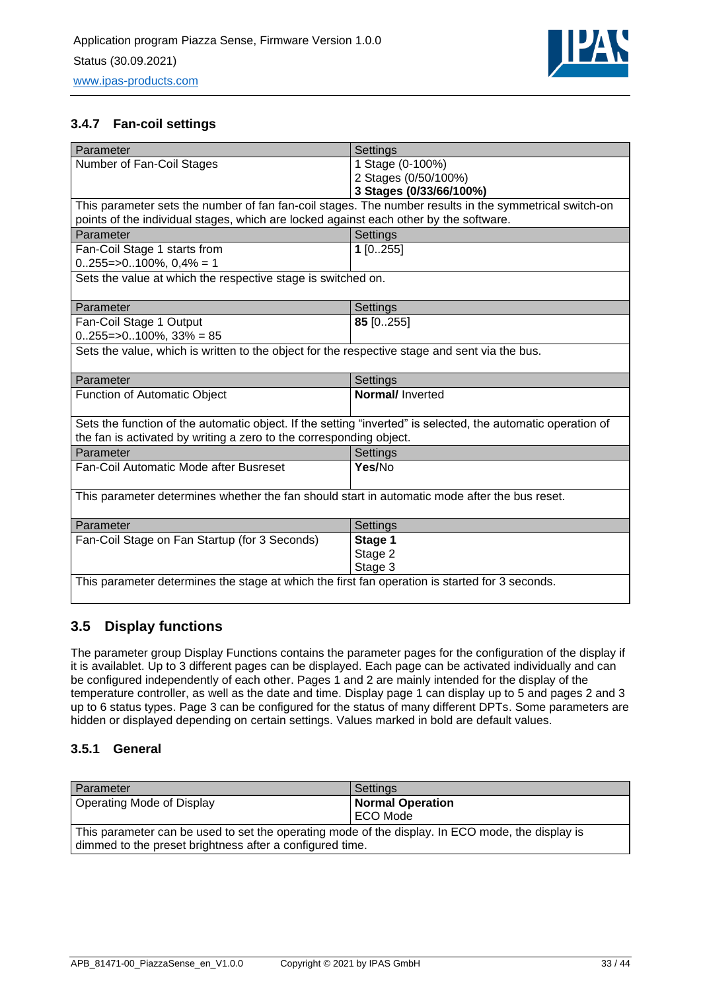

### <span id="page-32-0"></span>**3.4.7 Fan-coil settings**

| Parameter                                                                                                    | Settings                |  |
|--------------------------------------------------------------------------------------------------------------|-------------------------|--|
| Number of Fan-Coil Stages                                                                                    | 1 Stage (0-100%)        |  |
|                                                                                                              | 2 Stages (0/50/100%)    |  |
|                                                                                                              | 3 Stages (0/33/66/100%) |  |
| This parameter sets the number of fan fan-coil stages. The number results in the symmetrical switch-on       |                         |  |
| points of the individual stages, which are locked against each other by the software.                        |                         |  |
| Parameter                                                                                                    | Settings                |  |
| Fan-Coil Stage 1 starts from                                                                                 | $1$ [0255]              |  |
| $0255 = >0100\%$ , $0,4\% = 1$                                                                               |                         |  |
| Sets the value at which the respective stage is switched on.                                                 |                         |  |
|                                                                                                              |                         |  |
| Parameter                                                                                                    | Settings                |  |
| Fan-Coil Stage 1 Output                                                                                      | 85 [0255]               |  |
| $0.255 = 0.100\%$ , $33\% = 85$                                                                              |                         |  |
| Sets the value, which is written to the object for the respective stage and sent via the bus.                |                         |  |
|                                                                                                              |                         |  |
| Parameter                                                                                                    | Settings                |  |
| Function of Automatic Object                                                                                 | <b>Normal/Inverted</b>  |  |
|                                                                                                              |                         |  |
| Sets the function of the automatic object. If the setting "inverted" is selected, the automatic operation of |                         |  |
| the fan is activated by writing a zero to the corresponding object.                                          |                         |  |
| Parameter                                                                                                    | Settings                |  |
| Fan-Coil Automatic Mode after Busreset                                                                       | Yes/No                  |  |
|                                                                                                              |                         |  |
| This parameter determines whether the fan should start in automatic mode after the bus reset.                |                         |  |
|                                                                                                              |                         |  |
| Parameter                                                                                                    | Settings                |  |
| Fan-Coil Stage on Fan Startup (for 3 Seconds)                                                                | Stage 1                 |  |
|                                                                                                              | Stage 2                 |  |
|                                                                                                              |                         |  |
| This parameter determines the stage at which the first fan operation is started for 3 seconds.               | Stage 3                 |  |

### <span id="page-32-1"></span>**3.5 Display functions**

The parameter group Display Functions contains the parameter pages for the configuration of the display if it is availablet. Up to 3 different pages can be displayed. Each page can be activated individually and can be configured independently of each other. Pages 1 and 2 are mainly intended for the display of the temperature controller, as well as the date and time. Display page 1 can display up to 5 and pages 2 and 3 up to 6 status types. Page 3 can be configured for the status of many different DPTs. Some parameters are hidden or displayed depending on certain settings. Values marked in bold are default values.

### <span id="page-32-2"></span>**3.5.1 General**

| Parameter                                                                                        | Settings                |
|--------------------------------------------------------------------------------------------------|-------------------------|
| Operating Mode of Display                                                                        | <b>Normal Operation</b> |
|                                                                                                  | ECO Mode                |
| This parameter can be used to set the operating mode of the display. In ECO mode, the display is |                         |
| dimmed to the preset brightness after a configured time.                                         |                         |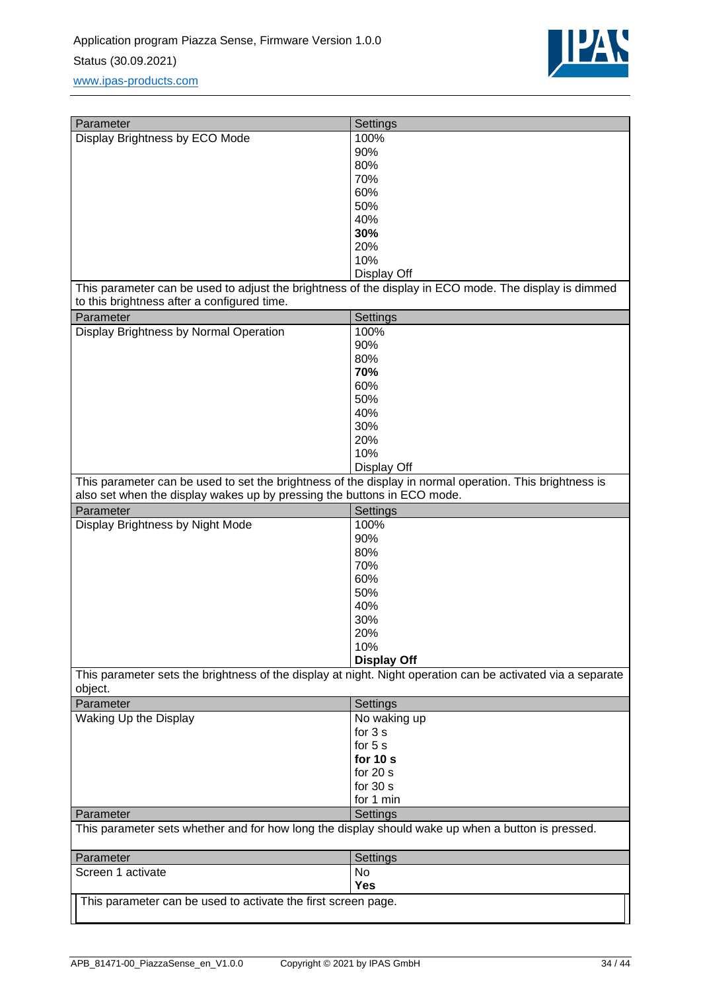

| Parameter                                                                                                                                            | Settings                |  |
|------------------------------------------------------------------------------------------------------------------------------------------------------|-------------------------|--|
| Display Brightness by ECO Mode                                                                                                                       | 100%                    |  |
|                                                                                                                                                      | 90%                     |  |
|                                                                                                                                                      | 80%                     |  |
|                                                                                                                                                      | 70%                     |  |
|                                                                                                                                                      | 60%                     |  |
|                                                                                                                                                      | 50%                     |  |
|                                                                                                                                                      | 40%                     |  |
|                                                                                                                                                      | 30%                     |  |
|                                                                                                                                                      | 20%                     |  |
|                                                                                                                                                      | 10%                     |  |
|                                                                                                                                                      | Display Off             |  |
| This parameter can be used to adjust the brightness of the display in ECO mode. The display is dimmed<br>to this brightness after a configured time. |                         |  |
| Parameter                                                                                                                                            | Settings                |  |
| Display Brightness by Normal Operation                                                                                                               | 100%                    |  |
|                                                                                                                                                      | 90%                     |  |
|                                                                                                                                                      | 80%                     |  |
|                                                                                                                                                      | 70%                     |  |
|                                                                                                                                                      | 60%                     |  |
|                                                                                                                                                      | 50%                     |  |
|                                                                                                                                                      | 40%                     |  |
|                                                                                                                                                      | 30%                     |  |
|                                                                                                                                                      | 20%                     |  |
|                                                                                                                                                      | 10%                     |  |
|                                                                                                                                                      | Display Off             |  |
| This parameter can be used to set the brightness of the display in normal operation. This brightness is                                              |                         |  |
| also set when the display wakes up by pressing the buttons in ECO mode.                                                                              |                         |  |
| Parameter                                                                                                                                            | Settings                |  |
| Display Brightness by Night Mode                                                                                                                     | 100%                    |  |
|                                                                                                                                                      | 90%                     |  |
|                                                                                                                                                      | 80%                     |  |
|                                                                                                                                                      | 70%                     |  |
|                                                                                                                                                      | 60%                     |  |
|                                                                                                                                                      | 50%                     |  |
|                                                                                                                                                      | 40%                     |  |
|                                                                                                                                                      | 30%                     |  |
|                                                                                                                                                      | 20%                     |  |
|                                                                                                                                                      | 10%                     |  |
|                                                                                                                                                      | <b>Display Off</b>      |  |
| This parameter sets the brightness of the display at night. Night operation can be activated via a separate<br>object.                               |                         |  |
| Parameter                                                                                                                                            | Settings                |  |
| Waking Up the Display                                                                                                                                | No waking up            |  |
|                                                                                                                                                      | for 3 s                 |  |
|                                                                                                                                                      | for 5 s                 |  |
|                                                                                                                                                      | for $10 s$              |  |
|                                                                                                                                                      | for $20 s$              |  |
|                                                                                                                                                      | for $30 s$              |  |
| Parameter                                                                                                                                            | for 1 min               |  |
| This parameter sets whether and for how long the display should wake up when a button is pressed.                                                    | Settings                |  |
|                                                                                                                                                      |                         |  |
| Parameter                                                                                                                                            | Settings                |  |
| Screen 1 activate                                                                                                                                    | <b>No</b><br><b>Yes</b> |  |
| This parameter can be used to activate the first screen page.                                                                                        |                         |  |
|                                                                                                                                                      |                         |  |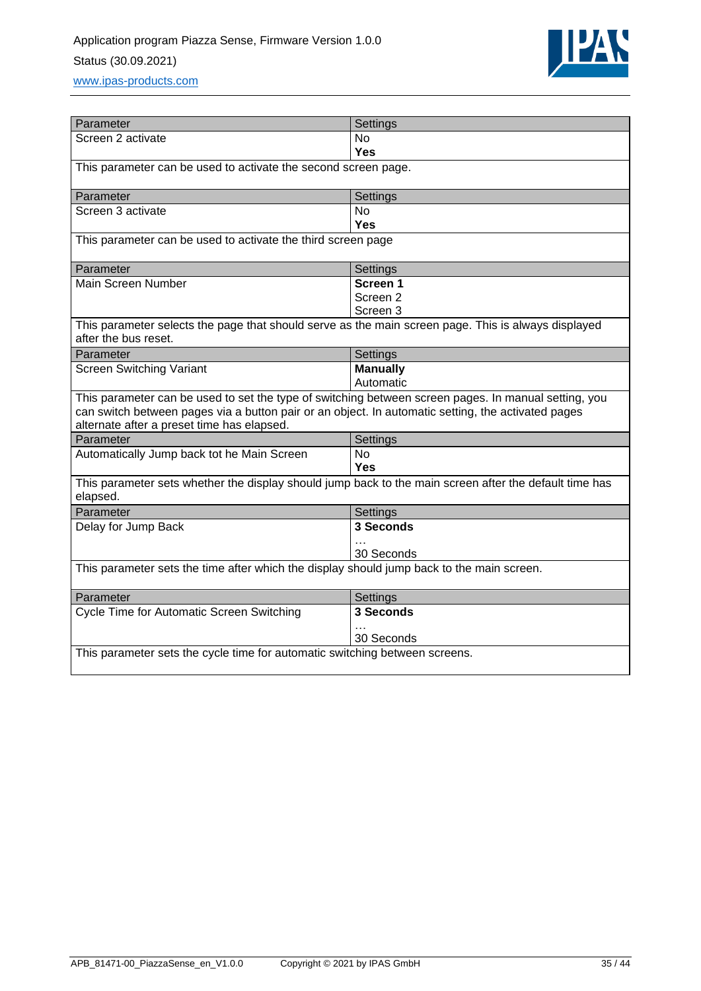

| Parameter                                                                                                                                                                                                                                                | Settings                     |  |
|----------------------------------------------------------------------------------------------------------------------------------------------------------------------------------------------------------------------------------------------------------|------------------------------|--|
| Screen 2 activate                                                                                                                                                                                                                                        | <b>No</b>                    |  |
|                                                                                                                                                                                                                                                          | <b>Yes</b>                   |  |
| This parameter can be used to activate the second screen page.                                                                                                                                                                                           |                              |  |
| Parameter                                                                                                                                                                                                                                                | Settings                     |  |
| Screen 3 activate                                                                                                                                                                                                                                        | <b>No</b>                    |  |
|                                                                                                                                                                                                                                                          | Yes                          |  |
| This parameter can be used to activate the third screen page                                                                                                                                                                                             |                              |  |
| Parameter                                                                                                                                                                                                                                                | Settings                     |  |
| Main Screen Number                                                                                                                                                                                                                                       | Screen 1                     |  |
|                                                                                                                                                                                                                                                          | Screen <sub>2</sub>          |  |
|                                                                                                                                                                                                                                                          | Screen 3                     |  |
| This parameter selects the page that should serve as the main screen page. This is always displayed<br>after the bus reset.                                                                                                                              |                              |  |
| Parameter                                                                                                                                                                                                                                                | Settings                     |  |
| <b>Screen Switching Variant</b>                                                                                                                                                                                                                          | <b>Manually</b><br>Automatic |  |
| This parameter can be used to set the type of switching between screen pages. In manual setting, you<br>can switch between pages via a button pair or an object. In automatic setting, the activated pages<br>alternate after a preset time has elapsed. |                              |  |
| Parameter                                                                                                                                                                                                                                                | <b>Settings</b>              |  |
| Automatically Jump back tot he Main Screen                                                                                                                                                                                                               | <b>No</b><br>Yes             |  |
| This parameter sets whether the display should jump back to the main screen after the default time has<br>elapsed.                                                                                                                                       |                              |  |
| Parameter                                                                                                                                                                                                                                                | Settings                     |  |
| Delay for Jump Back                                                                                                                                                                                                                                      | 3 Seconds                    |  |
|                                                                                                                                                                                                                                                          |                              |  |
|                                                                                                                                                                                                                                                          |                              |  |
| This parameter sets the time after which the display should jump back to the main screen.                                                                                                                                                                | 30 Seconds                   |  |
| Parameter                                                                                                                                                                                                                                                | Settings                     |  |
| Cycle Time for Automatic Screen Switching                                                                                                                                                                                                                | 3 Seconds                    |  |
|                                                                                                                                                                                                                                                          | 30 Seconds                   |  |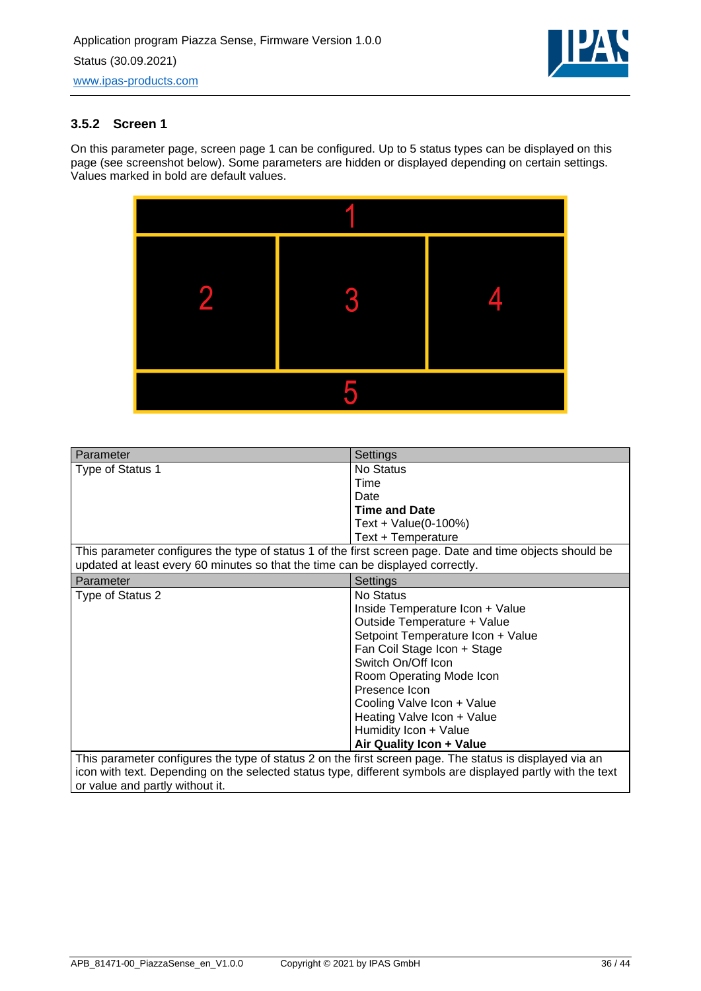

### <span id="page-35-0"></span>**3.5.2 Screen 1**

On this parameter page, screen page 1 can be configured. Up to 5 status types can be displayed on this page (see screenshot below). Some parameters are hidden or displayed depending on certain settings. Values marked in bold are default values.



| Parameter                                                                                                   | Settings                          |
|-------------------------------------------------------------------------------------------------------------|-----------------------------------|
| Type of Status 1                                                                                            | No Status                         |
|                                                                                                             | Time                              |
|                                                                                                             | Date                              |
|                                                                                                             | <b>Time and Date</b>              |
|                                                                                                             | Text + Value(0-100%)              |
|                                                                                                             | Text + Temperature                |
| This parameter configures the type of status 1 of the first screen page. Date and time objects should be    |                                   |
| updated at least every 60 minutes so that the time can be displayed correctly.                              |                                   |
| Parameter                                                                                                   | Settings                          |
| Type of Status 2                                                                                            | No Status                         |
|                                                                                                             | Inside Temperature Icon + Value   |
|                                                                                                             | Outside Temperature + Value       |
|                                                                                                             | Setpoint Temperature Icon + Value |
|                                                                                                             | Fan Coil Stage Icon + Stage       |
|                                                                                                             | Switch On/Off Icon                |
|                                                                                                             | Room Operating Mode Icon          |
|                                                                                                             | Presence Icon                     |
|                                                                                                             | Cooling Valve Icon + Value        |
|                                                                                                             | Heating Valve Icon + Value        |
|                                                                                                             | Humidity Icon + Value             |
|                                                                                                             | Air Quality Icon + Value          |
| This parameter configures the type of status 2 on the first screen page. The status is displayed via an     |                                   |
| icon with text. Depending on the selected status type, different symbols are displayed partly with the text |                                   |
| or value and partly without it.                                                                             |                                   |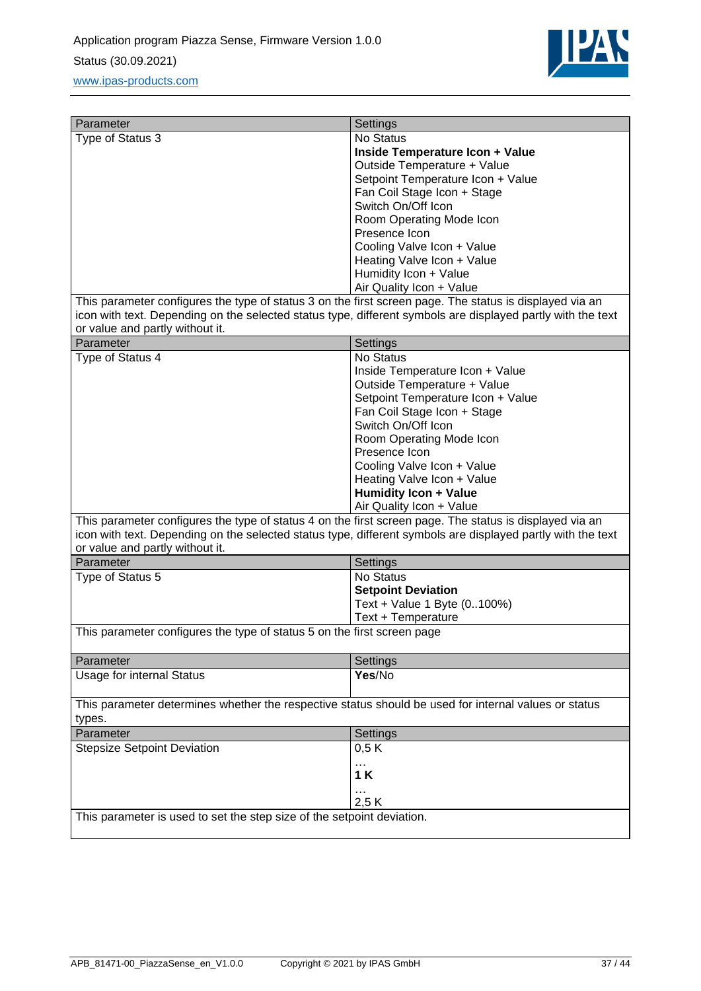

| Parameter                                                                                                                                      | Settings                                  |  |
|------------------------------------------------------------------------------------------------------------------------------------------------|-------------------------------------------|--|
| Type of Status 3                                                                                                                               | No Status                                 |  |
|                                                                                                                                                | <b>Inside Temperature Icon + Value</b>    |  |
|                                                                                                                                                | Outside Temperature + Value               |  |
|                                                                                                                                                | Setpoint Temperature Icon + Value         |  |
|                                                                                                                                                | Fan Coil Stage Icon + Stage               |  |
|                                                                                                                                                | Switch On/Off Icon                        |  |
|                                                                                                                                                | Room Operating Mode Icon<br>Presence Icon |  |
|                                                                                                                                                | Cooling Valve Icon + Value                |  |
|                                                                                                                                                | Heating Valve Icon + Value                |  |
|                                                                                                                                                | Humidity Icon + Value                     |  |
|                                                                                                                                                | Air Quality Icon + Value                  |  |
| This parameter configures the type of status 3 on the first screen page. The status is displayed via an                                        |                                           |  |
| icon with text. Depending on the selected status type, different symbols are displayed partly with the text<br>or value and partly without it. |                                           |  |
| Parameter                                                                                                                                      | Settings                                  |  |
| Type of Status 4                                                                                                                               | No Status                                 |  |
|                                                                                                                                                | Inside Temperature Icon + Value           |  |
|                                                                                                                                                | Outside Temperature + Value               |  |
|                                                                                                                                                | Setpoint Temperature Icon + Value         |  |
|                                                                                                                                                | Fan Coil Stage Icon + Stage               |  |
|                                                                                                                                                | Switch On/Off Icon                        |  |
|                                                                                                                                                | Room Operating Mode Icon<br>Presence Icon |  |
|                                                                                                                                                | Cooling Valve Icon + Value                |  |
|                                                                                                                                                | Heating Valve Icon + Value                |  |
|                                                                                                                                                | Humidity Icon + Value                     |  |
|                                                                                                                                                | Air Quality Icon + Value                  |  |
| This parameter configures the type of status 4 on the first screen page. The status is displayed via an                                        |                                           |  |
| icon with text. Depending on the selected status type, different symbols are displayed partly with the text                                    |                                           |  |
| or value and partly without it.                                                                                                                |                                           |  |
| Parameter                                                                                                                                      | Settings                                  |  |
| Type of Status 5                                                                                                                               | No Status                                 |  |
|                                                                                                                                                | <b>Setpoint Deviation</b>                 |  |
|                                                                                                                                                | Text + Value 1 Byte (0100%)               |  |
|                                                                                                                                                | Text + Temperature                        |  |
| This parameter configures the type of status 5 on the first screen page                                                                        |                                           |  |
| Parameter                                                                                                                                      | Settings                                  |  |
| <b>Usage for internal Status</b>                                                                                                               | Yes/No                                    |  |
| This parameter determines whether the respective status should be used for internal values or status                                           |                                           |  |
| types.                                                                                                                                         |                                           |  |
| Parameter                                                                                                                                      | Settings                                  |  |
| <b>Stepsize Setpoint Deviation</b>                                                                                                             | 0,5K                                      |  |
|                                                                                                                                                | .<br>1K                                   |  |
|                                                                                                                                                | 2,5K                                      |  |
| This parameter is used to set the step size of the setpoint deviation.                                                                         |                                           |  |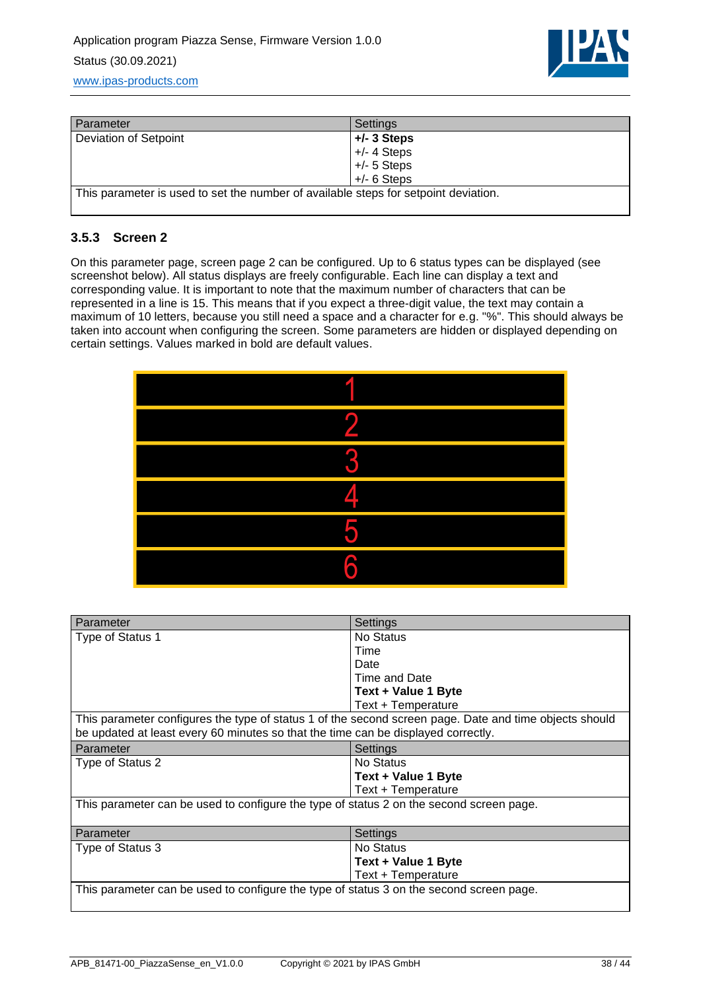

| Parameter                                                                           | Settings      |
|-------------------------------------------------------------------------------------|---------------|
| Deviation of Setpoint                                                               | $+/- 3$ Steps |
|                                                                                     | $+/- 4$ Steps |
|                                                                                     | $+/- 5$ Steps |
|                                                                                     | $+/- 6$ Steps |
| This parameter is used to set the number of available steps for setpoint deviation. |               |

### <span id="page-37-0"></span>**3.5.3 Screen 2**

On this parameter page, screen page 2 can be configured. Up to 6 status types can be displayed (see screenshot below). All status displays are freely configurable. Each line can display a text and corresponding value. It is important to note that the maximum number of characters that can be represented in a line is 15. This means that if you expect a three-digit value, the text may contain a maximum of 10 letters, because you still need a space and a character for e.g. "%". This should always be taken into account when configuring the screen. Some parameters are hidden or displayed depending on certain settings. Values marked in bold are default values.

| z  |
|----|
|    |
| ſ. |
| Р  |
| 6  |

| Parameter                                                                                                                                                                                   | Settings            |  |
|---------------------------------------------------------------------------------------------------------------------------------------------------------------------------------------------|---------------------|--|
| Type of Status 1                                                                                                                                                                            | No Status           |  |
|                                                                                                                                                                                             | Time                |  |
|                                                                                                                                                                                             | Date                |  |
|                                                                                                                                                                                             | Time and Date       |  |
|                                                                                                                                                                                             | Text + Value 1 Byte |  |
|                                                                                                                                                                                             | Text + Temperature  |  |
| This parameter configures the type of status 1 of the second screen page. Date and time objects should<br>be updated at least every 60 minutes so that the time can be displayed correctly. |                     |  |
| Parameter                                                                                                                                                                                   | Settings            |  |
| Type of Status 2                                                                                                                                                                            | No Status           |  |
|                                                                                                                                                                                             | Text + Value 1 Byte |  |
|                                                                                                                                                                                             | Text + Temperature  |  |
| This parameter can be used to configure the type of status 2 on the second screen page.                                                                                                     |                     |  |
| Parameter                                                                                                                                                                                   | Settings            |  |
| Type of Status 3                                                                                                                                                                            | No Status           |  |
|                                                                                                                                                                                             | Text + Value 1 Byte |  |
|                                                                                                                                                                                             | Text + Temperature  |  |
| This parameter can be used to configure the type of status 3 on the second screen page.                                                                                                     |                     |  |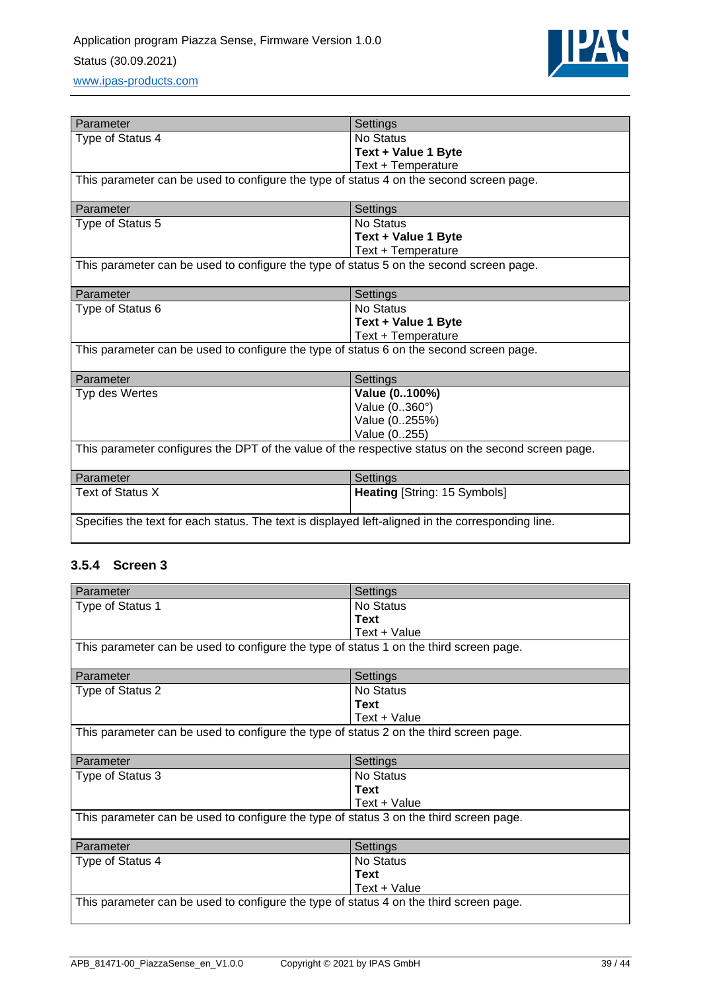

| Parameter                                                                                          | Settings                            |  |
|----------------------------------------------------------------------------------------------------|-------------------------------------|--|
| Type of Status 4                                                                                   | No Status                           |  |
|                                                                                                    | Text + Value 1 Byte                 |  |
|                                                                                                    | Text + Temperature                  |  |
| This parameter can be used to configure the type of status 4 on the second screen page.            |                                     |  |
| Parameter                                                                                          | Settings                            |  |
| Type of Status 5                                                                                   | No Status                           |  |
|                                                                                                    | Text + Value 1 Byte                 |  |
|                                                                                                    | Text + Temperature                  |  |
| This parameter can be used to configure the type of status 5 on the second screen page.            |                                     |  |
| Parameter                                                                                          | Settings                            |  |
| Type of Status 6                                                                                   | No Status                           |  |
|                                                                                                    | Text + Value 1 Byte                 |  |
|                                                                                                    | Text + Temperature                  |  |
| This parameter can be used to configure the type of status 6 on the second screen page.            |                                     |  |
| Parameter                                                                                          | Settings                            |  |
| Typ des Wertes                                                                                     | Value (0100%)                       |  |
|                                                                                                    | Value (0360°)                       |  |
|                                                                                                    | Value (0255%)                       |  |
|                                                                                                    | Value (0255)                        |  |
| This parameter configures the DPT of the value of the respective status on the second screen page. |                                     |  |
| Parameter                                                                                          | Settings                            |  |
| Text of Status X                                                                                   | <b>Heating [String: 15 Symbols]</b> |  |
| Specifies the text for each status. The text is displayed left-aligned in the corresponding line.  |                                     |  |

### <span id="page-38-0"></span>**3.5.4 Screen 3**

| Parameter                                                                              | Settings     |
|----------------------------------------------------------------------------------------|--------------|
| Type of Status 1                                                                       | No Status    |
|                                                                                        | <b>Text</b>  |
|                                                                                        | Text + Value |
| This parameter can be used to configure the type of status 1 on the third screen page. |              |
| Parameter                                                                              | Settings     |
| Type of Status 2                                                                       | No Status    |
|                                                                                        | <b>Text</b>  |
|                                                                                        | Text + Value |
| This parameter can be used to configure the type of status 2 on the third screen page. |              |
|                                                                                        |              |
| Parameter                                                                              | Settings     |
| Type of Status 3                                                                       | No Status    |
|                                                                                        | <b>Text</b>  |
|                                                                                        | Text + Value |
| This parameter can be used to configure the type of status 3 on the third screen page. |              |
| Parameter                                                                              | Settings     |
| Type of Status 4                                                                       | No Status    |
|                                                                                        | Text         |
|                                                                                        | Text + Value |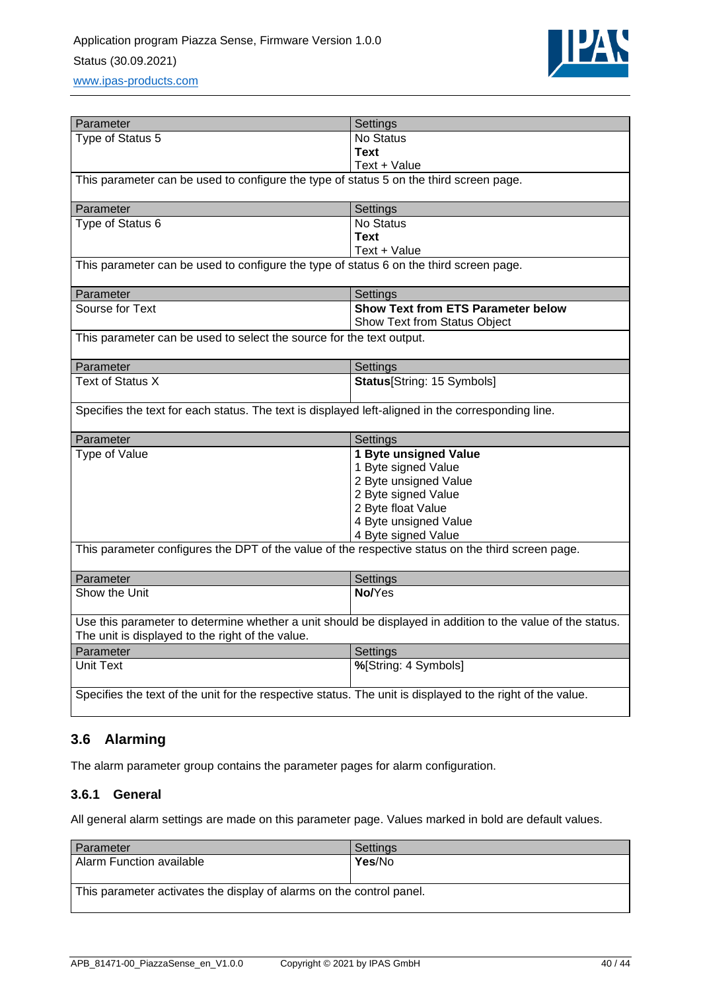

| Parameter                                                                                                                                                      | Settings                                  |
|----------------------------------------------------------------------------------------------------------------------------------------------------------------|-------------------------------------------|
| Type of Status 5                                                                                                                                               | No Status                                 |
|                                                                                                                                                                | Text                                      |
|                                                                                                                                                                | Text + Value                              |
| This parameter can be used to configure the type of status 5 on the third screen page.                                                                         |                                           |
|                                                                                                                                                                |                                           |
| Parameter                                                                                                                                                      | Settings                                  |
| Type of Status 6                                                                                                                                               | No Status                                 |
|                                                                                                                                                                | <b>Text</b>                               |
|                                                                                                                                                                | Text + Value                              |
| This parameter can be used to configure the type of status 6 on the third screen page.                                                                         |                                           |
|                                                                                                                                                                |                                           |
| Parameter                                                                                                                                                      | Settings                                  |
| Sourse for Text                                                                                                                                                | <b>Show Text from ETS Parameter below</b> |
|                                                                                                                                                                | Show Text from Status Object              |
| This parameter can be used to select the source for the text output.                                                                                           |                                           |
| Parameter                                                                                                                                                      | Settings                                  |
| <b>Text of Status X</b>                                                                                                                                        | <b>Status</b> [String: 15 Symbols]        |
|                                                                                                                                                                |                                           |
| Specifies the text for each status. The text is displayed left-aligned in the corresponding line.                                                              |                                           |
| Parameter                                                                                                                                                      | Settings                                  |
| Type of Value                                                                                                                                                  | 1 Byte unsigned Value                     |
|                                                                                                                                                                | 1 Byte signed Value                       |
|                                                                                                                                                                | 2 Byte unsigned Value                     |
|                                                                                                                                                                | 2 Byte signed Value                       |
|                                                                                                                                                                | 2 Byte float Value                        |
|                                                                                                                                                                | 4 Byte unsigned Value                     |
|                                                                                                                                                                | 4 Byte signed Value                       |
| This parameter configures the DPT of the value of the respective status on the third screen page.                                                              |                                           |
|                                                                                                                                                                |                                           |
| Parameter                                                                                                                                                      | Settings                                  |
| Show the Unit                                                                                                                                                  | No/Yes                                    |
|                                                                                                                                                                |                                           |
| Use this parameter to determine whether a unit should be displayed in addition to the value of the status.<br>The unit is displayed to the right of the value. |                                           |
| Parameter                                                                                                                                                      | Settings                                  |
| <b>Unit Text</b>                                                                                                                                               | %[String: 4 Symbols]                      |
|                                                                                                                                                                |                                           |
| Specifies the text of the unit for the respective status. The unit is displayed to the right of the value.                                                     |                                           |

## <span id="page-39-0"></span>**3.6 Alarming**

<span id="page-39-1"></span>The alarm parameter group contains the parameter pages for alarm configuration.

### **3.6.1 General**

All general alarm settings are made on this parameter page. Values marked in bold are default values.

| Parameter                                                            | Settings |
|----------------------------------------------------------------------|----------|
| Alarm Function available                                             | Yes/No   |
|                                                                      |          |
| This parameter activates the display of alarms on the control panel. |          |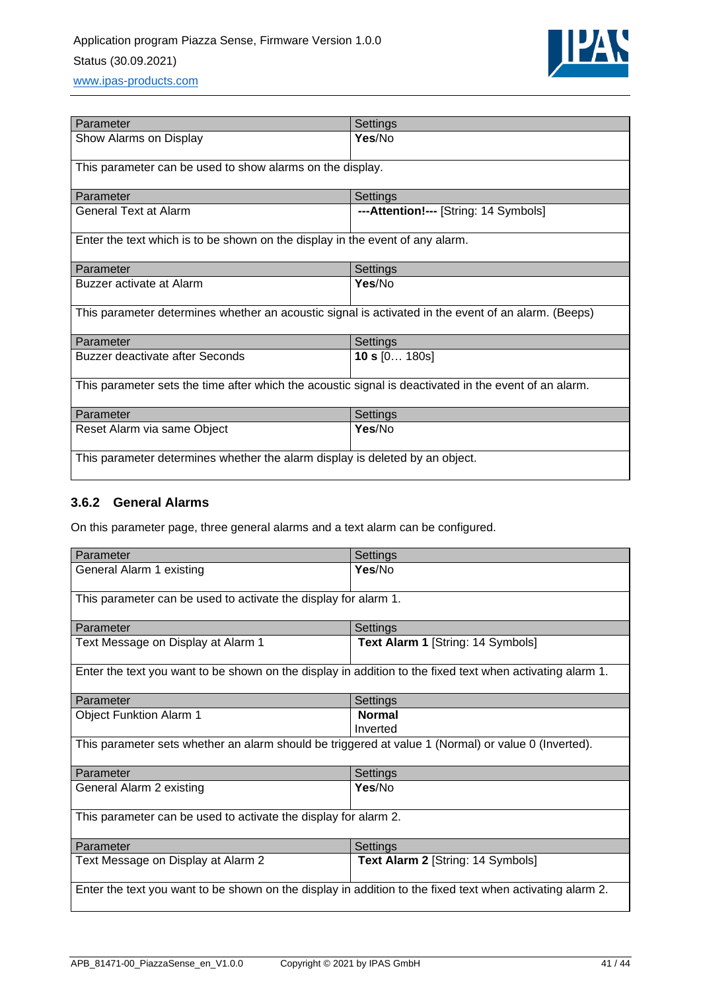

| Parameter                                                                                             | Settings                              |
|-------------------------------------------------------------------------------------------------------|---------------------------------------|
| Show Alarms on Display                                                                                | Yes/No                                |
| This parameter can be used to show alarms on the display.                                             |                                       |
| Parameter                                                                                             | Settings                              |
| <b>General Text at Alarm</b>                                                                          | ---Attention!--- [String: 14 Symbols] |
| Enter the text which is to be shown on the display in the event of any alarm.                         |                                       |
| Parameter                                                                                             | Settings                              |
| Buzzer activate at Alarm                                                                              | Yes/No                                |
| This parameter determines whether an acoustic signal is activated in the event of an alarm. (Beeps)   |                                       |
| Parameter                                                                                             | Settings                              |
| Buzzer deactivate after Seconds                                                                       | 10 s $[0 180s]$                       |
| This parameter sets the time after which the acoustic signal is deactivated in the event of an alarm. |                                       |
| Parameter                                                                                             | Settings                              |
| Reset Alarm via same Object                                                                           | Yes/No                                |
| This parameter determines whether the alarm display is deleted by an object.                          |                                       |

### <span id="page-40-0"></span>**3.6.2 General Alarms**

On this parameter page, three general alarms and a text alarm can be configured.

| Parameter                                                                                                 | Settings                          |  |
|-----------------------------------------------------------------------------------------------------------|-----------------------------------|--|
| General Alarm 1 existing                                                                                  | Yes/No                            |  |
| This parameter can be used to activate the display for alarm 1.                                           |                                   |  |
| Parameter                                                                                                 | Settings                          |  |
| Text Message on Display at Alarm 1                                                                        | Text Alarm 1 [String: 14 Symbols] |  |
| Enter the text you want to be shown on the display in addition to the fixed text when activating alarm 1. |                                   |  |
| Parameter                                                                                                 | Settings                          |  |
| <b>Object Funktion Alarm 1</b>                                                                            | <b>Normal</b>                     |  |
|                                                                                                           | Inverted                          |  |
| This parameter sets whether an alarm should be triggered at value 1 (Normal) or value 0 (Inverted).       |                                   |  |
| Parameter                                                                                                 | Settings                          |  |
| General Alarm 2 existing                                                                                  | Yes/No                            |  |
| This parameter can be used to activate the display for alarm 2.                                           |                                   |  |
| Parameter                                                                                                 | Settings                          |  |
| Text Message on Display at Alarm 2                                                                        | Text Alarm 2 [String: 14 Symbols] |  |
| Enter the text you want to be shown on the display in addition to the fixed text when activating alarm 2. |                                   |  |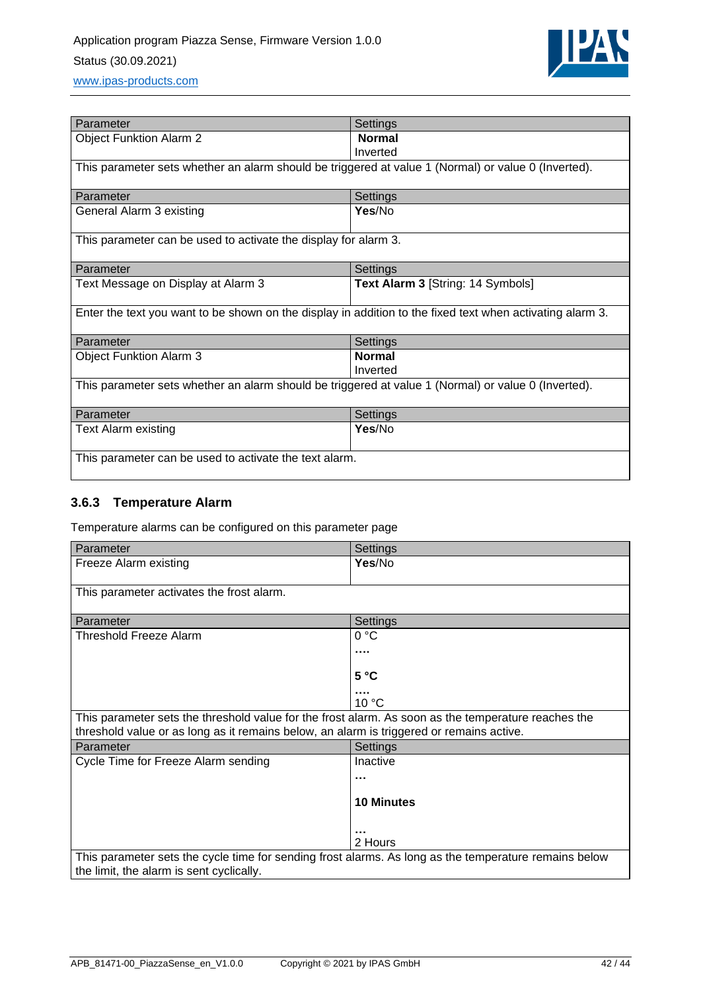

| Parameter                                                                                                 | Settings                          |  |
|-----------------------------------------------------------------------------------------------------------|-----------------------------------|--|
| <b>Object Funktion Alarm 2</b>                                                                            | <b>Normal</b>                     |  |
|                                                                                                           | Inverted                          |  |
| This parameter sets whether an alarm should be triggered at value 1 (Normal) or value 0 (Inverted).       |                                   |  |
| Parameter                                                                                                 | Settings                          |  |
| General Alarm 3 existing                                                                                  | Yes/No                            |  |
| This parameter can be used to activate the display for alarm 3.                                           |                                   |  |
| Parameter                                                                                                 | Settings                          |  |
| Text Message on Display at Alarm 3                                                                        | Text Alarm 3 [String: 14 Symbols] |  |
| Enter the text you want to be shown on the display in addition to the fixed text when activating alarm 3. |                                   |  |
| Parameter                                                                                                 | Settings                          |  |
| <b>Object Funktion Alarm 3</b>                                                                            | <b>Normal</b>                     |  |
|                                                                                                           | Inverted                          |  |
| This parameter sets whether an alarm should be triggered at value 1 (Normal) or value 0 (Inverted).       |                                   |  |
| Parameter                                                                                                 | Settings                          |  |
| <b>Text Alarm existing</b>                                                                                | Yes/No                            |  |
| This parameter can be used to activate the text alarm.                                                    |                                   |  |

## <span id="page-41-0"></span>**3.6.3 Temperature Alarm**

Temperature alarms can be configured on this parameter page

| Parameter                                                                                             | Settings          |
|-------------------------------------------------------------------------------------------------------|-------------------|
| Freeze Alarm existing                                                                                 | Yes/No            |
|                                                                                                       |                   |
| This parameter activates the frost alarm.                                                             |                   |
|                                                                                                       |                   |
| Parameter                                                                                             | Settings          |
| Threshold Freeze Alarm                                                                                | 0 °C              |
|                                                                                                       |                   |
|                                                                                                       | 5 °C              |
|                                                                                                       |                   |
|                                                                                                       | 10 °C             |
| This parameter sets the threshold value for the frost alarm. As soon as the temperature reaches the   |                   |
| threshold value or as long as it remains below, an alarm is triggered or remains active.              |                   |
| Parameter                                                                                             | Settings          |
| Cycle Time for Freeze Alarm sending                                                                   | Inactive          |
|                                                                                                       |                   |
|                                                                                                       | <b>10 Minutes</b> |
|                                                                                                       |                   |
|                                                                                                       |                   |
|                                                                                                       | 2 Hours           |
| This parameter sets the cycle time for sending frost alarms. As long as the temperature remains below |                   |
| the limit, the alarm is sent cyclically.                                                              |                   |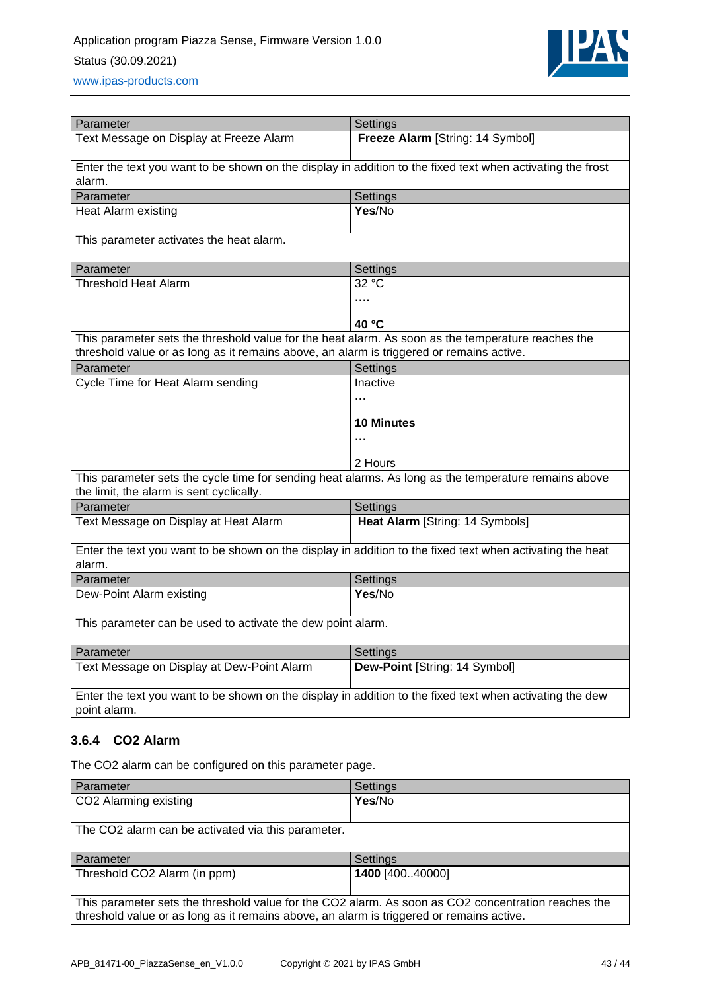

| Parameter                                                                                                                                                                                      | Settings                         |
|------------------------------------------------------------------------------------------------------------------------------------------------------------------------------------------------|----------------------------------|
| Text Message on Display at Freeze Alarm                                                                                                                                                        | Freeze Alarm [String: 14 Symbol] |
| Enter the text you want to be shown on the display in addition to the fixed text when activating the frost<br>alarm.                                                                           |                                  |
| Parameter                                                                                                                                                                                      | Settings                         |
| Heat Alarm existing                                                                                                                                                                            | Yes/No                           |
| This parameter activates the heat alarm.                                                                                                                                                       |                                  |
| Parameter                                                                                                                                                                                      | Settings                         |
| <b>Threshold Heat Alarm</b>                                                                                                                                                                    | $32^{\circ}$ C                   |
|                                                                                                                                                                                                |                                  |
|                                                                                                                                                                                                | 40 °C                            |
| This parameter sets the threshold value for the heat alarm. As soon as the temperature reaches the<br>threshold value or as long as it remains above, an alarm is triggered or remains active. |                                  |
| Parameter                                                                                                                                                                                      | Settings                         |
| Cycle Time for Heat Alarm sending                                                                                                                                                              | Inactive                         |
|                                                                                                                                                                                                |                                  |
|                                                                                                                                                                                                | <b>10 Minutes</b>                |
|                                                                                                                                                                                                |                                  |
|                                                                                                                                                                                                | 2 Hours                          |
| This parameter sets the cycle time for sending heat alarms. As long as the temperature remains above<br>the limit, the alarm is sent cyclically.                                               |                                  |
| Parameter                                                                                                                                                                                      | Settings                         |
| Text Message on Display at Heat Alarm                                                                                                                                                          | Heat Alarm [String: 14 Symbols]  |
| Enter the text you want to be shown on the display in addition to the fixed text when activating the heat<br>alarm.                                                                            |                                  |
| Parameter                                                                                                                                                                                      | Settings                         |
| Dew-Point Alarm existing                                                                                                                                                                       | Yes/No                           |
| This parameter can be used to activate the dew point alarm.                                                                                                                                    |                                  |
| Parameter                                                                                                                                                                                      | Settings                         |
| Text Message on Display at Dew-Point Alarm                                                                                                                                                     | Dew-Point [String: 14 Symbol]    |
| Enter the text you want to be shown on the display in addition to the fixed text when activating the dew<br>point alarm.                                                                       |                                  |

### <span id="page-42-0"></span>**3.6.4 CO2 Alarm**

The CO2 alarm can be configured on this parameter page.

| Parameter                                                                                                                                                                                       | Settings        |
|-------------------------------------------------------------------------------------------------------------------------------------------------------------------------------------------------|-----------------|
| CO2 Alarming existing                                                                                                                                                                           | Yes/No          |
| The CO2 alarm can be activated via this parameter.                                                                                                                                              |                 |
| Parameter                                                                                                                                                                                       | Settings        |
| Threshold CO2 Alarm (in ppm)                                                                                                                                                                    | 1400 [40040000] |
| This parameter sets the threshold value for the CO2 alarm. As soon as CO2 concentration reaches the<br>threshold value or as long as it remains above, an alarm is triggered or remains active. |                 |